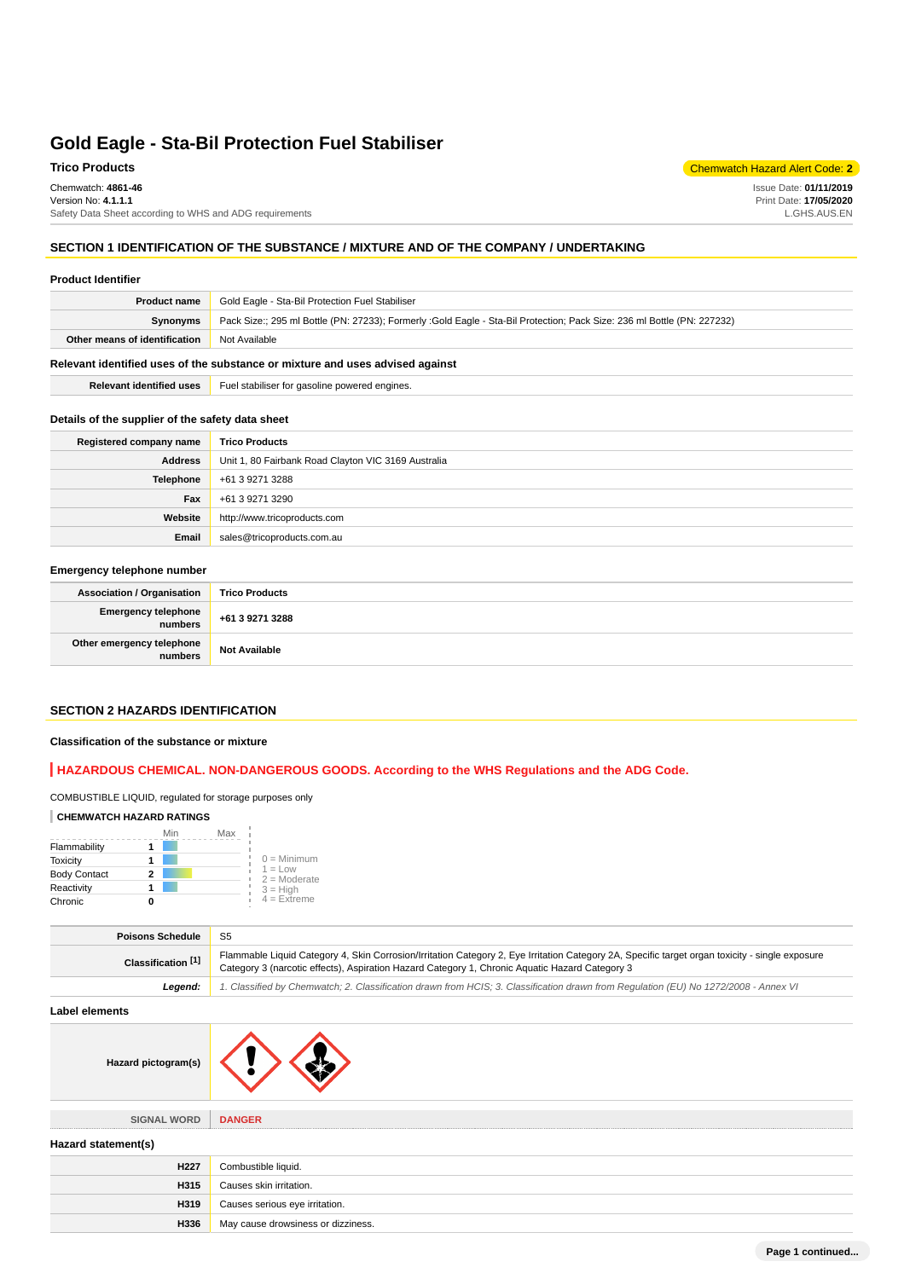Chemwatch: **4861-46** Version No: **4.1.1.1** Safety Data Sheet according to WHS and ADG requirements

### **Trico Products** Chemwatch Hazard Alert Code: **2**

Issue Date: **01/11/2019** Print Date: **17/05/2020** L.GHS.AUS.EN

#### **SECTION 1 IDENTIFICATION OF THE SUBSTANCE / MIXTURE AND OF THE COMPANY / UNDERTAKING**

#### **Product Identifier**

| <b>Product name</b>                                                           | Gold Eagle - Sta-Bil Protection Fuel Stabiliser                                                                         |
|-------------------------------------------------------------------------------|-------------------------------------------------------------------------------------------------------------------------|
| <b>Synonyms</b>                                                               | Pack Size:; 295 ml Bottle (PN: 27233); Formerly :Gold Eagle - Sta-Bil Protection; Pack Size: 236 ml Bottle (PN: 227232) |
| Other means of identification                                                 | Not Available                                                                                                           |
| Relevant identified uses of the substance or mixture and uses advised against |                                                                                                                         |

**Relevant identified uses** Fuel stabiliser for gasoline powered engines.

#### **Details of the supplier of the safety data sheet**

| Registered company name | <b>Trico Products</b>                               |
|-------------------------|-----------------------------------------------------|
| <b>Address</b>          | Unit 1, 80 Fairbank Road Clayton VIC 3169 Australia |
| <b>Telephone</b>        | +61 3 9271 3288                                     |
| Fax                     | +61 3 9271 3290                                     |
| Website                 | http://www.tricoproducts.com                        |
| Email                   | sales@tricoproducts.com.au                          |

### **Emergency telephone number**

| Association / Organisation           | <b>Trico Products</b> |
|--------------------------------------|-----------------------|
| Emergency telephone +61 3 9271 3288  |                       |
| Other emergency telephone<br>numbers | <b>Not Available</b>  |

### **SECTION 2 HAZARDS IDENTIFICATION**

#### **Classification of the substance or mixture**

### **HAZARDOUS CHEMICAL. NON-DANGEROUS GOODS. According to the WHS Regulations and the ADG Code.**

#### COMBUSTIBLE LIQUID, regulated for storage purposes only

### **CHEMWATCH HAZARD RATINGS**

|                     | Min | Max                                |  |
|---------------------|-----|------------------------------------|--|
| Flammability        |     |                                    |  |
| <b>Toxicity</b>     |     | $0 =$ Minimum                      |  |
| <b>Body Contact</b> | 2   | $1 = 1$ $\Omega$<br>$2 =$ Moderate |  |
| Reactivity          |     | $3 = High$                         |  |
| Chronic             |     | $4$ = Extreme                      |  |

| <b>Poisons Schedule</b> | S5                                                                                                                                                                                                                                                |
|-------------------------|---------------------------------------------------------------------------------------------------------------------------------------------------------------------------------------------------------------------------------------------------|
| Classification [1]      | Flammable Liquid Category 4, Skin Corrosion/Irritation Category 2, Eye Irritation Category 2A, Specific target organ toxicity - single exposure<br>Category 3 (narcotic effects), Aspiration Hazard Category 1, Chronic Aquatic Hazard Category 3 |
| Leaend:                 | 1. Classified by Chemwatch; 2. Classification drawn from HCIS; 3. Classification drawn from Requlation (EU) No 1272/2008 - Annex VI                                                                                                               |

#### **Label elements**

|  | Hazard pictogram(s) |  |  |
|--|---------------------|--|--|
|--|---------------------|--|--|

**SIGNAL WORD DANGER**

# **Hazard statement(s)**

| H <sub>227</sub> | Combustible liquid.                |
|------------------|------------------------------------|
| H315             | Causes skin irritation.            |
| H319             | Causes serious eye irritation.     |
| H336             | May cause drowsiness or dizziness. |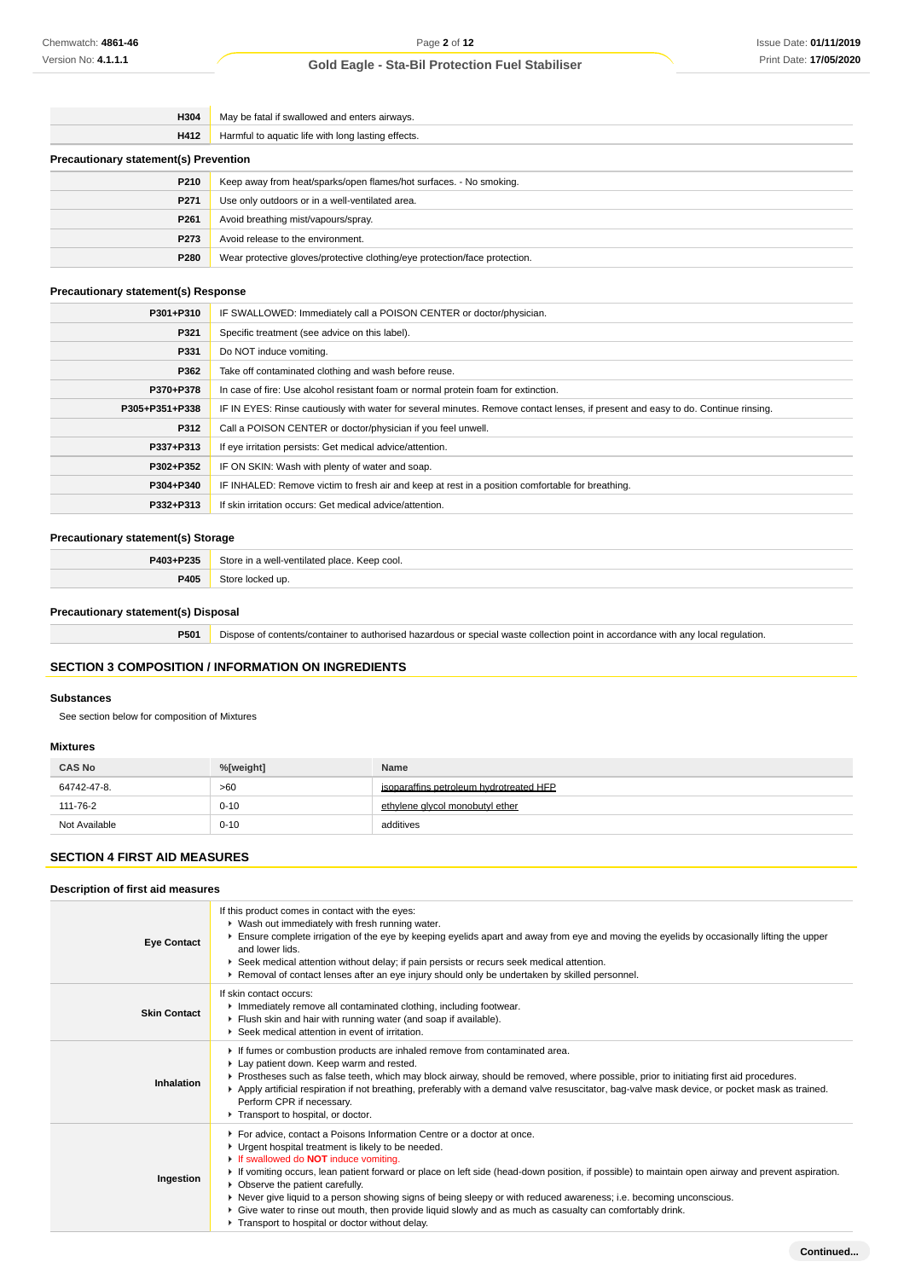| H304                                         | May be fatal if swallowed and enters airways.                              |  |
|----------------------------------------------|----------------------------------------------------------------------------|--|
| H412                                         | Harmful to aquatic life with long lasting effects.                         |  |
| <b>Precautionary statement(s) Prevention</b> |                                                                            |  |
| P210                                         | Keep away from heat/sparks/open flames/hot surfaces. - No smoking.         |  |
| P271                                         | Use only outdoors or in a well-ventilated area.                            |  |
| P <sub>261</sub>                             | Avoid breathing mist/vapours/spray.                                        |  |
| P273                                         | Avoid release to the environment.                                          |  |
| P280                                         | Wear protective gloves/protective clothing/eye protection/face protection. |  |

### **Precautionary statement(s) Response**

| P301+P310      | IF SWALLOWED: Immediately call a POISON CENTER or doctor/physician.                                                              |
|----------------|----------------------------------------------------------------------------------------------------------------------------------|
| P321           | Specific treatment (see advice on this label).                                                                                   |
| P331           | Do NOT induce vomiting.                                                                                                          |
| P362           | Take off contaminated clothing and wash before reuse.                                                                            |
| P370+P378      | In case of fire: Use alcohol resistant foam or normal protein foam for extinction.                                               |
| P305+P351+P338 | IF IN EYES: Rinse cautiously with water for several minutes. Remove contact lenses, if present and easy to do. Continue rinsing. |
| P312           | Call a POISON CENTER or doctor/physician if you feel unwell.                                                                     |
| P337+P313      | If eye irritation persists: Get medical advice/attention.                                                                        |
| P302+P352      | IF ON SKIN: Wash with plenty of water and soap.                                                                                  |
| P304+P340      | IF INHALED: Remove victim to fresh air and keep at rest in a position comfortable for breathing.                                 |
| P332+P313      | If skin irritation occurs: Get medical advice/attention.                                                                         |

### **Precautionary statement(s) Storage**

| P403+P235 | Store<br>Keep cool.<br>-ventilated place. |
|-----------|-------------------------------------------|
| P405      | <b>ur</b>                                 |

### **Precautionary statement(s) Disposal**

**P501** Dispose of contents/container to authorised hazardous or special waste collection point in accordance with any local regulation.

### **SECTION 3 COMPOSITION / INFORMATION ON INGREDIENTS**

#### **Substances**

See section below for composition of Mixtures

### **Mixtures**

| <b>CAS No</b> | %[weight] | Name                                    |
|---------------|-----------|-----------------------------------------|
| 64742-47-8.   | >60       | isoparaffins petroleum hydrotreated HFP |
| 111-76-2      | $0 - 10$  | ethylene givcol monobutyl ether         |
| Not Available | $0 - 10$  | additives                               |

# **SECTION 4 FIRST AID MEASURES**

### **Description of first aid measures**

| <b>Eye Contact</b>  | If this product comes in contact with the eyes:<br>▶ Wash out immediately with fresh running water.<br>Ensure complete irrigation of the eye by keeping eyelids apart and away from eye and moving the eyelids by occasionally lifting the upper<br>and lower lids.<br>Seek medical attention without delay; if pain persists or recurs seek medical attention.<br>► Removal of contact lenses after an eye injury should only be undertaken by skilled personnel.                                                                                                                                                                                           |
|---------------------|--------------------------------------------------------------------------------------------------------------------------------------------------------------------------------------------------------------------------------------------------------------------------------------------------------------------------------------------------------------------------------------------------------------------------------------------------------------------------------------------------------------------------------------------------------------------------------------------------------------------------------------------------------------|
| <b>Skin Contact</b> | If skin contact occurs:<br>Inmediately remove all contaminated clothing, including footwear.<br>Flush skin and hair with running water (and soap if available).<br>Seek medical attention in event of irritation.                                                                                                                                                                                                                                                                                                                                                                                                                                            |
| Inhalation          | If fumes or combustion products are inhaled remove from contaminated area.<br>Lay patient down. Keep warm and rested.<br>▶ Prostheses such as false teeth, which may block airway, should be removed, where possible, prior to initiating first aid procedures.<br>▶ Apply artificial respiration if not breathing, preferably with a demand valve resuscitator, bag-valve mask device, or pocket mask as trained.<br>Perform CPR if necessary.<br>Transport to hospital, or doctor.                                                                                                                                                                         |
| Ingestion           | For advice, contact a Poisons Information Centre or a doctor at once.<br>• Urgent hospital treatment is likely to be needed.<br>If swallowed do <b>NOT</b> induce vomiting.<br>► If vomiting occurs, lean patient forward or place on left side (head-down position, if possible) to maintain open airway and prevent aspiration.<br>• Observe the patient carefully.<br>▶ Never give liquid to a person showing signs of being sleepy or with reduced awareness; i.e. becoming unconscious.<br>▶ Give water to rinse out mouth, then provide liquid slowly and as much as casualty can comfortably drink.<br>Transport to hospital or doctor without delay. |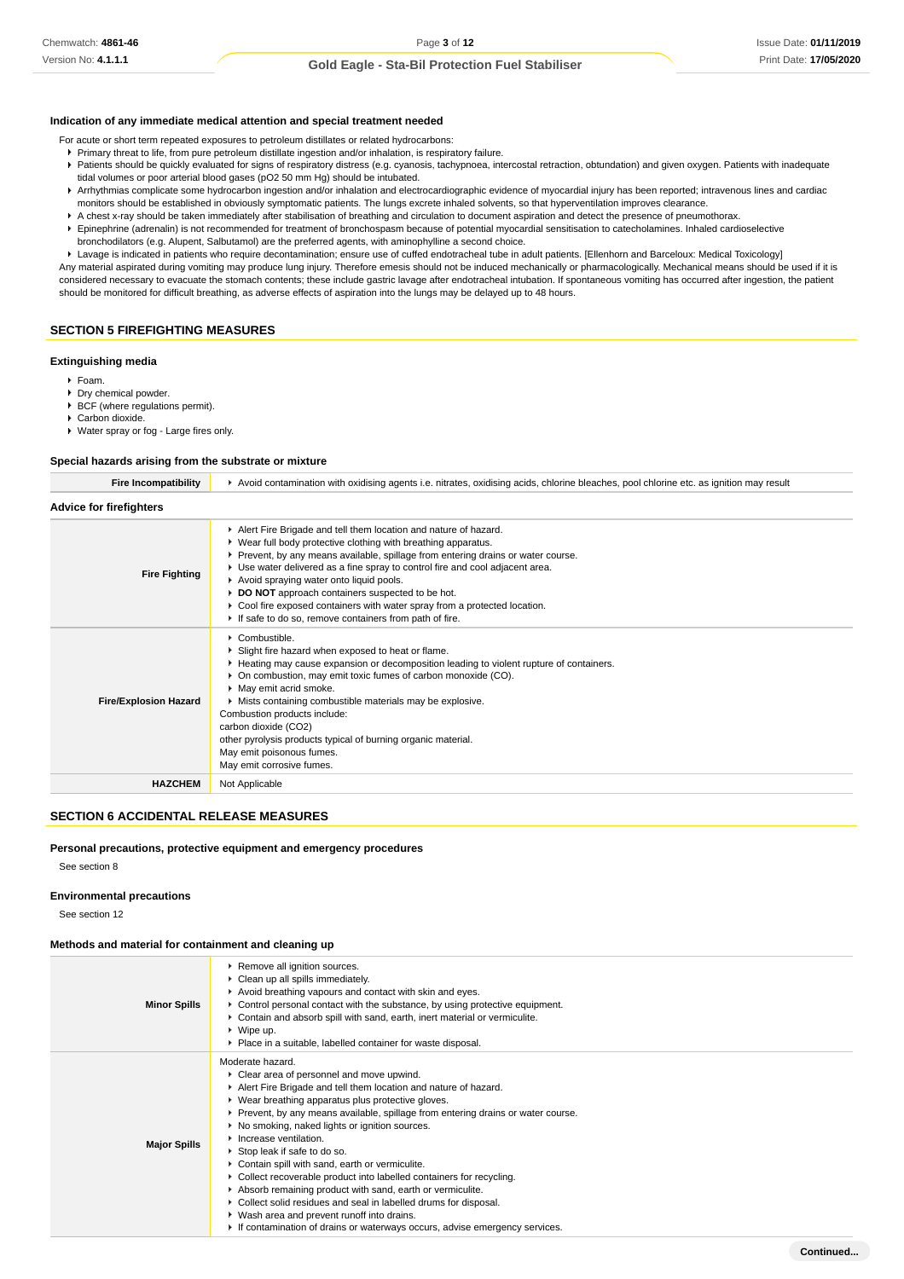#### **Indication of any immediate medical attention and special treatment needed**

For acute or short term repeated exposures to petroleum distillates or related hydrocarbons:

- Primary threat to life, from pure petroleum distillate ingestion and/or inhalation, is respiratory failure.
- Patients should be quickly evaluated for signs of respiratory distress (e.g. cyanosis, tachypnoea, intercostal retraction, obtundation) and given oxygen. Patients with inadequate tidal volumes or poor arterial blood gases (pO2 50 mm Hg) should be intubated.
- **Arrhythmias complicate some hydrocarbon ingestion and/or inhalation and electrocardiographic evidence of myocardial injury has been reported; intravenous lines and cardiac** monitors should be established in obviously symptomatic patients. The lungs excrete inhaled solvents, so that hyperventilation improves clearance.
- A chest x-ray should be taken immediately after stabilisation of breathing and circulation to document aspiration and detect the presence of pneumothorax.
- Epinephrine (adrenalin) is not recommended for treatment of bronchospasm because of potential myocardial sensitisation to catecholamines. Inhaled cardioselective bronchodilators (e.g. Alupent, Salbutamol) are the preferred agents, with aminophylline a second choice.

Lavage is indicated in patients who require decontamination; ensure use of cuffed endotracheal tube in adult patients. [Ellenhorn and Barceloux: Medical Toxicology]

Any material aspirated during vomiting may produce lung injury. Therefore emesis should not be induced mechanically or pharmacologically. Mechanical means should be used if it is considered necessary to evacuate the stomach contents; these include gastric lavage after endotracheal intubation. If spontaneous vomiting has occurred after ingestion, the patient should be monitored for difficult breathing, as adverse effects of aspiration into the lungs may be delayed up to 48 hours.

### **SECTION 5 FIREFIGHTING MEASURES**

#### **Extinguishing media**

- Foam.
- Dry chemical powder.
- $\triangleright$  BCF (where regulations permit). Carbon dioxide.
- 
- Water spray or fog Large fires only.

#### **Special hazards arising from the substrate or mixture**

| <b>Fire Incompatibility</b>    | Avoid contamination with oxidising agents i.e. nitrates, oxidising acids, chlorine bleaches, pool chlorine etc. as ignition may result                                                                                                                                                                                                                                                                                                                                                                                                      |  |  |
|--------------------------------|---------------------------------------------------------------------------------------------------------------------------------------------------------------------------------------------------------------------------------------------------------------------------------------------------------------------------------------------------------------------------------------------------------------------------------------------------------------------------------------------------------------------------------------------|--|--|
| <b>Advice for firefighters</b> |                                                                                                                                                                                                                                                                                                                                                                                                                                                                                                                                             |  |  |
| <b>Fire Fighting</b>           | Alert Fire Brigade and tell them location and nature of hazard.<br>• Wear full body protective clothing with breathing apparatus.<br>▶ Prevent, by any means available, spillage from entering drains or water course.<br>► Use water delivered as a fine spray to control fire and cool adjacent area.<br>Avoid spraying water onto liquid pools.<br>DO NOT approach containers suspected to be hot.<br>Cool fire exposed containers with water spray from a protected location.<br>If safe to do so, remove containers from path of fire. |  |  |
| <b>Fire/Explosion Hazard</b>   | $\triangleright$ Combustible.<br>Slight fire hazard when exposed to heat or flame.<br>► Heating may cause expansion or decomposition leading to violent rupture of containers.<br>• On combustion, may emit toxic fumes of carbon monoxide (CO).<br>• May emit acrid smoke.<br>• Mists containing combustible materials may be explosive.<br>Combustion products include:<br>carbon dioxide (CO2)<br>other pyrolysis products typical of burning organic material.<br>May emit poisonous fumes.<br>May emit corrosive fumes.                |  |  |
| <b>HAZCHEM</b>                 | Not Applicable                                                                                                                                                                                                                                                                                                                                                                                                                                                                                                                              |  |  |
|                                |                                                                                                                                                                                                                                                                                                                                                                                                                                                                                                                                             |  |  |

### **SECTION 6 ACCIDENTAL RELEASE MEASURES**

### **Personal precautions, protective equipment and emergency procedures**

See section 8

### **Environmental precautions**

See section 12

#### **Methods and material for containment and cleaning up**

| <b>Minor Spills</b> | ▶ Remove all ignition sources.<br>Clean up all spills immediately.<br>Avoid breathing vapours and contact with skin and eyes.<br>► Control personal contact with the substance, by using protective equipment.<br>Contain and absorb spill with sand, earth, inert material or vermiculite.<br>$\triangleright$ Wipe up.<br>• Place in a suitable, labelled container for waste disposal.                                                                                                                                                                                                                                                                                                                                                                                           |
|---------------------|-------------------------------------------------------------------------------------------------------------------------------------------------------------------------------------------------------------------------------------------------------------------------------------------------------------------------------------------------------------------------------------------------------------------------------------------------------------------------------------------------------------------------------------------------------------------------------------------------------------------------------------------------------------------------------------------------------------------------------------------------------------------------------------|
| <b>Major Spills</b> | Moderate hazard.<br>• Clear area of personnel and move upwind.<br>Alert Fire Brigade and tell them location and nature of hazard.<br>• Wear breathing apparatus plus protective gloves.<br>▶ Prevent, by any means available, spillage from entering drains or water course.<br>▶ No smoking, naked lights or ignition sources.<br>Increase ventilation.<br>▶ Stop leak if safe to do so.<br>Contain spill with sand, earth or vermiculite.<br>• Collect recoverable product into labelled containers for recycling.<br>Absorb remaining product with sand, earth or vermiculite.<br>• Collect solid residues and seal in labelled drums for disposal.<br>▶ Wash area and prevent runoff into drains.<br>If contamination of drains or waterways occurs, advise emergency services. |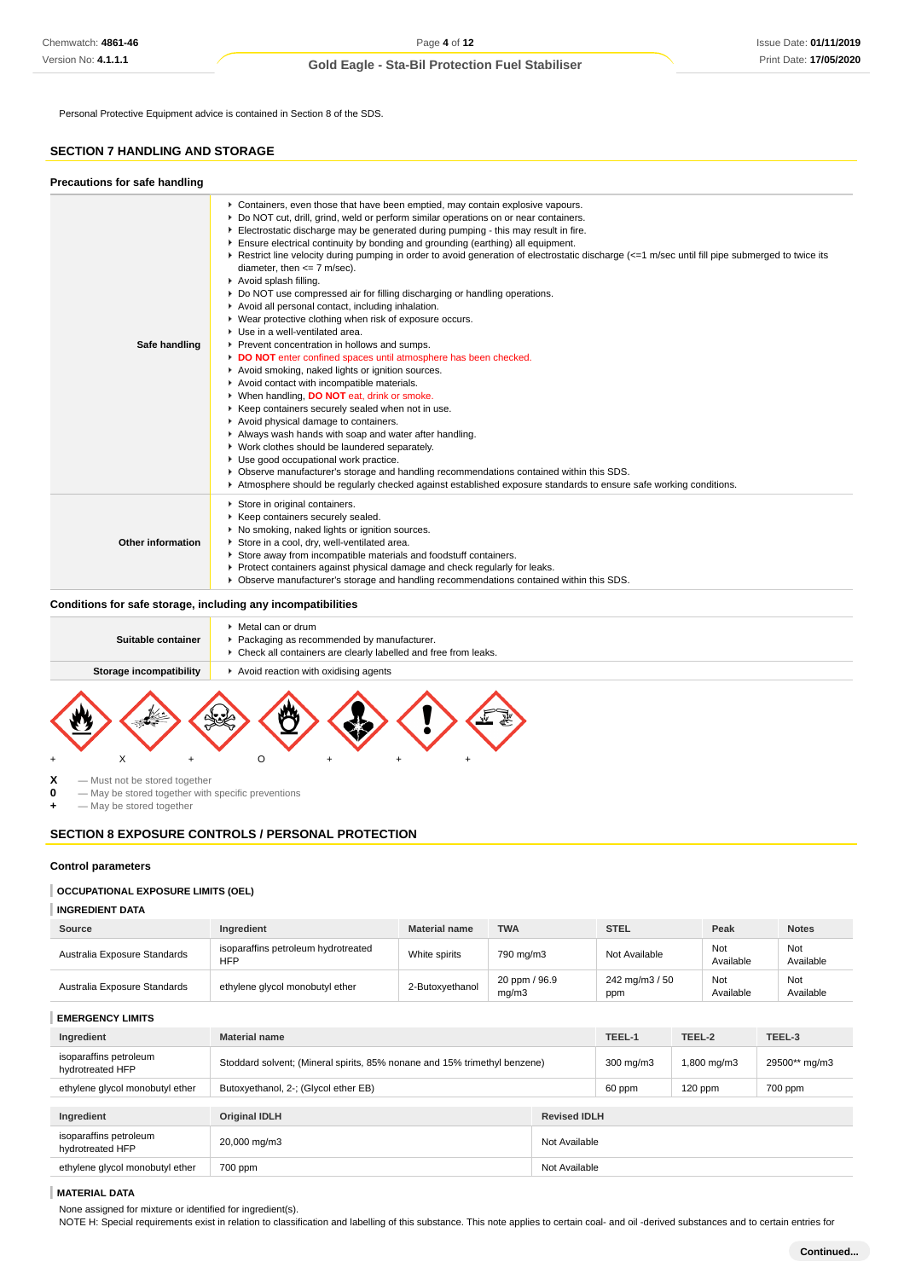Personal Protective Equipment advice is contained in Section 8 of the SDS.

### **SECTION 7 HANDLING AND STORAGE**

| <b>Precautions for safe handling</b> |                                                                                                                                                                                                                                                                                                                                                                                                                                                                                                                                                                                                                                                                                                                                                                                                                                                                                                                                                                                                                                                                                                                                                                                                                                                                                                                                                                                                                                                                                                                                             |
|--------------------------------------|---------------------------------------------------------------------------------------------------------------------------------------------------------------------------------------------------------------------------------------------------------------------------------------------------------------------------------------------------------------------------------------------------------------------------------------------------------------------------------------------------------------------------------------------------------------------------------------------------------------------------------------------------------------------------------------------------------------------------------------------------------------------------------------------------------------------------------------------------------------------------------------------------------------------------------------------------------------------------------------------------------------------------------------------------------------------------------------------------------------------------------------------------------------------------------------------------------------------------------------------------------------------------------------------------------------------------------------------------------------------------------------------------------------------------------------------------------------------------------------------------------------------------------------------|
| Safe handling                        | ► Containers, even those that have been emptied, may contain explosive vapours.<br>▶ Do NOT cut, drill, grind, weld or perform similar operations on or near containers.<br>Electrostatic discharge may be generated during pumping - this may result in fire.<br>Ensure electrical continuity by bonding and grounding (earthing) all equipment.<br>▶ Restrict line velocity during pumping in order to avoid generation of electrostatic discharge (<=1 m/sec until fill pipe submerged to twice its<br>diameter, then $<= 7$ m/sec).<br>Avoid splash filling.<br>► Do NOT use compressed air for filling discharging or handling operations.<br>Avoid all personal contact, including inhalation.<br>▶ Wear protective clothing when risk of exposure occurs.<br>▶ Use in a well-ventilated area.<br>▶ Prevent concentration in hollows and sumps.<br>DO NOT enter confined spaces until atmosphere has been checked.<br>Avoid smoking, naked lights or ignition sources.<br>Avoid contact with incompatible materials.<br>▶ When handling, DO NOT eat, drink or smoke.<br>▶ Keep containers securely sealed when not in use.<br>Avoid physical damage to containers.<br>Always wash hands with soap and water after handling.<br>• Work clothes should be laundered separately.<br>Use good occupational work practice.<br>▶ Observe manufacturer's storage and handling recommendations contained within this SDS.<br>Atmosphere should be regularly checked against established exposure standards to ensure safe working conditions. |
| Other information                    | Store in original containers.<br>▶ Keep containers securely sealed.<br>▶ No smoking, naked lights or ignition sources.<br>Store in a cool, dry, well-ventilated area.<br>Store away from incompatible materials and foodstuff containers.<br>Protect containers against physical damage and check regularly for leaks.<br>▶ Observe manufacturer's storage and handling recommendations contained within this SDS.                                                                                                                                                                                                                                                                                                                                                                                                                                                                                                                                                                                                                                                                                                                                                                                                                                                                                                                                                                                                                                                                                                                          |

▶ Check all containers are clearly labelled and free from leaks.

### **Storage incompatibility A** Avoid reaction with oxidising agents



Packaging as recommended by manufacturer.

Metal can or drum

**X** — Must not be stored together<br>**0** — May be stored together with

**0** — May be stored together with specific preventions

**Suitable container**

**+** — May be stored together

### **SECTION 8 EXPOSURE CONTROLS / PERSONAL PROTECTION**

#### **Control parameters**

### **OCCUPATIONAL EXPOSURE LIMITS (OEL)**

**INGREDIENT DATA**

| Source                       | Ingredient                                        | <b>Material name</b> | <b>TWA</b>             | <b>STEL</b>           | Peak             | <b>Notes</b>     |
|------------------------------|---------------------------------------------------|----------------------|------------------------|-----------------------|------------------|------------------|
| Australia Exposure Standards | isoparaffins petroleum hydrotreated<br><b>HFP</b> | White spirits        | 790 mg/m3              | Not Available         | Not<br>Available | Not<br>Available |
| Australia Exposure Standards | ethylene glycol monobutyl ether                   | 2-Butoxyethanol      | 20 ppm / 96.9<br>ma/m3 | 242 mg/m3 / 50<br>ppm | Not<br>Available | Not<br>Available |

**EMERGENCY LIMITS**

| Ingredient                                 | <b>Material name</b>                                                      |                     | TEEL-1    | TEEL-2      | TEEL-3        |
|--------------------------------------------|---------------------------------------------------------------------------|---------------------|-----------|-------------|---------------|
| isoparaffins petroleum<br>hydrotreated HFP | Stoddard solvent; (Mineral spirits, 85% nonane and 15% trimethyl benzene) |                     | 300 mg/m3 | 1,800 mg/m3 | 29500** mg/m3 |
| ethylene glycol monobutyl ether            | Butoxyethanol, 2-; (Glycol ether EB)                                      |                     | 60 ppm    | $120$ ppm   | 700 ppm       |
|                                            |                                                                           |                     |           |             |               |
| Ingredient                                 | <b>Original IDLH</b>                                                      | <b>Revised IDLH</b> |           |             |               |
|                                            |                                                                           |                     |           |             |               |
| isoparaffins petroleum<br>hydrotreated HFP | 20,000 mg/m3                                                              | Not Available       |           |             |               |
| ethylene glycol monobutyl ether            | 700 ppm                                                                   | Not Available       |           |             |               |

#### **MATERIAL DATA**

None assigned for mixture or identified for ingredient(s).

NOTE H: Special requirements exist in relation to classification and labelling of this substance. This note applies to certain coal- and oil -derived substances and to certain entries for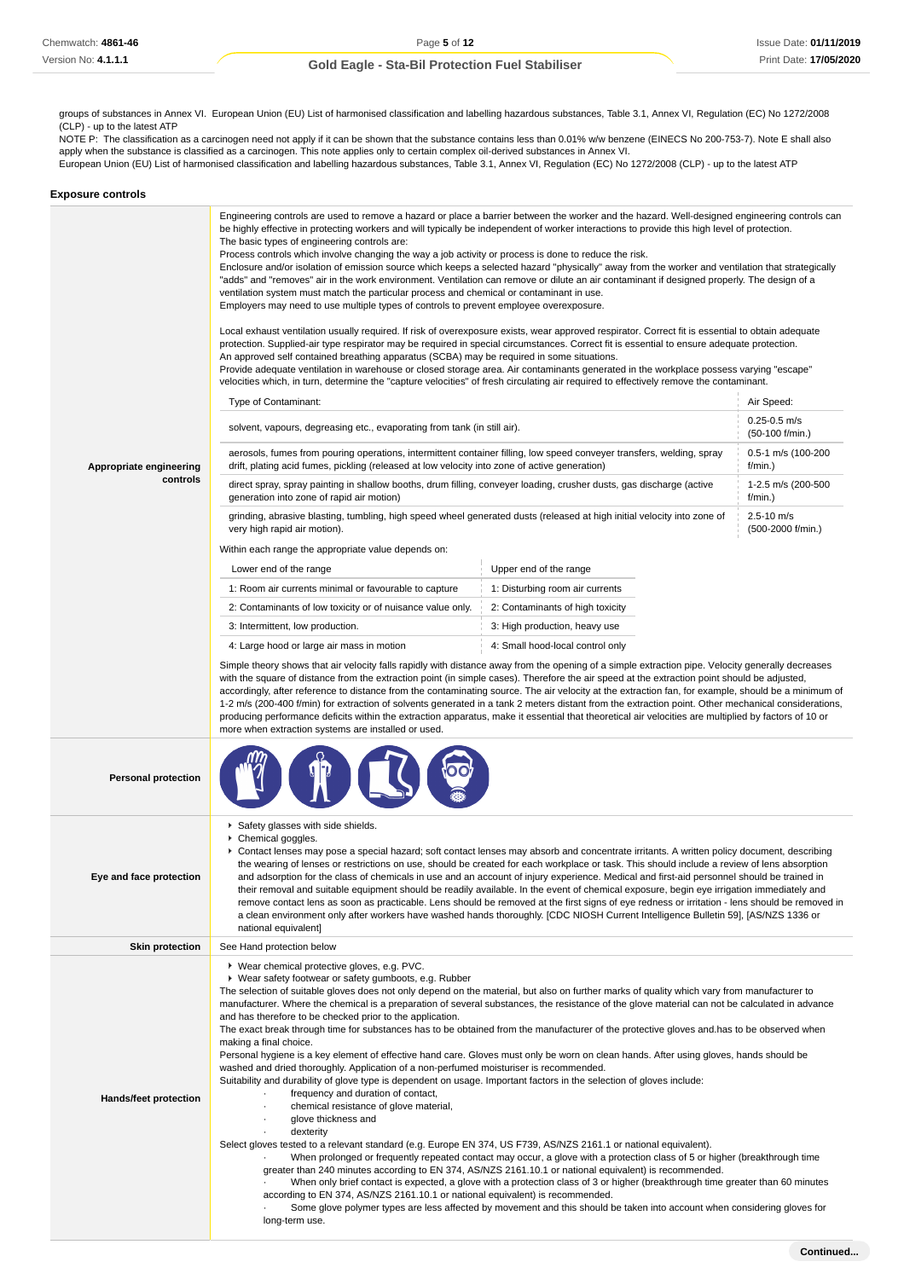groups of substances in Annex VI. European Union (EU) List of harmonised classification and labelling hazardous substances, Table 3.1, Annex VI, Regulation (EC) No 1272/2008 (CLP) - up to the latest ATP

NOTE P: The classification as a carcinogen need not apply if it can be shown that the substance contains less than 0.01% w/w benzene (EINECS No 200-753-7). Note E shall also apply when the substance is classified as a carcinogen. This note applies only to certain complex oil-derived substances in Annex VI. European Union (EU) List of harmonised classification and labelling hazardous substances, Table 3.1, Annex VI, Regulation (EC) No 1272/2008 (CLP) - up to the latest ATP

| <b>Exposure controls</b>            |                                                                                                                                                                                                                                                                                                                                                                                                                                                                                                                                                                                                                                                                                                                                                                                                                                                                                                                                                                                                                                                                                                                                                                                                                                                                                                                                                                                                                                                                                                                                                                                                                                                                                                                                                                                                                                                                                                                                                                                                                                                                                                                                                                                                                                                                                                                                                                                                                                                                                                                                                                                                                                                                                                                                                                                                                                                                                                                                                                                                                                                                                                                                                                                                                                                                                                                                                                                            |  |  |  |
|-------------------------------------|--------------------------------------------------------------------------------------------------------------------------------------------------------------------------------------------------------------------------------------------------------------------------------------------------------------------------------------------------------------------------------------------------------------------------------------------------------------------------------------------------------------------------------------------------------------------------------------------------------------------------------------------------------------------------------------------------------------------------------------------------------------------------------------------------------------------------------------------------------------------------------------------------------------------------------------------------------------------------------------------------------------------------------------------------------------------------------------------------------------------------------------------------------------------------------------------------------------------------------------------------------------------------------------------------------------------------------------------------------------------------------------------------------------------------------------------------------------------------------------------------------------------------------------------------------------------------------------------------------------------------------------------------------------------------------------------------------------------------------------------------------------------------------------------------------------------------------------------------------------------------------------------------------------------------------------------------------------------------------------------------------------------------------------------------------------------------------------------------------------------------------------------------------------------------------------------------------------------------------------------------------------------------------------------------------------------------------------------------------------------------------------------------------------------------------------------------------------------------------------------------------------------------------------------------------------------------------------------------------------------------------------------------------------------------------------------------------------------------------------------------------------------------------------------------------------------------------------------------------------------------------------------------------------------------------------------------------------------------------------------------------------------------------------------------------------------------------------------------------------------------------------------------------------------------------------------------------------------------------------------------------------------------------------------------------------------------------------------------------------------------------------------|--|--|--|
| Appropriate engineering<br>controls | Engineering controls are used to remove a hazard or place a barrier between the worker and the hazard. Well-designed engineering controls can<br>be highly effective in protecting workers and will typically be independent of worker interactions to provide this high level of protection.<br>The basic types of engineering controls are:<br>Process controls which involve changing the way a job activity or process is done to reduce the risk.<br>Enclosure and/or isolation of emission source which keeps a selected hazard "physically" away from the worker and ventilation that strategically<br>"adds" and "removes" air in the work environment. Ventilation can remove or dilute an air contaminant if designed properly. The design of a<br>ventilation system must match the particular process and chemical or contaminant in use.<br>Employers may need to use multiple types of controls to prevent employee overexposure.<br>Local exhaust ventilation usually required. If risk of overexposure exists, wear approved respirator. Correct fit is essential to obtain adequate<br>protection. Supplied-air type respirator may be required in special circumstances. Correct fit is essential to ensure adequate protection.<br>An approved self contained breathing apparatus (SCBA) may be required in some situations.<br>Provide adequate ventilation in warehouse or closed storage area. Air contaminants generated in the workplace possess varying "escape"<br>velocities which, in turn, determine the "capture velocities" of fresh circulating air required to effectively remove the contaminant.<br>Type of Contaminant:<br>Air Speed:<br>$0.25 - 0.5$ m/s<br>solvent, vapours, degreasing etc., evaporating from tank (in still air).<br>(50-100 f/min.)<br>aerosols, fumes from pouring operations, intermittent container filling, low speed conveyer transfers, welding, spray<br>0.5-1 m/s (100-200<br>drift, plating acid fumes, pickling (released at low velocity into zone of active generation)<br>f/min.)<br>direct spray, spray painting in shallow booths, drum filling, conveyer loading, crusher dusts, gas discharge (active<br>1-2.5 m/s (200-500<br>generation into zone of rapid air motion)<br>f/min.)<br>$2.5 - 10$ m/s<br>grinding, abrasive blasting, tumbling, high speed wheel generated dusts (released at high initial velocity into zone of<br>(500-2000 f/min.)<br>very high rapid air motion).<br>Within each range the appropriate value depends on:<br>Upper end of the range<br>Lower end of the range<br>1: Disturbing room air currents<br>1: Room air currents minimal or favourable to capture<br>2: Contaminants of low toxicity or of nuisance value only.<br>2: Contaminants of high toxicity<br>3: Intermittent, low production.<br>3: High production, heavy use<br>4: Large hood or large air mass in motion<br>4: Small hood-local control only<br>Simple theory shows that air velocity falls rapidly with distance away from the opening of a simple extraction pipe. Velocity generally decreases<br>with the square of distance from the extraction point (in simple cases). Therefore the air speed at the extraction point should be adjusted,<br>accordingly, after reference to distance from the contaminating source. The air velocity at the extraction fan, for example, should be a minimum of |  |  |  |
| <b>Personal protection</b>          | 1-2 m/s (200-400 f/min) for extraction of solvents generated in a tank 2 meters distant from the extraction point. Other mechanical considerations,<br>producing performance deficits within the extraction apparatus, make it essential that theoretical air velocities are multiplied by factors of 10 or<br>more when extraction systems are installed or used.                                                                                                                                                                                                                                                                                                                                                                                                                                                                                                                                                                                                                                                                                                                                                                                                                                                                                                                                                                                                                                                                                                                                                                                                                                                                                                                                                                                                                                                                                                                                                                                                                                                                                                                                                                                                                                                                                                                                                                                                                                                                                                                                                                                                                                                                                                                                                                                                                                                                                                                                                                                                                                                                                                                                                                                                                                                                                                                                                                                                                         |  |  |  |
|                                     |                                                                                                                                                                                                                                                                                                                                                                                                                                                                                                                                                                                                                                                                                                                                                                                                                                                                                                                                                                                                                                                                                                                                                                                                                                                                                                                                                                                                                                                                                                                                                                                                                                                                                                                                                                                                                                                                                                                                                                                                                                                                                                                                                                                                                                                                                                                                                                                                                                                                                                                                                                                                                                                                                                                                                                                                                                                                                                                                                                                                                                                                                                                                                                                                                                                                                                                                                                                            |  |  |  |
| Eye and face protection             | Safety glasses with side shields.<br>▶ Chemical goggles.<br>▶ Contact lenses may pose a special hazard; soft contact lenses may absorb and concentrate irritants. A written policy document, describing<br>the wearing of lenses or restrictions on use, should be created for each workplace or task. This should include a review of lens absorption<br>and adsorption for the class of chemicals in use and an account of injury experience. Medical and first-aid personnel should be trained in<br>their removal and suitable equipment should be readily available. In the event of chemical exposure, begin eye irrigation immediately and<br>remove contact lens as soon as practicable. Lens should be removed at the first signs of eye redness or irritation - lens should be removed in<br>a clean environment only after workers have washed hands thoroughly. [CDC NIOSH Current Intelligence Bulletin 59], [AS/NZS 1336 or<br>national equivalent]                                                                                                                                                                                                                                                                                                                                                                                                                                                                                                                                                                                                                                                                                                                                                                                                                                                                                                                                                                                                                                                                                                                                                                                                                                                                                                                                                                                                                                                                                                                                                                                                                                                                                                                                                                                                                                                                                                                                                                                                                                                                                                                                                                                                                                                                                                                                                                                                                          |  |  |  |
| <b>Skin protection</b>              | See Hand protection below                                                                                                                                                                                                                                                                                                                                                                                                                                                                                                                                                                                                                                                                                                                                                                                                                                                                                                                                                                                                                                                                                                                                                                                                                                                                                                                                                                                                                                                                                                                                                                                                                                                                                                                                                                                                                                                                                                                                                                                                                                                                                                                                                                                                                                                                                                                                                                                                                                                                                                                                                                                                                                                                                                                                                                                                                                                                                                                                                                                                                                                                                                                                                                                                                                                                                                                                                                  |  |  |  |
| Hands/feet protection               | ▶ Wear chemical protective gloves, e.g. PVC.<br>▶ Wear safety footwear or safety gumboots, e.g. Rubber<br>The selection of suitable gloves does not only depend on the material, but also on further marks of quality which vary from manufacturer to<br>manufacturer. Where the chemical is a preparation of several substances, the resistance of the glove material can not be calculated in advance<br>and has therefore to be checked prior to the application.<br>The exact break through time for substances has to be obtained from the manufacturer of the protective gloves and has to be observed when<br>making a final choice.<br>Personal hygiene is a key element of effective hand care. Gloves must only be worn on clean hands. After using gloves, hands should be<br>washed and dried thoroughly. Application of a non-perfumed moisturiser is recommended.<br>Suitability and durability of glove type is dependent on usage. Important factors in the selection of gloves include:<br>frequency and duration of contact,<br>chemical resistance of glove material,<br>glove thickness and<br>dexterity<br>Select gloves tested to a relevant standard (e.g. Europe EN 374, US F739, AS/NZS 2161.1 or national equivalent).<br>When prolonged or frequently repeated contact may occur, a glove with a protection class of 5 or higher (breakthrough time<br>greater than 240 minutes according to EN 374, AS/NZS 2161.10.1 or national equivalent) is recommended.<br>When only brief contact is expected, a glove with a protection class of 3 or higher (breakthrough time greater than 60 minutes<br>according to EN 374, AS/NZS 2161.10.1 or national equivalent) is recommended.<br>Some glove polymer types are less affected by movement and this should be taken into account when considering gloves for                                                                                                                                                                                                                                                                                                                                                                                                                                                                                                                                                                                                                                                                                                                                                                                                                                                                                                                                                                                                                                                                                                                                                                                                                                                                                                                                                                                                                                                                                                                                                    |  |  |  |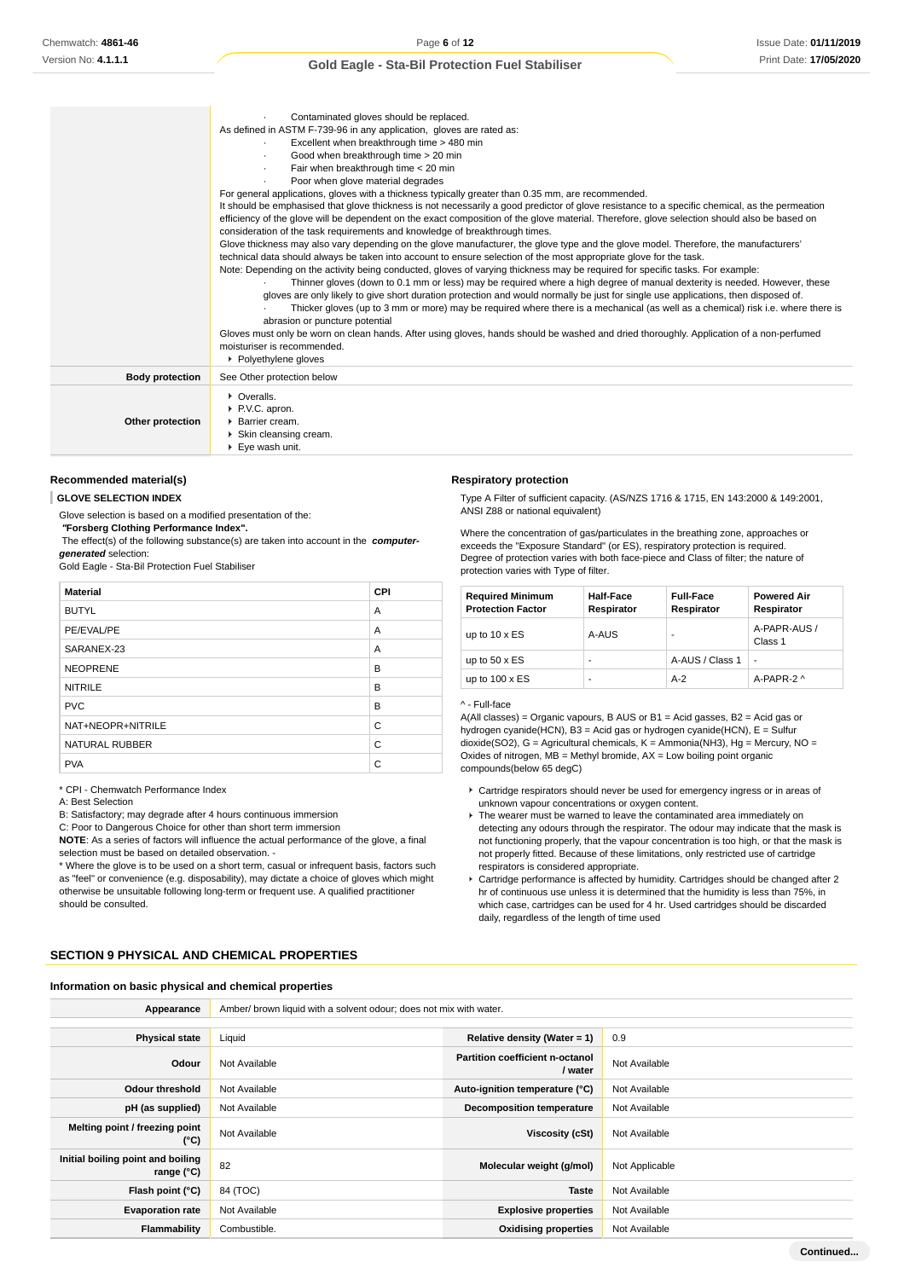|                        | Contaminated gloves should be replaced.<br>As defined in ASTM F-739-96 in any application, gloves are rated as:<br>Excellent when breakthrough time > 480 min<br>$\cdot$<br>Good when breakthrough time > 20 min<br>Fair when breakthrough time < 20 min<br>Poor when glove material degrades<br>For general applications, gloves with a thickness typically greater than 0.35 mm, are recommended.<br>It should be emphasised that glove thickness is not necessarily a good predictor of glove resistance to a specific chemical, as the permeation<br>efficiency of the glove will be dependent on the exact composition of the glove material. Therefore, glove selection should also be based on<br>consideration of the task requirements and knowledge of breakthrough times.<br>Glove thickness may also vary depending on the glove manufacturer, the glove type and the glove model. Therefore, the manufacturers'<br>technical data should always be taken into account to ensure selection of the most appropriate glove for the task.<br>Note: Depending on the activity being conducted, gloves of varying thickness may be required for specific tasks. For example:<br>Thinner gloves (down to 0.1 mm or less) may be required where a high degree of manual dexterity is needed. However, these<br>gloves are only likely to give short duration protection and would normally be just for single use applications, then disposed of.<br>Thicker gloves (up to 3 mm or more) may be required where there is a mechanical (as well as a chemical) risk i.e. where there is<br>abrasion or puncture potential<br>Gloves must only be worn on clean hands. After using gloves, hands should be washed and dried thoroughly. Application of a non-perfumed<br>moisturiser is recommended.<br>▶ Polyethylene gloves |
|------------------------|---------------------------------------------------------------------------------------------------------------------------------------------------------------------------------------------------------------------------------------------------------------------------------------------------------------------------------------------------------------------------------------------------------------------------------------------------------------------------------------------------------------------------------------------------------------------------------------------------------------------------------------------------------------------------------------------------------------------------------------------------------------------------------------------------------------------------------------------------------------------------------------------------------------------------------------------------------------------------------------------------------------------------------------------------------------------------------------------------------------------------------------------------------------------------------------------------------------------------------------------------------------------------------------------------------------------------------------------------------------------------------------------------------------------------------------------------------------------------------------------------------------------------------------------------------------------------------------------------------------------------------------------------------------------------------------------------------------------------------------------------------------------------------------------------------------------------------|
| <b>Body protection</b> | See Other protection below                                                                                                                                                                                                                                                                                                                                                                                                                                                                                                                                                                                                                                                                                                                                                                                                                                                                                                                                                                                                                                                                                                                                                                                                                                                                                                                                                                                                                                                                                                                                                                                                                                                                                                                                                                                                      |
| Other protection       | • Overalls.<br>P.V.C. apron.<br>Barrier cream.<br>Skin cleansing cream.<br>▶ Eve wash unit.                                                                                                                                                                                                                                                                                                                                                                                                                                                                                                                                                                                                                                                                                                                                                                                                                                                                                                                                                                                                                                                                                                                                                                                                                                                                                                                                                                                                                                                                                                                                                                                                                                                                                                                                     |

#### **Recommended material(s)**

#### **GLOVE SELECTION INDEX**

Glove selection is based on a modified presentation of the:  **"Forsberg Clothing Performance Index".** The effect(s) of the following substance(s) are taken into account in the **computergenerated** selection:

Gold Eagle - Sta-Bil Protection Fuel Stabiliser

| <b>Material</b>       | <b>CPI</b> |
|-----------------------|------------|
| <b>BUTYL</b>          | A          |
| PE/EVAL/PE            | A          |
| SARANEX-23            | A          |
| <b>NEOPRENE</b>       | B          |
| <b>NITRILE</b>        | B          |
| <b>PVC</b>            | B          |
| NAT+NEOPR+NITRILE     | C          |
| <b>NATURAL RUBBER</b> | C          |
| <b>PVA</b>            | C          |

\* CPI - Chemwatch Performance Index

A: Best Selection

B: Satisfactory; may degrade after 4 hours continuous immersion

C: Poor to Dangerous Choice for other than short term immersion

**NOTE**: As a series of factors will influence the actual performance of the glove, a final

selection must be based on detailed observation. -

\* Where the glove is to be used on a short term, casual or infrequent basis, factors such as "feel" or convenience (e.g. disposability), may dictate a choice of gloves which might otherwise be unsuitable following long-term or frequent use. A qualified practitioner should be consulted.

### **SECTION 9 PHYSICAL AND CHEMICAL PROPERTIES**

#### **Information on basic physical and chemical properties**

**Respiratory protection**

Type A Filter of sufficient capacity. (AS/NZS 1716 & 1715, EN 143:2000 & 149:2001, ANSI Z88 or national equivalent)

Where the concentration of gas/particulates in the breathing zone, approaches or exceeds the "Exposure Standard" (or ES), respiratory protection is required. Degree of protection varies with both face-piece and Class of filter; the nature of protection varies with Type of filter.

| <b>Required Minimum</b><br><b>Protection Factor</b> | <b>Half-Face</b><br>Respirator | <b>Full-Face</b><br>Respirator | <b>Powered Air</b><br>Respirator |
|-----------------------------------------------------|--------------------------------|--------------------------------|----------------------------------|
| up to $10 \times ES$                                | A-AUS                          |                                | A-PAPR-AUS /<br>Class 1          |
| up to $50 \times ES$                                | -                              | A-AUS / Class 1                | $\blacksquare$                   |
| up to $100 \times ES$                               | -                              | $A-2$                          | A-PAPR-2 ^                       |

#### ^ - Full-face

A(All classes) = Organic vapours, B AUS or  $B1$  = Acid gasses,  $B2$  = Acid gas or hydrogen cyanide(HCN), B3 = Acid gas or hydrogen cyanide(HCN), E = Sulfur dioxide(SO2), G = Agricultural chemicals, K = Ammonia(NH3), Hg = Mercury, NO = Oxides of nitrogen,  $MB =$  Methyl bromide,  $AX =$  Low boiling point organic compounds(below 65 degC)

- Cartridge respirators should never be used for emergency ingress or in areas of unknown vapour concentrations or oxygen content.
- The wearer must be warned to leave the contaminated area immediately on detecting any odours through the respirator. The odour may indicate that the mask is not functioning properly, that the vapour concentration is too high, or that the mask is not properly fitted. Because of these limitations, only restricted use of cartridge respirators is considered appropriate.
- Cartridge performance is affected by humidity. Cartridges should be changed after 2 hr of continuous use unless it is determined that the humidity is less than 75%, in which case, cartridges can be used for 4 hr. Used cartridges should be discarded daily, regardless of the length of time used

| Appearance                                               | Amber/ brown liquid with a solvent odour; does not mix with water. |                                            |                |  |
|----------------------------------------------------------|--------------------------------------------------------------------|--------------------------------------------|----------------|--|
|                                                          |                                                                    |                                            |                |  |
| <b>Physical state</b>                                    | Liquid                                                             | Relative density (Water = $1$ )            | 0.9            |  |
| Odour                                                    | Not Available                                                      | Partition coefficient n-octanol<br>/ water | Not Available  |  |
| <b>Odour threshold</b>                                   | Not Available                                                      | Auto-ignition temperature (°C)             | Not Available  |  |
| pH (as supplied)                                         | Not Available                                                      | <b>Decomposition temperature</b>           | Not Available  |  |
| Melting point / freezing point<br>(°C)                   | Not Available                                                      | Viscosity (cSt)                            | Not Available  |  |
| Initial boiling point and boiling<br>range $(^{\circ}C)$ | 82                                                                 | Molecular weight (g/mol)                   | Not Applicable |  |
| Flash point (°C)                                         | 84 (TOC)                                                           | <b>Taste</b>                               | Not Available  |  |
| <b>Evaporation rate</b>                                  | Not Available                                                      | <b>Explosive properties</b>                | Not Available  |  |
| Flammability                                             | Combustible.                                                       | <b>Oxidising properties</b>                | Not Available  |  |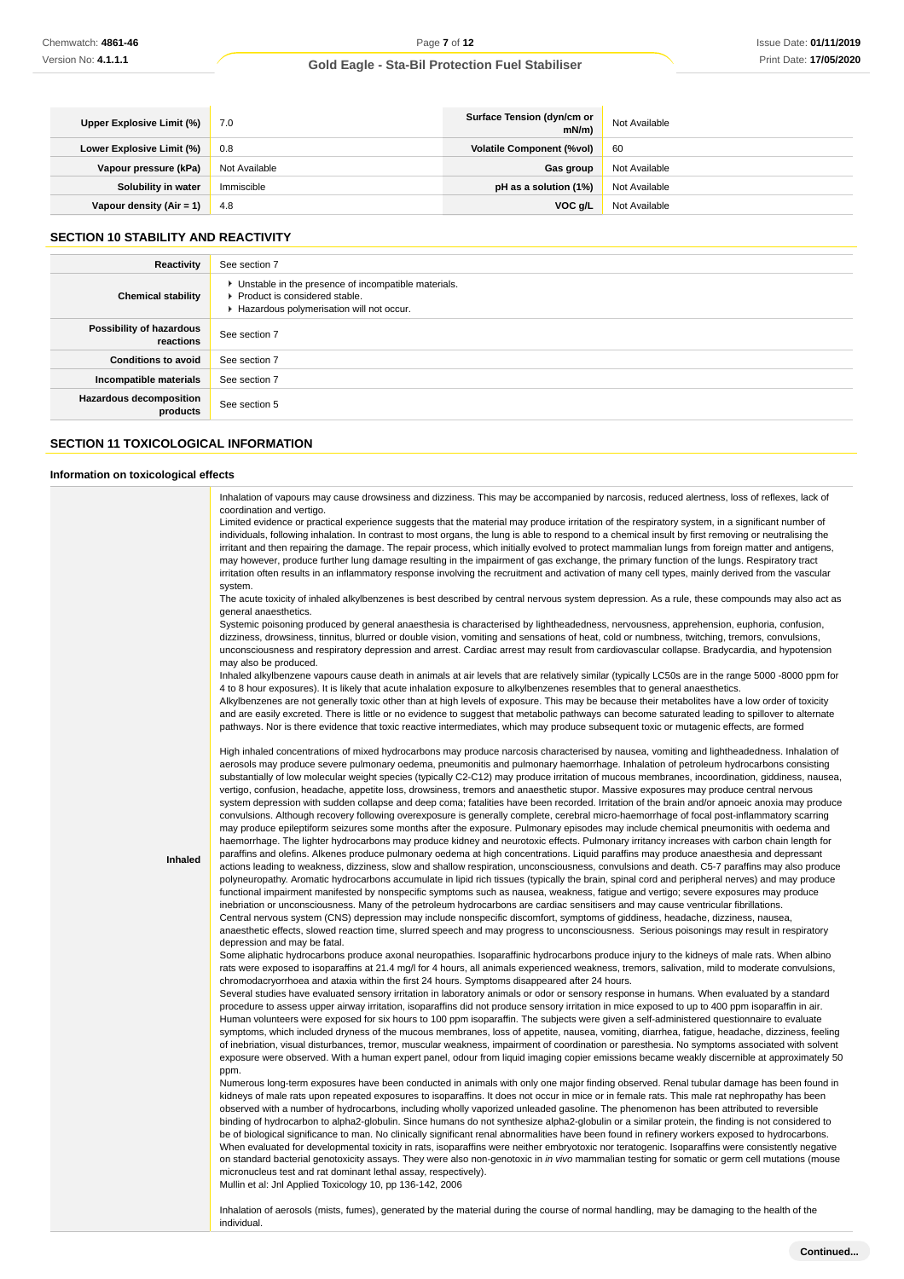| Upper Explosive Limit (%)  | 7.0           | Surface Tension (dyn/cm or<br>$mN/m$ ) | Not Available |
|----------------------------|---------------|----------------------------------------|---------------|
| Lower Explosive Limit (%)  | 0.8           | <b>Volatile Component (%vol)</b>       | 60            |
| Vapour pressure (kPa)      | Not Available | Gas group                              | Not Available |
| Solubility in water        | Immiscible    | pH as a solution (1%)                  | Not Available |
| Vapour density $(Air = 1)$ | 4.8           | VOC a/L                                | Not Available |

# **SECTION 10 STABILITY AND REACTIVITY**

| Reactivity                                 | See section 7                                                                                                                        |
|--------------------------------------------|--------------------------------------------------------------------------------------------------------------------------------------|
| <b>Chemical stability</b>                  | • Unstable in the presence of incompatible materials.<br>▶ Product is considered stable.<br>Hazardous polymerisation will not occur. |
| Possibility of hazardous<br>reactions      | See section 7                                                                                                                        |
| <b>Conditions to avoid</b>                 | See section 7                                                                                                                        |
| Incompatible materials                     | See section 7                                                                                                                        |
| <b>Hazardous decomposition</b><br>products | See section 5                                                                                                                        |

# **SECTION 11 TOXICOLOGICAL INFORMATION**

individual.

# **Information on toxicological effects**

| Inhaled | Inhalation of vapours may cause drowsiness and dizziness. This may be accompanied by narcosis, reduced alertness, loss of reflexes, lack of<br>coordination and vertigo.<br>Limited evidence or practical experience suggests that the material may produce irritation of the respiratory system, in a significant number of<br>individuals, following inhalation. In contrast to most organs, the lung is able to respond to a chemical insult by first removing or neutralising the<br>irritant and then repairing the damage. The repair process, which initially evolved to protect mammalian lungs from foreign matter and antigens,<br>may however, produce further lung damage resulting in the impairment of gas exchange, the primary function of the lungs. Respiratory tract<br>irritation often results in an inflammatory response involving the recruitment and activation of many cell types, mainly derived from the vascular<br>system.<br>The acute toxicity of inhaled alkylbenzenes is best described by central nervous system depression. As a rule, these compounds may also act as<br>general anaesthetics.<br>Systemic poisoning produced by general anaesthesia is characterised by lightheadedness, nervousness, apprehension, euphoria, confusion,<br>dizziness, drowsiness, tinnitus, blurred or double vision, vomiting and sensations of heat, cold or numbness, twitching, tremors, convulsions,<br>unconsciousness and respiratory depression and arrest. Cardiac arrest may result from cardiovascular collapse. Bradycardia, and hypotension<br>may also be produced.<br>Inhaled alkylbenzene vapours cause death in animals at air levels that are relatively similar (typically LC50s are in the range 5000 -8000 ppm for<br>4 to 8 hour exposures). It is likely that acute inhalation exposure to alkylbenzenes resembles that to general anaesthetics.<br>Alkylbenzenes are not generally toxic other than at high levels of exposure. This may be because their metabolites have a low order of toxicity<br>and are easily excreted. There is little or no evidence to suggest that metabolic pathways can become saturated leading to spillover to alternate<br>pathways. Nor is there evidence that toxic reactive intermediates, which may produce subsequent toxic or mutagenic effects, are formed<br>High inhaled concentrations of mixed hydrocarbons may produce narcosis characterised by nausea, vomiting and lightheadedness. Inhalation of<br>aerosols may produce severe pulmonary oedema, pneumonitis and pulmonary haemorrhage. Inhalation of petroleum hydrocarbons consisting<br>substantially of low molecular weight species (typically C2-C12) may produce irritation of mucous membranes, incoordination, giddiness, nausea,<br>vertigo, confusion, headache, appetite loss, drowsiness, tremors and anaesthetic stupor. Massive exposures may produce central nervous<br>system depression with sudden collapse and deep coma; fatalities have been recorded. Irritation of the brain and/or apnoeic anoxia may produce<br>convulsions. Although recovery following overexposure is generally complete, cerebral micro-haemorrhage of focal post-inflammatory scarring<br>may produce epileptiform seizures some months after the exposure. Pulmonary episodes may include chemical pneumonitis with oedema and<br>haemorrhage. The lighter hydrocarbons may produce kidney and neurotoxic effects. Pulmonary irritancy increases with carbon chain length for<br>paraffins and olefins. Alkenes produce pulmonary oedema at high concentrations. Liquid paraffins may produce anaesthesia and depressant<br>actions leading to weakness, dizziness, slow and shallow respiration, unconsciousness, convulsions and death. C5-7 paraffins may also produce<br>polyneuropathy. Aromatic hydrocarbons accumulate in lipid rich tissues (typically the brain, spinal cord and peripheral nerves) and may produce<br>functional impairment manifested by nonspecific symptoms such as nausea, weakness, fatigue and vertigo; severe exposures may produce<br>inebriation or unconsciousness. Many of the petroleum hydrocarbons are cardiac sensitisers and may cause ventricular fibrillations.<br>Central nervous system (CNS) depression may include nonspecific discomfort, symptoms of giddiness, headache, dizziness, nausea,<br>anaesthetic effects, slowed reaction time, slurred speech and may progress to unconsciousness. Serious poisonings may result in respiratory<br>depression and may be fatal.<br>Some aliphatic hydrocarbons produce axonal neuropathies. Isoparaffinic hydrocarbons produce injury to the kidneys of male rats. When albino<br>rats were exposed to isoparaffins at 21.4 mg/l for 4 hours, all animals experienced weakness, tremors, salivation, mild to moderate convulsions,<br>chromodacryorrhoea and ataxia within the first 24 hours. Symptoms disappeared after 24 hours. |
|---------|-----------------------------------------------------------------------------------------------------------------------------------------------------------------------------------------------------------------------------------------------------------------------------------------------------------------------------------------------------------------------------------------------------------------------------------------------------------------------------------------------------------------------------------------------------------------------------------------------------------------------------------------------------------------------------------------------------------------------------------------------------------------------------------------------------------------------------------------------------------------------------------------------------------------------------------------------------------------------------------------------------------------------------------------------------------------------------------------------------------------------------------------------------------------------------------------------------------------------------------------------------------------------------------------------------------------------------------------------------------------------------------------------------------------------------------------------------------------------------------------------------------------------------------------------------------------------------------------------------------------------------------------------------------------------------------------------------------------------------------------------------------------------------------------------------------------------------------------------------------------------------------------------------------------------------------------------------------------------------------------------------------------------------------------------------------------------------------------------------------------------------------------------------------------------------------------------------------------------------------------------------------------------------------------------------------------------------------------------------------------------------------------------------------------------------------------------------------------------------------------------------------------------------------------------------------------------------------------------------------------------------------------------------------------------------------------------------------------------------------------------------------------------------------------------------------------------------------------------------------------------------------------------------------------------------------------------------------------------------------------------------------------------------------------------------------------------------------------------------------------------------------------------------------------------------------------------------------------------------------------------------------------------------------------------------------------------------------------------------------------------------------------------------------------------------------------------------------------------------------------------------------------------------------------------------------------------------------------------------------------------------------------------------------------------------------------------------------------------------------------------------------------------------------------------------------------------------------------------------------------------------------------------------------------------------------------------------------------------------------------------------------------------------------------------------------------------------------------------------------------------------------------------------------------------------------------------------------------------------------------------------------------------------------------------------------------------------------------------------------------------------------------------------------------------------------------------------------------------------------------------------------------------------------------------------------------------------------------------------------------------------------------------------------------------------------------------------------------------------------------------------------------------------------------------------------------------------------------------------------------------------------------------------------------------------------------------------------------------------------|
|         |                                                                                                                                                                                                                                                                                                                                                                                                                                                                                                                                                                                                                                                                                                                                                                                                                                                                                                                                                                                                                                                                                                                                                                                                                                                                                                                                                                                                                                                                                                                                                                                                                                                                                                                                                                                                                                                                                                                                                                                                                                                                                                                                                                                                                                                                                                                                                                                                                                                                                                                                                                                                                                                                                                                                                                                                                                                                                                                                                                                                                                                                                                                                                                                                                                                                                                                                                                                                                                                                                                                                                                                                                                                                                                                                                                                                                                                                                                                                                                                                                                                                                                                                                                                                                                                                                                                                                                                                                                                                                                                                                                                                                                                                                                                                                                                                                                                                                                                                                                                   |
|         |                                                                                                                                                                                                                                                                                                                                                                                                                                                                                                                                                                                                                                                                                                                                                                                                                                                                                                                                                                                                                                                                                                                                                                                                                                                                                                                                                                                                                                                                                                                                                                                                                                                                                                                                                                                                                                                                                                                                                                                                                                                                                                                                                                                                                                                                                                                                                                                                                                                                                                                                                                                                                                                                                                                                                                                                                                                                                                                                                                                                                                                                                                                                                                                                                                                                                                                                                                                                                                                                                                                                                                                                                                                                                                                                                                                                                                                                                                                                                                                                                                                                                                                                                                                                                                                                                                                                                                                                                                                                                                                                                                                                                                                                                                                                                                                                                                                                                                                                                                                   |
|         |                                                                                                                                                                                                                                                                                                                                                                                                                                                                                                                                                                                                                                                                                                                                                                                                                                                                                                                                                                                                                                                                                                                                                                                                                                                                                                                                                                                                                                                                                                                                                                                                                                                                                                                                                                                                                                                                                                                                                                                                                                                                                                                                                                                                                                                                                                                                                                                                                                                                                                                                                                                                                                                                                                                                                                                                                                                                                                                                                                                                                                                                                                                                                                                                                                                                                                                                                                                                                                                                                                                                                                                                                                                                                                                                                                                                                                                                                                                                                                                                                                                                                                                                                                                                                                                                                                                                                                                                                                                                                                                                                                                                                                                                                                                                                                                                                                                                                                                                                                                   |
|         |                                                                                                                                                                                                                                                                                                                                                                                                                                                                                                                                                                                                                                                                                                                                                                                                                                                                                                                                                                                                                                                                                                                                                                                                                                                                                                                                                                                                                                                                                                                                                                                                                                                                                                                                                                                                                                                                                                                                                                                                                                                                                                                                                                                                                                                                                                                                                                                                                                                                                                                                                                                                                                                                                                                                                                                                                                                                                                                                                                                                                                                                                                                                                                                                                                                                                                                                                                                                                                                                                                                                                                                                                                                                                                                                                                                                                                                                                                                                                                                                                                                                                                                                                                                                                                                                                                                                                                                                                                                                                                                                                                                                                                                                                                                                                                                                                                                                                                                                                                                   |
|         | Several studies have evaluated sensory irritation in laboratory animals or odor or sensory response in humans. When evaluated by a standard                                                                                                                                                                                                                                                                                                                                                                                                                                                                                                                                                                                                                                                                                                                                                                                                                                                                                                                                                                                                                                                                                                                                                                                                                                                                                                                                                                                                                                                                                                                                                                                                                                                                                                                                                                                                                                                                                                                                                                                                                                                                                                                                                                                                                                                                                                                                                                                                                                                                                                                                                                                                                                                                                                                                                                                                                                                                                                                                                                                                                                                                                                                                                                                                                                                                                                                                                                                                                                                                                                                                                                                                                                                                                                                                                                                                                                                                                                                                                                                                                                                                                                                                                                                                                                                                                                                                                                                                                                                                                                                                                                                                                                                                                                                                                                                                                                       |
|         | procedure to assess upper airway irritation, isoparaffins did not produce sensory irritation in mice exposed to up to 400 ppm isoparaffin in air.<br>Human volunteers were exposed for six hours to 100 ppm isoparaffin. The subjects were given a self-administered questionnaire to evaluate<br>symptoms, which included dryness of the mucous membranes, loss of appetite, nausea, vomiting, diarrhea, fatigue, headache, dizziness, feeling<br>of inebriation, visual disturbances, tremor, muscular weakness, impairment of coordination or paresthesia. No symptoms associated with solvent                                                                                                                                                                                                                                                                                                                                                                                                                                                                                                                                                                                                                                                                                                                                                                                                                                                                                                                                                                                                                                                                                                                                                                                                                                                                                                                                                                                                                                                                                                                                                                                                                                                                                                                                                                                                                                                                                                                                                                                                                                                                                                                                                                                                                                                                                                                                                                                                                                                                                                                                                                                                                                                                                                                                                                                                                                                                                                                                                                                                                                                                                                                                                                                                                                                                                                                                                                                                                                                                                                                                                                                                                                                                                                                                                                                                                                                                                                                                                                                                                                                                                                                                                                                                                                                                                                                                                                                 |
|         | exposure were observed. With a human expert panel, odour from liquid imaging copier emissions became weakly discernible at approximately 50                                                                                                                                                                                                                                                                                                                                                                                                                                                                                                                                                                                                                                                                                                                                                                                                                                                                                                                                                                                                                                                                                                                                                                                                                                                                                                                                                                                                                                                                                                                                                                                                                                                                                                                                                                                                                                                                                                                                                                                                                                                                                                                                                                                                                                                                                                                                                                                                                                                                                                                                                                                                                                                                                                                                                                                                                                                                                                                                                                                                                                                                                                                                                                                                                                                                                                                                                                                                                                                                                                                                                                                                                                                                                                                                                                                                                                                                                                                                                                                                                                                                                                                                                                                                                                                                                                                                                                                                                                                                                                                                                                                                                                                                                                                                                                                                                                       |
|         | ppm.<br>Numerous long-term exposures have been conducted in animals with only one major finding observed. Renal tubular damage has been found in                                                                                                                                                                                                                                                                                                                                                                                                                                                                                                                                                                                                                                                                                                                                                                                                                                                                                                                                                                                                                                                                                                                                                                                                                                                                                                                                                                                                                                                                                                                                                                                                                                                                                                                                                                                                                                                                                                                                                                                                                                                                                                                                                                                                                                                                                                                                                                                                                                                                                                                                                                                                                                                                                                                                                                                                                                                                                                                                                                                                                                                                                                                                                                                                                                                                                                                                                                                                                                                                                                                                                                                                                                                                                                                                                                                                                                                                                                                                                                                                                                                                                                                                                                                                                                                                                                                                                                                                                                                                                                                                                                                                                                                                                                                                                                                                                                  |
|         | kidneys of male rats upon repeated exposures to isoparaffins. It does not occur in mice or in female rats. This male rat nephropathy has been<br>observed with a number of hydrocarbons, including wholly vaporized unleaded gasoline. The phenomenon has been attributed to reversible                                                                                                                                                                                                                                                                                                                                                                                                                                                                                                                                                                                                                                                                                                                                                                                                                                                                                                                                                                                                                                                                                                                                                                                                                                                                                                                                                                                                                                                                                                                                                                                                                                                                                                                                                                                                                                                                                                                                                                                                                                                                                                                                                                                                                                                                                                                                                                                                                                                                                                                                                                                                                                                                                                                                                                                                                                                                                                                                                                                                                                                                                                                                                                                                                                                                                                                                                                                                                                                                                                                                                                                                                                                                                                                                                                                                                                                                                                                                                                                                                                                                                                                                                                                                                                                                                                                                                                                                                                                                                                                                                                                                                                                                                           |
|         | binding of hydrocarbon to alpha2-globulin. Since humans do not synthesize alpha2-globulin or a similar protein, the finding is not considered to<br>be of biological significance to man. No clinically significant renal abnormalities have been found in refinery workers exposed to hydrocarbons.<br>When evaluated for developmental toxicity in rats, isoparaffins were neither embryotoxic nor teratogenic. Isoparaffins were consistently negative                                                                                                                                                                                                                                                                                                                                                                                                                                                                                                                                                                                                                                                                                                                                                                                                                                                                                                                                                                                                                                                                                                                                                                                                                                                                                                                                                                                                                                                                                                                                                                                                                                                                                                                                                                                                                                                                                                                                                                                                                                                                                                                                                                                                                                                                                                                                                                                                                                                                                                                                                                                                                                                                                                                                                                                                                                                                                                                                                                                                                                                                                                                                                                                                                                                                                                                                                                                                                                                                                                                                                                                                                                                                                                                                                                                                                                                                                                                                                                                                                                                                                                                                                                                                                                                                                                                                                                                                                                                                                                                         |
|         | on standard bacterial genotoxicity assays. They were also non-genotoxic in in vivo mammalian testing for somatic or germ cell mutations (mouse<br>micronucleus test and rat dominant lethal assay, respectively).<br>Mullin et al: Jnl Applied Toxicology 10, pp 136-142, 2006                                                                                                                                                                                                                                                                                                                                                                                                                                                                                                                                                                                                                                                                                                                                                                                                                                                                                                                                                                                                                                                                                                                                                                                                                                                                                                                                                                                                                                                                                                                                                                                                                                                                                                                                                                                                                                                                                                                                                                                                                                                                                                                                                                                                                                                                                                                                                                                                                                                                                                                                                                                                                                                                                                                                                                                                                                                                                                                                                                                                                                                                                                                                                                                                                                                                                                                                                                                                                                                                                                                                                                                                                                                                                                                                                                                                                                                                                                                                                                                                                                                                                                                                                                                                                                                                                                                                                                                                                                                                                                                                                                                                                                                                                                    |
|         | Inhalation of aerosols (mists, fumes), generated by the material during the course of normal handling, may be damaging to the health of the                                                                                                                                                                                                                                                                                                                                                                                                                                                                                                                                                                                                                                                                                                                                                                                                                                                                                                                                                                                                                                                                                                                                                                                                                                                                                                                                                                                                                                                                                                                                                                                                                                                                                                                                                                                                                                                                                                                                                                                                                                                                                                                                                                                                                                                                                                                                                                                                                                                                                                                                                                                                                                                                                                                                                                                                                                                                                                                                                                                                                                                                                                                                                                                                                                                                                                                                                                                                                                                                                                                                                                                                                                                                                                                                                                                                                                                                                                                                                                                                                                                                                                                                                                                                                                                                                                                                                                                                                                                                                                                                                                                                                                                                                                                                                                                                                                       |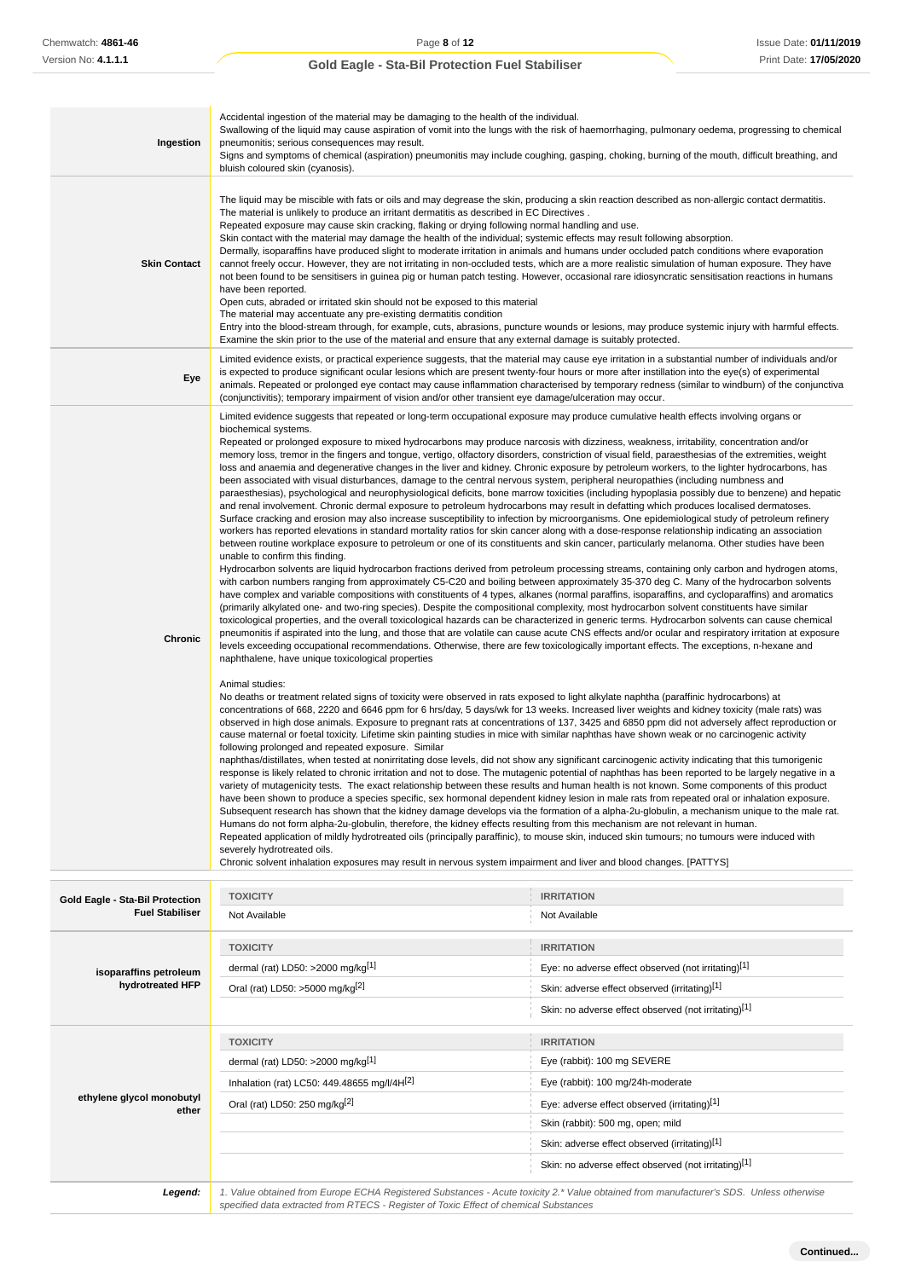| Ingestion                                  | Accidental ingestion of the material may be damaging to the health of the individual.<br>pneumonitis; serious consequences may result.<br>bluish coloured skin (cyanosis).                                                                                                                                                                                                                                                                                                                                                                                                                                                                                                                                                                                                                                                                                                                                                                                                                                                                                                                                                                                                                                                                                                                                                                                                                                                                                                                                                                                                                                                                                                                                                                                                                                                                                                                                                                                                                                                                                                                                                                                                                                                                                                                                                                                                                                                                                                                                                                                                                                                                                                                                                                                                                                                                                                                                                                                                                                                                                                                                                                                                                                                                                                                                                                                                                                                                                                                                                                                                                                                                                                                                                                                                                                                                                                                                                                                                                                                                                                                                                                                                                                                                                                                                                                                                                                                                                                                         | Swallowing of the liquid may cause aspiration of vomit into the lungs with the risk of haemorrhaging, pulmonary oedema, progressing to chemical<br>Signs and symptoms of chemical (aspiration) pneumonitis may include coughing, gasping, choking, burning of the mouth, difficult breathing, and    |  |
|--------------------------------------------|----------------------------------------------------------------------------------------------------------------------------------------------------------------------------------------------------------------------------------------------------------------------------------------------------------------------------------------------------------------------------------------------------------------------------------------------------------------------------------------------------------------------------------------------------------------------------------------------------------------------------------------------------------------------------------------------------------------------------------------------------------------------------------------------------------------------------------------------------------------------------------------------------------------------------------------------------------------------------------------------------------------------------------------------------------------------------------------------------------------------------------------------------------------------------------------------------------------------------------------------------------------------------------------------------------------------------------------------------------------------------------------------------------------------------------------------------------------------------------------------------------------------------------------------------------------------------------------------------------------------------------------------------------------------------------------------------------------------------------------------------------------------------------------------------------------------------------------------------------------------------------------------------------------------------------------------------------------------------------------------------------------------------------------------------------------------------------------------------------------------------------------------------------------------------------------------------------------------------------------------------------------------------------------------------------------------------------------------------------------------------------------------------------------------------------------------------------------------------------------------------------------------------------------------------------------------------------------------------------------------------------------------------------------------------------------------------------------------------------------------------------------------------------------------------------------------------------------------------------------------------------------------------------------------------------------------------------------------------------------------------------------------------------------------------------------------------------------------------------------------------------------------------------------------------------------------------------------------------------------------------------------------------------------------------------------------------------------------------------------------------------------------------------------------------------------------------------------------------------------------------------------------------------------------------------------------------------------------------------------------------------------------------------------------------------------------------------------------------------------------------------------------------------------------------------------------------------------------------------------------------------------------------------------------------------------------------------------------------------------------------------------------------------------------------------------------------------------------------------------------------------------------------------------------------------------------------------------------------------------------------------------------------------------------------------------------------------------------------------------------------------------------------------------------------------------------------------------------------------------------------|------------------------------------------------------------------------------------------------------------------------------------------------------------------------------------------------------------------------------------------------------------------------------------------------------|--|
| <b>Skin Contact</b>                        | The liquid may be miscible with fats or oils and may degrease the skin, producing a skin reaction described as non-allergic contact dermatitis.<br>The material is unlikely to produce an irritant dermatitis as described in EC Directives.<br>Repeated exposure may cause skin cracking, flaking or drying following normal handling and use.<br>Skin contact with the material may damage the health of the individual; systemic effects may result following absorption.<br>Dermally, isoparaffins have produced slight to moderate irritation in animals and humans under occluded patch conditions where evaporation<br>cannot freely occur. However, they are not irritating in non-occluded tests, which are a more realistic simulation of human exposure. They have<br>not been found to be sensitisers in guinea pig or human patch testing. However, occasional rare idiosyncratic sensitisation reactions in humans<br>have been reported.<br>Open cuts, abraded or irritated skin should not be exposed to this material<br>The material may accentuate any pre-existing dermatitis condition<br>Entry into the blood-stream through, for example, cuts, abrasions, puncture wounds or lesions, may produce systemic injury with harmful effects.<br>Examine the skin prior to the use of the material and ensure that any external damage is suitably protected.                                                                                                                                                                                                                                                                                                                                                                                                                                                                                                                                                                                                                                                                                                                                                                                                                                                                                                                                                                                                                                                                                                                                                                                                                                                                                                                                                                                                                                                                                                                                                                                                                                                                                                                                                                                                                                                                                                                                                                                                                                                                                                                                                                                                                                                                                                                                                                                                                                                                                                                                                                                                                                                                                                                                                                                                                                                                                                                                                                                                                                                                                                                    |                                                                                                                                                                                                                                                                                                      |  |
| Eye                                        | is expected to produce significant ocular lesions which are present twenty-four hours or more after instillation into the eye(s) of experimental<br>(conjunctivitis); temporary impairment of vision and/or other transient eye damage/ulceration may occur.                                                                                                                                                                                                                                                                                                                                                                                                                                                                                                                                                                                                                                                                                                                                                                                                                                                                                                                                                                                                                                                                                                                                                                                                                                                                                                                                                                                                                                                                                                                                                                                                                                                                                                                                                                                                                                                                                                                                                                                                                                                                                                                                                                                                                                                                                                                                                                                                                                                                                                                                                                                                                                                                                                                                                                                                                                                                                                                                                                                                                                                                                                                                                                                                                                                                                                                                                                                                                                                                                                                                                                                                                                                                                                                                                                                                                                                                                                                                                                                                                                                                                                                                                                                                                                       | Limited evidence exists, or practical experience suggests, that the material may cause eye irritation in a substantial number of individuals and/or<br>animals. Repeated or prolonged eye contact may cause inflammation characterised by temporary redness (similar to windburn) of the conjunctiva |  |
| Chronic                                    | Limited evidence suggests that repeated or long-term occupational exposure may produce cumulative health effects involving organs or<br>biochemical systems.<br>Repeated or prolonged exposure to mixed hydrocarbons may produce narcosis with dizziness, weakness, irritability, concentration and/or<br>memory loss, tremor in the fingers and tongue, vertigo, olfactory disorders, constriction of visual field, paraesthesias of the extremities, weight<br>loss and anaemia and degenerative changes in the liver and kidney. Chronic exposure by petroleum workers, to the lighter hydrocarbons, has<br>been associated with visual disturbances, damage to the central nervous system, peripheral neuropathies (including numbness and<br>paraesthesias), psychological and neurophysiological deficits, bone marrow toxicities (including hypoplasia possibly due to benzene) and hepatic<br>and renal involvement. Chronic dermal exposure to petroleum hydrocarbons may result in defatting which produces localised dermatoses.<br>Surface cracking and erosion may also increase susceptibility to infection by microorganisms. One epidemiological study of petroleum refinery<br>workers has reported elevations in standard mortality ratios for skin cancer along with a dose-response relationship indicating an association<br>between routine workplace exposure to petroleum or one of its constituents and skin cancer, particularly melanoma. Other studies have been<br>unable to confirm this finding.<br>Hydrocarbon solvents are liquid hydrocarbon fractions derived from petroleum processing streams, containing only carbon and hydrogen atoms,<br>with carbon numbers ranging from approximately C5-C20 and boiling between approximately 35-370 deg C. Many of the hydrocarbon solvents<br>have complex and variable compositions with constituents of 4 types, alkanes (normal paraffins, isoparaffins, and cycloparaffins) and aromatics<br>(primarily alkylated one- and two-ring species). Despite the compositional complexity, most hydrocarbon solvent constituents have similar<br>toxicological properties, and the overall toxicological hazards can be characterized in generic terms. Hydrocarbon solvents can cause chemical<br>pneumonitis if aspirated into the lung, and those that are volatile can cause acute CNS effects and/or ocular and respiratory irritation at exposure<br>levels exceeding occupational recommendations. Otherwise, there are few toxicologically important effects. The exceptions, n-hexane and<br>naphthalene, have unique toxicological properties<br>Animal studies:<br>No deaths or treatment related signs of toxicity were observed in rats exposed to light alkylate naphtha (paraffinic hydrocarbons) at<br>concentrations of 668, 2220 and 6646 ppm for 6 hrs/day, 5 days/wk for 13 weeks. Increased liver weights and kidney toxicity (male rats) was<br>observed in high dose animals. Exposure to pregnant rats at concentrations of 137, 3425 and 6850 ppm did not adversely affect reproduction or<br>cause maternal or foetal toxicity. Lifetime skin painting studies in mice with similar naphthas have shown weak or no carcinogenic activity<br>following prolonged and repeated exposure. Similar<br>naphthas/distillates, when tested at nonirritating dose levels, did not show any significant carcinogenic activity indicating that this tumorigenic<br>response is likely related to chronic irritation and not to dose. The mutagenic potential of naphthas has been reported to be largely negative in a<br>variety of mutagenicity tests. The exact relationship between these results and human health is not known. Some components of this product<br>have been shown to produce a species specific, sex hormonal dependent kidney lesion in male rats from repeated oral or inhalation exposure.<br>Subsequent research has shown that the kidney damage develops via the formation of a alpha-2u-globulin, a mechanism unique to the male rat.<br>Humans do not form alpha-2u-globulin, therefore, the kidney effects resulting from this mechanism are not relevant in human.<br>Repeated application of mildly hydrotreated oils (principally paraffinic), to mouse skin, induced skin tumours; no tumours were induced with<br>severely hydrotreated oils.<br>Chronic solvent inhalation exposures may result in nervous system impairment and liver and blood changes. [PATTYS] |                                                                                                                                                                                                                                                                                                      |  |
| Gold Eagle - Sta-Bil Protection            | <b>TOXICITY</b>                                                                                                                                                                                                                                                                                                                                                                                                                                                                                                                                                                                                                                                                                                                                                                                                                                                                                                                                                                                                                                                                                                                                                                                                                                                                                                                                                                                                                                                                                                                                                                                                                                                                                                                                                                                                                                                                                                                                                                                                                                                                                                                                                                                                                                                                                                                                                                                                                                                                                                                                                                                                                                                                                                                                                                                                                                                                                                                                                                                                                                                                                                                                                                                                                                                                                                                                                                                                                                                                                                                                                                                                                                                                                                                                                                                                                                                                                                                                                                                                                                                                                                                                                                                                                                                                                                                                                                                                                                                                                    | <b>IRRITATION</b>                                                                                                                                                                                                                                                                                    |  |
| <b>Fuel Stabiliser</b>                     | Not Available                                                                                                                                                                                                                                                                                                                                                                                                                                                                                                                                                                                                                                                                                                                                                                                                                                                                                                                                                                                                                                                                                                                                                                                                                                                                                                                                                                                                                                                                                                                                                                                                                                                                                                                                                                                                                                                                                                                                                                                                                                                                                                                                                                                                                                                                                                                                                                                                                                                                                                                                                                                                                                                                                                                                                                                                                                                                                                                                                                                                                                                                                                                                                                                                                                                                                                                                                                                                                                                                                                                                                                                                                                                                                                                                                                                                                                                                                                                                                                                                                                                                                                                                                                                                                                                                                                                                                                                                                                                                                      | Not Available                                                                                                                                                                                                                                                                                        |  |
| isoparaffins petroleum<br>hydrotreated HFP | <b>TOXICITY</b><br>dermal (rat) LD50: >2000 mg/kg[1]<br>Oral (rat) LD50: >5000 mg/kg[2]                                                                                                                                                                                                                                                                                                                                                                                                                                                                                                                                                                                                                                                                                                                                                                                                                                                                                                                                                                                                                                                                                                                                                                                                                                                                                                                                                                                                                                                                                                                                                                                                                                                                                                                                                                                                                                                                                                                                                                                                                                                                                                                                                                                                                                                                                                                                                                                                                                                                                                                                                                                                                                                                                                                                                                                                                                                                                                                                                                                                                                                                                                                                                                                                                                                                                                                                                                                                                                                                                                                                                                                                                                                                                                                                                                                                                                                                                                                                                                                                                                                                                                                                                                                                                                                                                                                                                                                                            | <b>IRRITATION</b><br>Eye: no adverse effect observed (not irritating)[1]<br>Skin: adverse effect observed (irritating)[1]<br>Skin: no adverse effect observed (not irritating)[1]                                                                                                                    |  |
|                                            | <b>TOXICITY</b>                                                                                                                                                                                                                                                                                                                                                                                                                                                                                                                                                                                                                                                                                                                                                                                                                                                                                                                                                                                                                                                                                                                                                                                                                                                                                                                                                                                                                                                                                                                                                                                                                                                                                                                                                                                                                                                                                                                                                                                                                                                                                                                                                                                                                                                                                                                                                                                                                                                                                                                                                                                                                                                                                                                                                                                                                                                                                                                                                                                                                                                                                                                                                                                                                                                                                                                                                                                                                                                                                                                                                                                                                                                                                                                                                                                                                                                                                                                                                                                                                                                                                                                                                                                                                                                                                                                                                                                                                                                                                    | <b>IRRITATION</b>                                                                                                                                                                                                                                                                                    |  |
|                                            | dermal (rat) LD50: >2000 mg/kg[1]                                                                                                                                                                                                                                                                                                                                                                                                                                                                                                                                                                                                                                                                                                                                                                                                                                                                                                                                                                                                                                                                                                                                                                                                                                                                                                                                                                                                                                                                                                                                                                                                                                                                                                                                                                                                                                                                                                                                                                                                                                                                                                                                                                                                                                                                                                                                                                                                                                                                                                                                                                                                                                                                                                                                                                                                                                                                                                                                                                                                                                                                                                                                                                                                                                                                                                                                                                                                                                                                                                                                                                                                                                                                                                                                                                                                                                                                                                                                                                                                                                                                                                                                                                                                                                                                                                                                                                                                                                                                  | Eye (rabbit): 100 mg SEVERE                                                                                                                                                                                                                                                                          |  |
|                                            | Inhalation (rat) LC50: 449.48655 mg/l/4H[2]                                                                                                                                                                                                                                                                                                                                                                                                                                                                                                                                                                                                                                                                                                                                                                                                                                                                                                                                                                                                                                                                                                                                                                                                                                                                                                                                                                                                                                                                                                                                                                                                                                                                                                                                                                                                                                                                                                                                                                                                                                                                                                                                                                                                                                                                                                                                                                                                                                                                                                                                                                                                                                                                                                                                                                                                                                                                                                                                                                                                                                                                                                                                                                                                                                                                                                                                                                                                                                                                                                                                                                                                                                                                                                                                                                                                                                                                                                                                                                                                                                                                                                                                                                                                                                                                                                                                                                                                                                                        | Eye (rabbit): 100 mg/24h-moderate                                                                                                                                                                                                                                                                    |  |
| ethylene glycol monobutyl                  | Oral (rat) LD50: 250 mg/kg <sup>[2]</sup>                                                                                                                                                                                                                                                                                                                                                                                                                                                                                                                                                                                                                                                                                                                                                                                                                                                                                                                                                                                                                                                                                                                                                                                                                                                                                                                                                                                                                                                                                                                                                                                                                                                                                                                                                                                                                                                                                                                                                                                                                                                                                                                                                                                                                                                                                                                                                                                                                                                                                                                                                                                                                                                                                                                                                                                                                                                                                                                                                                                                                                                                                                                                                                                                                                                                                                                                                                                                                                                                                                                                                                                                                                                                                                                                                                                                                                                                                                                                                                                                                                                                                                                                                                                                                                                                                                                                                                                                                                                          | Eye: adverse effect observed (irritating)[1]                                                                                                                                                                                                                                                         |  |
| ether                                      |                                                                                                                                                                                                                                                                                                                                                                                                                                                                                                                                                                                                                                                                                                                                                                                                                                                                                                                                                                                                                                                                                                                                                                                                                                                                                                                                                                                                                                                                                                                                                                                                                                                                                                                                                                                                                                                                                                                                                                                                                                                                                                                                                                                                                                                                                                                                                                                                                                                                                                                                                                                                                                                                                                                                                                                                                                                                                                                                                                                                                                                                                                                                                                                                                                                                                                                                                                                                                                                                                                                                                                                                                                                                                                                                                                                                                                                                                                                                                                                                                                                                                                                                                                                                                                                                                                                                                                                                                                                                                                    | Skin (rabbit): 500 mg, open; mild                                                                                                                                                                                                                                                                    |  |
|                                            |                                                                                                                                                                                                                                                                                                                                                                                                                                                                                                                                                                                                                                                                                                                                                                                                                                                                                                                                                                                                                                                                                                                                                                                                                                                                                                                                                                                                                                                                                                                                                                                                                                                                                                                                                                                                                                                                                                                                                                                                                                                                                                                                                                                                                                                                                                                                                                                                                                                                                                                                                                                                                                                                                                                                                                                                                                                                                                                                                                                                                                                                                                                                                                                                                                                                                                                                                                                                                                                                                                                                                                                                                                                                                                                                                                                                                                                                                                                                                                                                                                                                                                                                                                                                                                                                                                                                                                                                                                                                                                    |                                                                                                                                                                                                                                                                                                      |  |

**Legend:** 1. Value obtained from Europe ECHA Registered Substances - Acute toxicity 2.\* Value obtained from manufacturer's SDS. Unless otherwise specified data extracted from RTECS - Register of Toxic Effect of chemical Substances

Skin: adverse effect observed (irritating)[1] Skin: no adverse effect observed (not irritating)[1]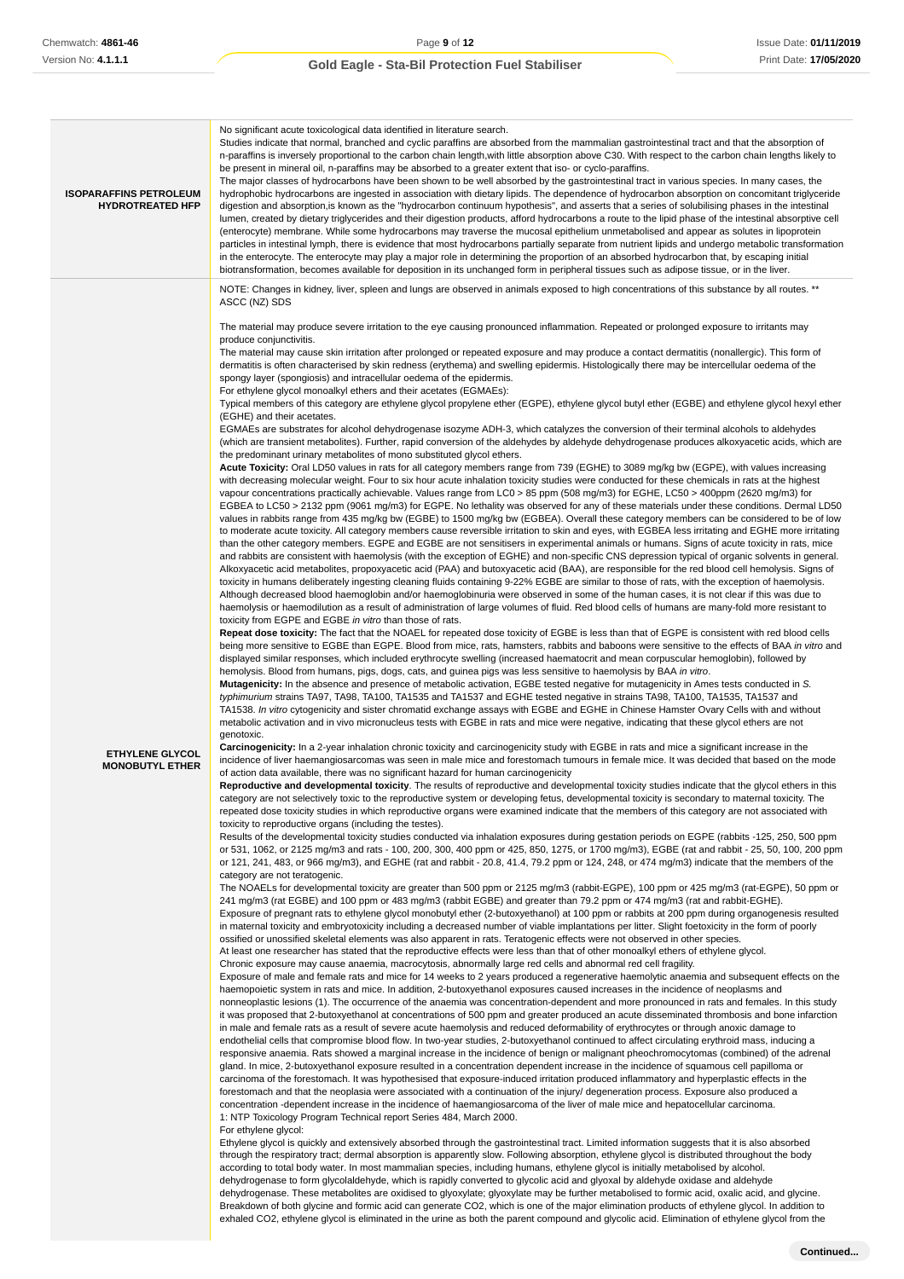| <b>ISOPARAFFINS PETROLEUM</b><br><b>HYDROTREATED HFP</b> | No significant acute toxicological data identified in literature search.<br>Studies indicate that normal, branched and cyclic paraffins are absorbed from the mammalian gastrointestinal tract and that the absorption of<br>n-paraffins is inversely proportional to the carbon chain length, with little absorption above C30. With respect to the carbon chain lengths likely to<br>be present in mineral oil, n-paraffins may be absorbed to a greater extent that iso- or cyclo-paraffins.<br>The major classes of hydrocarbons have been shown to be well absorbed by the gastrointestinal tract in various species. In many cases, the<br>hydrophobic hydrocarbons are ingested in association with dietary lipids. The dependence of hydrocarbon absorption on concomitant triglyceride<br>digestion and absorption, is known as the "hydrocarbon continuum hypothesis", and asserts that a series of solubilising phases in the intestinal<br>lumen, created by dietary triglycerides and their digestion products, afford hydrocarbons a route to the lipid phase of the intestinal absorptive cell<br>(enterocyte) membrane. While some hydrocarbons may traverse the mucosal epithelium unmetabolised and appear as solutes in lipoprotein<br>particles in intestinal lymph, there is evidence that most hydrocarbons partially separate from nutrient lipids and undergo metabolic transformation<br>in the enterocyte. The enterocyte may play a major role in determining the proportion of an absorbed hydrocarbon that, by escaping initial<br>biotransformation, becomes available for deposition in its unchanged form in peripheral tissues such as adipose tissue, or in the liver.                                                                                                                                                                                                                                                                                                                                                                                                                                                                                                                                                                                                                                                                                                                                                                                                                                                                                                                                                                                                                                                                                                                                                                                                                                                                                                                                                                                                                                                                                                                                                                                                                                                                                                                                                                                                                                                                                                                                                                                                                                                                                                                                                                                                                                                                                                                                                                                                                                                                                                                                                                                                                                                                                                                                                                                                                                                                                                                                                                                                                                                                                                                                                                                                                                                                                                                                                                                                                                                                                                                                                                                                                                                                                                                                                                                                                                                                                                                                                                                                                                                                                                                                                                                                                                                                                                                                                                                                                                                                                                                                                                                                                                                                                                                                                                                                                                                                                                                                                                                                                                                                                                                                                                                                                                                                                                                                                                                                                                                                                                                                                                                                                                                                                                                                                                                                                                                                                                                                                                                                                                                                                                                                                                                                                                                                                                                                                                                                                                                                                                                                                                                                                                                                                                                                                                                                                                                                                                                                                                                                                                                                                                                                                                                                                                                                                                                                                                                                |
|----------------------------------------------------------|---------------------------------------------------------------------------------------------------------------------------------------------------------------------------------------------------------------------------------------------------------------------------------------------------------------------------------------------------------------------------------------------------------------------------------------------------------------------------------------------------------------------------------------------------------------------------------------------------------------------------------------------------------------------------------------------------------------------------------------------------------------------------------------------------------------------------------------------------------------------------------------------------------------------------------------------------------------------------------------------------------------------------------------------------------------------------------------------------------------------------------------------------------------------------------------------------------------------------------------------------------------------------------------------------------------------------------------------------------------------------------------------------------------------------------------------------------------------------------------------------------------------------------------------------------------------------------------------------------------------------------------------------------------------------------------------------------------------------------------------------------------------------------------------------------------------------------------------------------------------------------------------------------------------------------------------------------------------------------------------------------------------------------------------------------------------------------------------------------------------------------------------------------------------------------------------------------------------------------------------------------------------------------------------------------------------------------------------------------------------------------------------------------------------------------------------------------------------------------------------------------------------------------------------------------------------------------------------------------------------------------------------------------------------------------------------------------------------------------------------------------------------------------------------------------------------------------------------------------------------------------------------------------------------------------------------------------------------------------------------------------------------------------------------------------------------------------------------------------------------------------------------------------------------------------------------------------------------------------------------------------------------------------------------------------------------------------------------------------------------------------------------------------------------------------------------------------------------------------------------------------------------------------------------------------------------------------------------------------------------------------------------------------------------------------------------------------------------------------------------------------------------------------------------------------------------------------------------------------------------------------------------------------------------------------------------------------------------------------------------------------------------------------------------------------------------------------------------------------------------------------------------------------------------------------------------------------------------------------------------------------------------------------------------------------------------------------------------------------------------------------------------------------------------------------------------------------------------------------------------------------------------------------------------------------------------------------------------------------------------------------------------------------------------------------------------------------------------------------------------------------------------------------------------------------------------------------------------------------------------------------------------------------------------------------------------------------------------------------------------------------------------------------------------------------------------------------------------------------------------------------------------------------------------------------------------------------------------------------------------------------------------------------------------------------------------------------------------------------------------------------------------------------------------------------------------------------------------------------------------------------------------------------------------------------------------------------------------------------------------------------------------------------------------------------------------------------------------------------------------------------------------------------------------------------------------------------------------------------------------------------------------------------------------------------------------------------------------------------------------------------------------------------------------------------------------------------------------------------------------------------------------------------------------------------------------------------------------------------------------------------------------------------------------------------------------------------------------------------------------------------------------------------------------------------------------------------------------------------------------------------------------------------------------------------------------------------------------------------------------------------------------------------------------------------------------------------------------------------------------------------------------------------------------------------------------------------------------------------------------------------------------------------------------------------------------------------------------------------------------------------------------------------------------------------------------------------------------------------------------------------------------------------------------------------------------------------------------------------------------------------------------------------------------------------------------------------------------------------------------------------------------------------------------------------------------------------------------------------------------------------------------------------------------------------------------------------------------------------------------------------------------------------------------------------------------------------------------------------------------------------------------------------------------------------------------------------------------------------------------------------------------------------------------------------------------------------------------------------------------------------------------------------------------------------------------------------------------------------------------------------------------------------------------------------------------------------------------------------------------------------------------------------------------------------------------------------------------------------------------------------------------------------------------------------------------------------------------------------------------------------------------------------------------------------------------------------------------------------------------------------------------------------------------------------------------------------------------------------------------------------------------------------------------------------------------------------------------------------------------------------------------------------------------------------------------------------------------------------------------------------------------------------------------------------------------------------------------------------|
| <b>ETHYLENE GLYCOL</b><br><b>MONOBUTYL ETHER</b>         | NOTE: Changes in kidney, liver, spleen and lungs are observed in animals exposed to high concentrations of this substance by all routes. **<br>ASCC (NZ) SDS<br>The material may produce severe irritation to the eye causing pronounced inflammation. Repeated or prolonged exposure to irritants may<br>produce conjunctivitis.<br>The material may cause skin irritation after prolonged or repeated exposure and may produce a contact dermatitis (nonallergic). This form of<br>dermatitis is often characterised by skin redness (erythema) and swelling epidermis. Histologically there may be intercellular oedema of the<br>spongy layer (spongiosis) and intracellular oedema of the epidermis.<br>For ethylene glycol monoalkyl ethers and their acetates (EGMAEs):<br>Typical members of this category are ethylene glycol propylene ether (EGPE), ethylene glycol butyl ether (EGBE) and ethylene glycol hexyl ether<br>(EGHE) and their acetates.<br>EGMAEs are substrates for alcohol dehydrogenase isozyme ADH-3, which catalyzes the conversion of their terminal alcohols to aldehydes<br>(which are transient metabolites). Further, rapid conversion of the aldehydes by aldehyde dehydrogenase produces alkoxyacetic acids, which are<br>the predominant urinary metabolites of mono substituted glycol ethers.<br>Acute Toxicity: Oral LD50 values in rats for all category members range from 739 (EGHE) to 3089 mg/kg bw (EGPE), with values increasing<br>with decreasing molecular weight. Four to six hour acute inhalation toxicity studies were conducted for these chemicals in rats at the highest<br>vapour concentrations practically achievable. Values range from LC0 > 85 ppm (508 mg/m3) for EGHE, LC50 > 400ppm (2620 mg/m3) for<br>EGBEA to LC50 > 2132 ppm (9061 mg/m3) for EGPE. No lethality was observed for any of these materials under these conditions. Dermal LD50<br>values in rabbits range from 435 mg/kg bw (EGBE) to 1500 mg/kg bw (EGBEA). Overall these category members can be considered to be of low<br>to moderate acute toxicity. All category members cause reversible irritation to skin and eyes, with EGBEA less irritating and EGHE more irritating<br>than the other category members. EGPE and EGBE are not sensitisers in experimental animals or humans. Signs of acute toxicity in rats, mice<br>and rabbits are consistent with haemolysis (with the exception of EGHE) and non-specific CNS depression typical of organic solvents in general.<br>Alkoxyacetic acid metabolites, propoxyacetic acid (PAA) and butoxyacetic acid (BAA), are responsible for the red blood cell hemolysis. Signs of<br>toxicity in humans deliberately ingesting cleaning fluids containing 9-22% EGBE are similar to those of rats, with the exception of haemolysis.<br>Although decreased blood haemoglobin and/or haemoglobinuria were observed in some of the human cases, it is not clear if this was due to<br>haemolysis or haemodilution as a result of administration of large volumes of fluid. Red blood cells of humans are many-fold more resistant to<br>toxicity from EGPE and EGBE in vitro than those of rats.<br>Repeat dose toxicity: The fact that the NOAEL for repeated dose toxicity of EGBE is less than that of EGPE is consistent with red blood cells<br>being more sensitive to EGBE than EGPE. Blood from mice, rats, hamsters, rabbits and baboons were sensitive to the effects of BAA in vitro and<br>displayed similar responses, which included erythrocyte swelling (increased haematocrit and mean corpuscular hemoglobin), followed by<br>hemolysis. Blood from humans, pigs, dogs, cats, and guinea pigs was less sensitive to haemolysis by BAA in vitro.<br>Mutagenicity: In the absence and presence of metabolic activation, EGBE tested negative for mutagenicity in Ames tests conducted in S.<br>typhimurium strains TA97, TA98, TA100, TA1535 and TA1537 and EGHE tested negative in strains TA98, TA100, TA1535, TA1537 and<br>TA1538. In vitro cytogenicity and sister chromatid exchange assays with EGBE and EGHE in Chinese Hamster Ovary Cells with and without<br>metabolic activation and in vivo micronucleus tests with EGBE in rats and mice were negative, indicating that these glycol ethers are not<br>genotoxic.<br>Carcinogenicity: In a 2-year inhalation chronic toxicity and carcinogenicity study with EGBE in rats and mice a significant increase in the<br>incidence of liver haemangiosarcomas was seen in male mice and forestomach tumours in female mice. It was decided that based on the mode<br>of action data available, there was no significant hazard for human carcinogenicity<br>Reproductive and developmental toxicity. The results of reproductive and developmental toxicity studies indicate that the glycol ethers in this<br>category are not selectively toxic to the reproductive system or developing fetus, developmental toxicity is secondary to maternal toxicity. The<br>repeated dose toxicity studies in which reproductive organs were examined indicate that the members of this category are not associated with<br>toxicity to reproductive organs (including the testes).<br>Results of the developmental toxicity studies conducted via inhalation exposures during gestation periods on EGPE (rabbits -125, 250, 500 ppm<br>or 531, 1062, or 2125 mg/m3 and rats - 100, 200, 300, 400 ppm or 425, 850, 1275, or 1700 mg/m3), EGBE (rat and rabbit - 25, 50, 100, 200 ppm<br>or 121, 241, 483, or 966 mg/m3), and EGHE (rat and rabbit - 20.8, 41.4, 79.2 ppm or 124, 248, or 474 mg/m3) indicate that the members of the<br>category are not teratogenic.<br>The NOAELs for developmental toxicity are greater than 500 ppm or 2125 mg/m3 (rabbit-EGPE), 100 ppm or 425 mg/m3 (rat-EGPE), 50 ppm or<br>241 mg/m3 (rat EGBE) and 100 ppm or 483 mg/m3 (rabbit EGBE) and greater than 79.2 ppm or 474 mg/m3 (rat and rabbit-EGHE).<br>Exposure of pregnant rats to ethylene glycol monobutyl ether (2-butoxyethanol) at 100 ppm or rabbits at 200 ppm during organogenesis resulted<br>in maternal toxicity and embryotoxicity including a decreased number of viable implantations per litter. Slight foetoxicity in the form of poorly<br>ossified or unossified skeletal elements was also apparent in rats. Teratogenic effects were not observed in other species.<br>At least one researcher has stated that the reproductive effects were less than that of other monoalkyl ethers of ethylene glycol.<br>Chronic exposure may cause anaemia, macrocytosis, abnormally large red cells and abnormal red cell fragility.<br>Exposure of male and female rats and mice for 14 weeks to 2 years produced a regenerative haemolytic anaemia and subsequent effects on the<br>haemopoietic system in rats and mice. In addition, 2-butoxyethanol exposures caused increases in the incidence of neoplasms and<br>nonneoplastic lesions (1). The occurrence of the anaemia was concentration-dependent and more pronounced in rats and females. In this study<br>it was proposed that 2-butoxyethanol at concentrations of 500 ppm and greater produced an acute disseminated thrombosis and bone infarction<br>in male and female rats as a result of severe acute haemolysis and reduced deformability of erythrocytes or through anoxic damage to<br>endothelial cells that compromise blood flow. In two-year studies, 2-butoxyethanol continued to affect circulating erythroid mass, inducing a<br>responsive anaemia. Rats showed a marginal increase in the incidence of benign or malignant pheochromocytomas (combined) of the adrenal<br>gland. In mice, 2-butoxyethanol exposure resulted in a concentration dependent increase in the incidence of squamous cell papilloma or<br>carcinoma of the forestomach. It was hypothesised that exposure-induced irritation produced inflammatory and hyperplastic effects in the<br>forestomach and that the neoplasia were associated with a continuation of the injury/ degeneration process. Exposure also produced a<br>concentration -dependent increase in the incidence of haemangiosarcoma of the liver of male mice and hepatocellular carcinoma.<br>1: NTP Toxicology Program Technical report Series 484, March 2000.<br>For ethylene glycol:<br>Ethylene glycol is quickly and extensively absorbed through the gastrointestinal tract. Limited information suggests that it is also absorbed<br>through the respiratory tract; dermal absorption is apparently slow. Following absorption, ethylene glycol is distributed throughout the body<br>according to total body water. In most mammalian species, including humans, ethylene glycol is initially metabolised by alcohol.<br>dehydrogenase to form glycolaldehyde, which is rapidly converted to glycolic acid and glyoxal by aldehyde oxidase and aldehyde<br>dehydrogenase. These metabolites are oxidised to glyoxylate; glyoxylate may be further metabolised to formic acid, oxalic acid, and glycine. |

Breakdown of both glycine and formic acid can generate CO2, which is one of the major elimination products of ethylene glycol. In addition to exhaled CO2, ethylene glycol is eliminated in the urine as both the parent compound and glycolic acid. Elimination of ethylene glycol from the

**Continued...**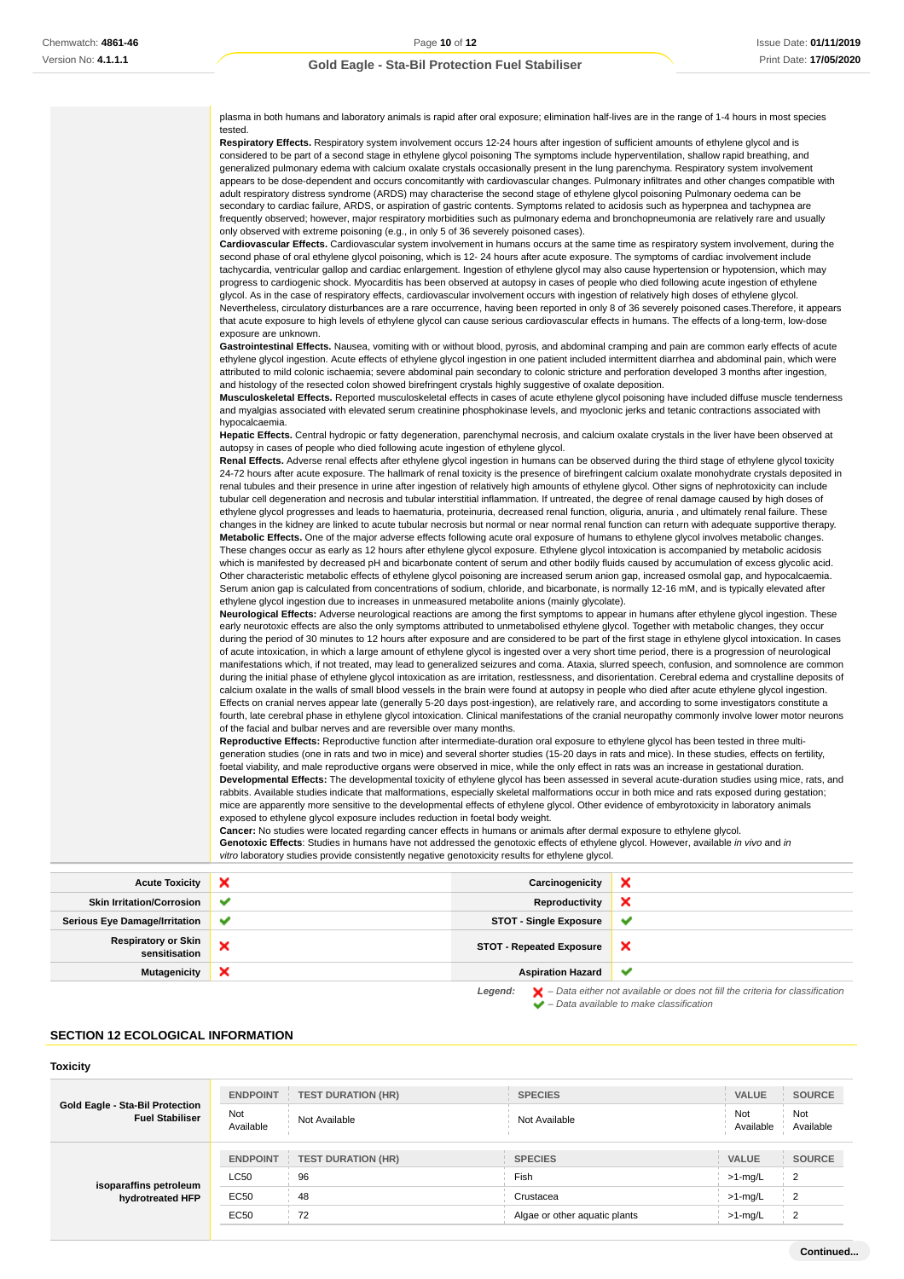| Respiratory Effects. Respiratory system involvement occurs 12-24 hours after ingestion of sufficient amounts of ethylene glycol and is<br>considered to be part of a second stage in ethylene glycol poisoning The symptoms include hyperventilation, shallow rapid breathing, and<br>generalized pulmonary edema with calcium oxalate crystals occasionally present in the lung parenchyma. Respiratory system involvement<br>appears to be dose-dependent and occurs concomitantly with cardiovascular changes. Pulmonary infiltrates and other changes compatible with<br>adult respiratory distress syndrome (ARDS) may characterise the second stage of ethylene glycol poisoning Pulmonary oedema can be<br>secondary to cardiac failure, ARDS, or aspiration of gastric contents. Symptoms related to acidosis such as hyperpnea and tachypnea are<br>frequently observed; however, major respiratory morbidities such as pulmonary edema and bronchopneumonia are relatively rare and usually<br>only observed with extreme poisoning (e.g., in only 5 of 36 severely poisoned cases).<br>Cardiovascular Effects. Cardiovascular system involvement in humans occurs at the same time as respiratory system involvement, during the<br>second phase of oral ethylene glycol poisoning, which is 12-24 hours after acute exposure. The symptoms of cardiac involvement include<br>tachycardia, ventricular gallop and cardiac enlargement. Ingestion of ethylene glycol may also cause hypertension or hypotension, which may<br>progress to cardiogenic shock. Myocarditis has been observed at autopsy in cases of people who died following acute ingestion of ethylene<br>glycol. As in the case of respiratory effects, cardiovascular involvement occurs with ingestion of relatively high doses of ethylene glycol.<br>Nevertheless, circulatory disturbances are a rare occurrence, having been reported in only 8 of 36 severely poisoned cases. Therefore, it appears<br>that acute exposure to high levels of ethylene glycol can cause serious cardiovascular effects in humans. The effects of a long-term, low-dose<br>exposure are unknown.<br>Gastrointestinal Effects. Nausea, vomiting with or without blood, pyrosis, and abdominal cramping and pain are common early effects of acute<br>ethylene glycol ingestion. Acute effects of ethylene glycol ingestion in one patient included intermittent diarrhea and abdominal pain, which were<br>attributed to mild colonic ischaemia; severe abdominal pain secondary to colonic stricture and perforation developed 3 months after ingestion,<br>and histology of the resected colon showed birefringent crystals highly suggestive of oxalate deposition.<br><b>Musculoskeletal Effects.</b> Reported musculoskeletal effects in cases of acute ethylene glycol poisoning have included diffuse muscle tenderness<br>and myalgias associated with elevated serum creatinine phosphokinase levels, and myoclonic jerks and tetanic contractions associated with<br>hypocalcaemia.<br>Hepatic Effects. Central hydropic or fatty degeneration, parenchymal necrosis, and calcium oxalate crystals in the liver have been observed at<br>autopsy in cases of people who died following acute ingestion of ethylene glycol.<br>Renal Effects. Adverse renal effects after ethylene glycol ingestion in humans can be observed during the third stage of ethylene glycol toxicity<br>24-72 hours after acute exposure. The hallmark of renal toxicity is the presence of birefringent calcium oxalate monohydrate crystals deposited in<br>renal tubules and their presence in urine after ingestion of relatively high amounts of ethylene glycol. Other signs of nephrotoxicity can include<br>tubular cell degeneration and necrosis and tubular interstitial inflammation. If untreated, the degree of renal damage caused by high doses of<br>ethylene glycol progresses and leads to haematuria, proteinuria, decreased renal function, oliguria, anuria, and ultimately renal failure. These<br>changes in the kidney are linked to acute tubular necrosis but normal or near normal renal function can return with adequate supportive therapy.<br>Metabolic Effects. One of the major adverse effects following acute oral exposure of humans to ethylene glycol involves metabolic changes.<br>These changes occur as early as 12 hours after ethylene glycol exposure. Ethylene glycol intoxication is accompanied by metabolic acidosis<br>which is manifested by decreased pH and bicarbonate content of serum and other bodily fluids caused by accumulation of excess glycolic acid.<br>Other characteristic metabolic effects of ethylene glycol poisoning are increased serum anion gap, increased osmolal gap, and hypocalcaemia.<br>Serum anion gap is calculated from concentrations of sodium, chloride, and bicarbonate, is normally 12-16 mM, and is typically elevated after<br>ethylene glycol ingestion due to increases in unmeasured metabolite anions (mainly glycolate).<br>Neurological Effects: Adverse neurological reactions are among the first symptoms to appear in humans after ethylene glycol ingestion. These<br>early neurotoxic effects are also the only symptoms attributed to unmetabolised ethylene glycol. Together with metabolic changes, they occur<br>during the period of 30 minutes to 12 hours after exposure and are considered to be part of the first stage in ethylene glycol intoxication. In cases<br>of acute intoxication, in which a large amount of ethylene glycol is ingested over a very short time period, there is a progression of neurological<br>manifestations which, if not treated, may lead to generalized seizures and coma. Ataxia, slurred speech, confusion, and somnolence are common<br>during the initial phase of ethylene glycol intoxication as are irritation, restlessness, and disorientation. Cerebral edema and crystalline deposits of<br>calcium oxalate in the walls of small blood vessels in the brain were found at autopsy in people who died after acute ethylene glycol ingestion.<br>Effects on cranial nerves appear late (generally 5-20 days post-ingestion), are relatively rare, and according to some investigators constitute a<br>fourth, late cerebral phase in ethylene glycol intoxication. Clinical manifestations of the cranial neuropathy commonly involve lower motor neurons<br>of the facial and bulbar nerves and are reversible over many months.<br>Reproductive Effects: Reproductive function after intermediate-duration oral exposure to ethylene glycol has been tested in three multi-<br>generation studies (one in rats and two in mice) and several shorter studies (15-20 days in rats and mice). In these studies, effects on fertility,<br>foetal viability, and male reproductive organs were observed in mice, while the only effect in rats was an increase in gestational duration.<br>Developmental Effects: The developmental toxicity of ethylene glycol has been assessed in several acute-duration studies using mice, rats, and<br>rabbits. Available studies indicate that malformations, especially skeletal malformations occur in both mice and rats exposed during gestation;<br>mice are apparently more sensitive to the developmental effects of ethylene glycol. Other evidence of embyrotoxicity in laboratory animals<br>exposed to ethylene glycol exposure includes reduction in foetal body weight.<br><b>Cancer:</b> No studies were located regarding cancer effects in humans or animals after dermal exposure to ethylene glycol.<br>Genotoxic Effects: Studies in humans have not addressed the genotoxic effects of ethylene glycol. However, available in vivo and in<br>vitro laboratory studies provide consistently negative genotoxicity results for ethylene glycol. | plasma in both humans and laboratory animals is rapid after oral exposure; elimination half-lives are in the range of 1-4 hours in most species |
|-------------------------------------------------------------------------------------------------------------------------------------------------------------------------------------------------------------------------------------------------------------------------------------------------------------------------------------------------------------------------------------------------------------------------------------------------------------------------------------------------------------------------------------------------------------------------------------------------------------------------------------------------------------------------------------------------------------------------------------------------------------------------------------------------------------------------------------------------------------------------------------------------------------------------------------------------------------------------------------------------------------------------------------------------------------------------------------------------------------------------------------------------------------------------------------------------------------------------------------------------------------------------------------------------------------------------------------------------------------------------------------------------------------------------------------------------------------------------------------------------------------------------------------------------------------------------------------------------------------------------------------------------------------------------------------------------------------------------------------------------------------------------------------------------------------------------------------------------------------------------------------------------------------------------------------------------------------------------------------------------------------------------------------------------------------------------------------------------------------------------------------------------------------------------------------------------------------------------------------------------------------------------------------------------------------------------------------------------------------------------------------------------------------------------------------------------------------------------------------------------------------------------------------------------------------------------------------------------------------------------------------------------------------------------------------------------------------------------------------------------------------------------------------------------------------------------------------------------------------------------------------------------------------------------------------------------------------------------------------------------------------------------------------------------------------------------------------------------------------------------------------------------------------------------------------------------------------------------------------------------------------------------------------------------------------------------------------------------------------------------------------------------------------------------------------------------------------------------------------------------------------------------------------------------------------------------------------------------------------------------------------------------------------------------------------------------------------------------------------------------------------------------------------------------------------------------------------------------------------------------------------------------------------------------------------------------------------------------------------------------------------------------------------------------------------------------------------------------------------------------------------------------------------------------------------------------------------------------------------------------------------------------------------------------------------------------------------------------------------------------------------------------------------------------------------------------------------------------------------------------------------------------------------------------------------------------------------------------------------------------------------------------------------------------------------------------------------------------------------------------------------------------------------------------------------------------------------------------------------------------------------------------------------------------------------------------------------------------------------------------------------------------------------------------------------------------------------------------------------------------------------------------------------------------------------------------------------------------------------------------------------------------------------------------------------------------------------------------------------------------------------------------------------------------------------------------------------------------------------------------------------------------------------------------------------------------------------------------------------------------------------------------------------------------------------------------------------------------------------------------------------------------------------------------------------------------------------------------------------------------------------------------------------------------------------------------------------------------------------------------------------------------------------------------------------------------------------------------------------------------------------------------------------------------------------------------------------------------------------------------------------------------------------------------------------------------------------------------------------------------------------------------------------------------------------------------------------------------------------------------------------------------------------------------------------------------------------------------------------------------------------------------------------------------------------------------------------------------------------------------------------------------------------------------------------------------------------------------------------------------------------------------------------------------------------------------------------------------------------------------------------------------------------------------------------------------------------------------------------------------------------------------------------------------------------------------------------------------------------------------------------------------------------------------------------------------------------------------------------------------------------------------------------------------------------------------------------------------------------------------------------------------------------------------------------------------------------------------------------------------------------------------------------------------------------------------------------------------------------------------------------------------------------------------------------------------------------------------------------------------------------------------------------------------|-------------------------------------------------------------------------------------------------------------------------------------------------|
|                                                                                                                                                                                                                                                                                                                                                                                                                                                                                                                                                                                                                                                                                                                                                                                                                                                                                                                                                                                                                                                                                                                                                                                                                                                                                                                                                                                                                                                                                                                                                                                                                                                                                                                                                                                                                                                                                                                                                                                                                                                                                                                                                                                                                                                                                                                                                                                                                                                                                                                                                                                                                                                                                                                                                                                                                                                                                                                                                                                                                                                                                                                                                                                                                                                                                                                                                                                                                                                                                                                                                                                                                                                                                                                                                                                                                                                                                                                                                                                                                                                                                                                                                                                                                                                                                                                                                                                                                                                                                                                                                                                                                                                                                                                                                                                                                                                                                                                                                                                                                                                                                                                                                                                                                                                                                                                                                                                                                                                                                                                                                                                                                                                                                                                                                                                                                                                                                                                                                                                                                                                                                                                                                                                                                                                                                                                                                                                                                                                                                                                                                                                                                                                                                                                                                                                                                                                                                                                                                                                                                                                                                                                                                                                                                                                                                                                                                                                                                                                                                                                                                                                                                                                                                                                                                                                                                                                                                                                         | tested.                                                                                                                                         |
|                                                                                                                                                                                                                                                                                                                                                                                                                                                                                                                                                                                                                                                                                                                                                                                                                                                                                                                                                                                                                                                                                                                                                                                                                                                                                                                                                                                                                                                                                                                                                                                                                                                                                                                                                                                                                                                                                                                                                                                                                                                                                                                                                                                                                                                                                                                                                                                                                                                                                                                                                                                                                                                                                                                                                                                                                                                                                                                                                                                                                                                                                                                                                                                                                                                                                                                                                                                                                                                                                                                                                                                                                                                                                                                                                                                                                                                                                                                                                                                                                                                                                                                                                                                                                                                                                                                                                                                                                                                                                                                                                                                                                                                                                                                                                                                                                                                                                                                                                                                                                                                                                                                                                                                                                                                                                                                                                                                                                                                                                                                                                                                                                                                                                                                                                                                                                                                                                                                                                                                                                                                                                                                                                                                                                                                                                                                                                                                                                                                                                                                                                                                                                                                                                                                                                                                                                                                                                                                                                                                                                                                                                                                                                                                                                                                                                                                                                                                                                                                                                                                                                                                                                                                                                                                                                                                                                                                                                                                         |                                                                                                                                                 |
|                                                                                                                                                                                                                                                                                                                                                                                                                                                                                                                                                                                                                                                                                                                                                                                                                                                                                                                                                                                                                                                                                                                                                                                                                                                                                                                                                                                                                                                                                                                                                                                                                                                                                                                                                                                                                                                                                                                                                                                                                                                                                                                                                                                                                                                                                                                                                                                                                                                                                                                                                                                                                                                                                                                                                                                                                                                                                                                                                                                                                                                                                                                                                                                                                                                                                                                                                                                                                                                                                                                                                                                                                                                                                                                                                                                                                                                                                                                                                                                                                                                                                                                                                                                                                                                                                                                                                                                                                                                                                                                                                                                                                                                                                                                                                                                                                                                                                                                                                                                                                                                                                                                                                                                                                                                                                                                                                                                                                                                                                                                                                                                                                                                                                                                                                                                                                                                                                                                                                                                                                                                                                                                                                                                                                                                                                                                                                                                                                                                                                                                                                                                                                                                                                                                                                                                                                                                                                                                                                                                                                                                                                                                                                                                                                                                                                                                                                                                                                                                                                                                                                                                                                                                                                                                                                                                                                                                                                                                         |                                                                                                                                                 |
|                                                                                                                                                                                                                                                                                                                                                                                                                                                                                                                                                                                                                                                                                                                                                                                                                                                                                                                                                                                                                                                                                                                                                                                                                                                                                                                                                                                                                                                                                                                                                                                                                                                                                                                                                                                                                                                                                                                                                                                                                                                                                                                                                                                                                                                                                                                                                                                                                                                                                                                                                                                                                                                                                                                                                                                                                                                                                                                                                                                                                                                                                                                                                                                                                                                                                                                                                                                                                                                                                                                                                                                                                                                                                                                                                                                                                                                                                                                                                                                                                                                                                                                                                                                                                                                                                                                                                                                                                                                                                                                                                                                                                                                                                                                                                                                                                                                                                                                                                                                                                                                                                                                                                                                                                                                                                                                                                                                                                                                                                                                                                                                                                                                                                                                                                                                                                                                                                                                                                                                                                                                                                                                                                                                                                                                                                                                                                                                                                                                                                                                                                                                                                                                                                                                                                                                                                                                                                                                                                                                                                                                                                                                                                                                                                                                                                                                                                                                                                                                                                                                                                                                                                                                                                                                                                                                                                                                                                                                         |                                                                                                                                                 |
|                                                                                                                                                                                                                                                                                                                                                                                                                                                                                                                                                                                                                                                                                                                                                                                                                                                                                                                                                                                                                                                                                                                                                                                                                                                                                                                                                                                                                                                                                                                                                                                                                                                                                                                                                                                                                                                                                                                                                                                                                                                                                                                                                                                                                                                                                                                                                                                                                                                                                                                                                                                                                                                                                                                                                                                                                                                                                                                                                                                                                                                                                                                                                                                                                                                                                                                                                                                                                                                                                                                                                                                                                                                                                                                                                                                                                                                                                                                                                                                                                                                                                                                                                                                                                                                                                                                                                                                                                                                                                                                                                                                                                                                                                                                                                                                                                                                                                                                                                                                                                                                                                                                                                                                                                                                                                                                                                                                                                                                                                                                                                                                                                                                                                                                                                                                                                                                                                                                                                                                                                                                                                                                                                                                                                                                                                                                                                                                                                                                                                                                                                                                                                                                                                                                                                                                                                                                                                                                                                                                                                                                                                                                                                                                                                                                                                                                                                                                                                                                                                                                                                                                                                                                                                                                                                                                                                                                                                                                         |                                                                                                                                                 |
|                                                                                                                                                                                                                                                                                                                                                                                                                                                                                                                                                                                                                                                                                                                                                                                                                                                                                                                                                                                                                                                                                                                                                                                                                                                                                                                                                                                                                                                                                                                                                                                                                                                                                                                                                                                                                                                                                                                                                                                                                                                                                                                                                                                                                                                                                                                                                                                                                                                                                                                                                                                                                                                                                                                                                                                                                                                                                                                                                                                                                                                                                                                                                                                                                                                                                                                                                                                                                                                                                                                                                                                                                                                                                                                                                                                                                                                                                                                                                                                                                                                                                                                                                                                                                                                                                                                                                                                                                                                                                                                                                                                                                                                                                                                                                                                                                                                                                                                                                                                                                                                                                                                                                                                                                                                                                                                                                                                                                                                                                                                                                                                                                                                                                                                                                                                                                                                                                                                                                                                                                                                                                                                                                                                                                                                                                                                                                                                                                                                                                                                                                                                                                                                                                                                                                                                                                                                                                                                                                                                                                                                                                                                                                                                                                                                                                                                                                                                                                                                                                                                                                                                                                                                                                                                                                                                                                                                                                                                         |                                                                                                                                                 |
|                                                                                                                                                                                                                                                                                                                                                                                                                                                                                                                                                                                                                                                                                                                                                                                                                                                                                                                                                                                                                                                                                                                                                                                                                                                                                                                                                                                                                                                                                                                                                                                                                                                                                                                                                                                                                                                                                                                                                                                                                                                                                                                                                                                                                                                                                                                                                                                                                                                                                                                                                                                                                                                                                                                                                                                                                                                                                                                                                                                                                                                                                                                                                                                                                                                                                                                                                                                                                                                                                                                                                                                                                                                                                                                                                                                                                                                                                                                                                                                                                                                                                                                                                                                                                                                                                                                                                                                                                                                                                                                                                                                                                                                                                                                                                                                                                                                                                                                                                                                                                                                                                                                                                                                                                                                                                                                                                                                                                                                                                                                                                                                                                                                                                                                                                                                                                                                                                                                                                                                                                                                                                                                                                                                                                                                                                                                                                                                                                                                                                                                                                                                                                                                                                                                                                                                                                                                                                                                                                                                                                                                                                                                                                                                                                                                                                                                                                                                                                                                                                                                                                                                                                                                                                                                                                                                                                                                                                                                         |                                                                                                                                                 |
|                                                                                                                                                                                                                                                                                                                                                                                                                                                                                                                                                                                                                                                                                                                                                                                                                                                                                                                                                                                                                                                                                                                                                                                                                                                                                                                                                                                                                                                                                                                                                                                                                                                                                                                                                                                                                                                                                                                                                                                                                                                                                                                                                                                                                                                                                                                                                                                                                                                                                                                                                                                                                                                                                                                                                                                                                                                                                                                                                                                                                                                                                                                                                                                                                                                                                                                                                                                                                                                                                                                                                                                                                                                                                                                                                                                                                                                                                                                                                                                                                                                                                                                                                                                                                                                                                                                                                                                                                                                                                                                                                                                                                                                                                                                                                                                                                                                                                                                                                                                                                                                                                                                                                                                                                                                                                                                                                                                                                                                                                                                                                                                                                                                                                                                                                                                                                                                                                                                                                                                                                                                                                                                                                                                                                                                                                                                                                                                                                                                                                                                                                                                                                                                                                                                                                                                                                                                                                                                                                                                                                                                                                                                                                                                                                                                                                                                                                                                                                                                                                                                                                                                                                                                                                                                                                                                                                                                                                                                         |                                                                                                                                                 |
|                                                                                                                                                                                                                                                                                                                                                                                                                                                                                                                                                                                                                                                                                                                                                                                                                                                                                                                                                                                                                                                                                                                                                                                                                                                                                                                                                                                                                                                                                                                                                                                                                                                                                                                                                                                                                                                                                                                                                                                                                                                                                                                                                                                                                                                                                                                                                                                                                                                                                                                                                                                                                                                                                                                                                                                                                                                                                                                                                                                                                                                                                                                                                                                                                                                                                                                                                                                                                                                                                                                                                                                                                                                                                                                                                                                                                                                                                                                                                                                                                                                                                                                                                                                                                                                                                                                                                                                                                                                                                                                                                                                                                                                                                                                                                                                                                                                                                                                                                                                                                                                                                                                                                                                                                                                                                                                                                                                                                                                                                                                                                                                                                                                                                                                                                                                                                                                                                                                                                                                                                                                                                                                                                                                                                                                                                                                                                                                                                                                                                                                                                                                                                                                                                                                                                                                                                                                                                                                                                                                                                                                                                                                                                                                                                                                                                                                                                                                                                                                                                                                                                                                                                                                                                                                                                                                                                                                                                                                         |                                                                                                                                                 |
|                                                                                                                                                                                                                                                                                                                                                                                                                                                                                                                                                                                                                                                                                                                                                                                                                                                                                                                                                                                                                                                                                                                                                                                                                                                                                                                                                                                                                                                                                                                                                                                                                                                                                                                                                                                                                                                                                                                                                                                                                                                                                                                                                                                                                                                                                                                                                                                                                                                                                                                                                                                                                                                                                                                                                                                                                                                                                                                                                                                                                                                                                                                                                                                                                                                                                                                                                                                                                                                                                                                                                                                                                                                                                                                                                                                                                                                                                                                                                                                                                                                                                                                                                                                                                                                                                                                                                                                                                                                                                                                                                                                                                                                                                                                                                                                                                                                                                                                                                                                                                                                                                                                                                                                                                                                                                                                                                                                                                                                                                                                                                                                                                                                                                                                                                                                                                                                                                                                                                                                                                                                                                                                                                                                                                                                                                                                                                                                                                                                                                                                                                                                                                                                                                                                                                                                                                                                                                                                                                                                                                                                                                                                                                                                                                                                                                                                                                                                                                                                                                                                                                                                                                                                                                                                                                                                                                                                                                                                         |                                                                                                                                                 |
|                                                                                                                                                                                                                                                                                                                                                                                                                                                                                                                                                                                                                                                                                                                                                                                                                                                                                                                                                                                                                                                                                                                                                                                                                                                                                                                                                                                                                                                                                                                                                                                                                                                                                                                                                                                                                                                                                                                                                                                                                                                                                                                                                                                                                                                                                                                                                                                                                                                                                                                                                                                                                                                                                                                                                                                                                                                                                                                                                                                                                                                                                                                                                                                                                                                                                                                                                                                                                                                                                                                                                                                                                                                                                                                                                                                                                                                                                                                                                                                                                                                                                                                                                                                                                                                                                                                                                                                                                                                                                                                                                                                                                                                                                                                                                                                                                                                                                                                                                                                                                                                                                                                                                                                                                                                                                                                                                                                                                                                                                                                                                                                                                                                                                                                                                                                                                                                                                                                                                                                                                                                                                                                                                                                                                                                                                                                                                                                                                                                                                                                                                                                                                                                                                                                                                                                                                                                                                                                                                                                                                                                                                                                                                                                                                                                                                                                                                                                                                                                                                                                                                                                                                                                                                                                                                                                                                                                                                                                         |                                                                                                                                                 |
|                                                                                                                                                                                                                                                                                                                                                                                                                                                                                                                                                                                                                                                                                                                                                                                                                                                                                                                                                                                                                                                                                                                                                                                                                                                                                                                                                                                                                                                                                                                                                                                                                                                                                                                                                                                                                                                                                                                                                                                                                                                                                                                                                                                                                                                                                                                                                                                                                                                                                                                                                                                                                                                                                                                                                                                                                                                                                                                                                                                                                                                                                                                                                                                                                                                                                                                                                                                                                                                                                                                                                                                                                                                                                                                                                                                                                                                                                                                                                                                                                                                                                                                                                                                                                                                                                                                                                                                                                                                                                                                                                                                                                                                                                                                                                                                                                                                                                                                                                                                                                                                                                                                                                                                                                                                                                                                                                                                                                                                                                                                                                                                                                                                                                                                                                                                                                                                                                                                                                                                                                                                                                                                                                                                                                                                                                                                                                                                                                                                                                                                                                                                                                                                                                                                                                                                                                                                                                                                                                                                                                                                                                                                                                                                                                                                                                                                                                                                                                                                                                                                                                                                                                                                                                                                                                                                                                                                                                                                         |                                                                                                                                                 |
|                                                                                                                                                                                                                                                                                                                                                                                                                                                                                                                                                                                                                                                                                                                                                                                                                                                                                                                                                                                                                                                                                                                                                                                                                                                                                                                                                                                                                                                                                                                                                                                                                                                                                                                                                                                                                                                                                                                                                                                                                                                                                                                                                                                                                                                                                                                                                                                                                                                                                                                                                                                                                                                                                                                                                                                                                                                                                                                                                                                                                                                                                                                                                                                                                                                                                                                                                                                                                                                                                                                                                                                                                                                                                                                                                                                                                                                                                                                                                                                                                                                                                                                                                                                                                                                                                                                                                                                                                                                                                                                                                                                                                                                                                                                                                                                                                                                                                                                                                                                                                                                                                                                                                                                                                                                                                                                                                                                                                                                                                                                                                                                                                                                                                                                                                                                                                                                                                                                                                                                                                                                                                                                                                                                                                                                                                                                                                                                                                                                                                                                                                                                                                                                                                                                                                                                                                                                                                                                                                                                                                                                                                                                                                                                                                                                                                                                                                                                                                                                                                                                                                                                                                                                                                                                                                                                                                                                                                                                         |                                                                                                                                                 |
|                                                                                                                                                                                                                                                                                                                                                                                                                                                                                                                                                                                                                                                                                                                                                                                                                                                                                                                                                                                                                                                                                                                                                                                                                                                                                                                                                                                                                                                                                                                                                                                                                                                                                                                                                                                                                                                                                                                                                                                                                                                                                                                                                                                                                                                                                                                                                                                                                                                                                                                                                                                                                                                                                                                                                                                                                                                                                                                                                                                                                                                                                                                                                                                                                                                                                                                                                                                                                                                                                                                                                                                                                                                                                                                                                                                                                                                                                                                                                                                                                                                                                                                                                                                                                                                                                                                                                                                                                                                                                                                                                                                                                                                                                                                                                                                                                                                                                                                                                                                                                                                                                                                                                                                                                                                                                                                                                                                                                                                                                                                                                                                                                                                                                                                                                                                                                                                                                                                                                                                                                                                                                                                                                                                                                                                                                                                                                                                                                                                                                                                                                                                                                                                                                                                                                                                                                                                                                                                                                                                                                                                                                                                                                                                                                                                                                                                                                                                                                                                                                                                                                                                                                                                                                                                                                                                                                                                                                                                         |                                                                                                                                                 |
|                                                                                                                                                                                                                                                                                                                                                                                                                                                                                                                                                                                                                                                                                                                                                                                                                                                                                                                                                                                                                                                                                                                                                                                                                                                                                                                                                                                                                                                                                                                                                                                                                                                                                                                                                                                                                                                                                                                                                                                                                                                                                                                                                                                                                                                                                                                                                                                                                                                                                                                                                                                                                                                                                                                                                                                                                                                                                                                                                                                                                                                                                                                                                                                                                                                                                                                                                                                                                                                                                                                                                                                                                                                                                                                                                                                                                                                                                                                                                                                                                                                                                                                                                                                                                                                                                                                                                                                                                                                                                                                                                                                                                                                                                                                                                                                                                                                                                                                                                                                                                                                                                                                                                                                                                                                                                                                                                                                                                                                                                                                                                                                                                                                                                                                                                                                                                                                                                                                                                                                                                                                                                                                                                                                                                                                                                                                                                                                                                                                                                                                                                                                                                                                                                                                                                                                                                                                                                                                                                                                                                                                                                                                                                                                                                                                                                                                                                                                                                                                                                                                                                                                                                                                                                                                                                                                                                                                                                                                         |                                                                                                                                                 |
|                                                                                                                                                                                                                                                                                                                                                                                                                                                                                                                                                                                                                                                                                                                                                                                                                                                                                                                                                                                                                                                                                                                                                                                                                                                                                                                                                                                                                                                                                                                                                                                                                                                                                                                                                                                                                                                                                                                                                                                                                                                                                                                                                                                                                                                                                                                                                                                                                                                                                                                                                                                                                                                                                                                                                                                                                                                                                                                                                                                                                                                                                                                                                                                                                                                                                                                                                                                                                                                                                                                                                                                                                                                                                                                                                                                                                                                                                                                                                                                                                                                                                                                                                                                                                                                                                                                                                                                                                                                                                                                                                                                                                                                                                                                                                                                                                                                                                                                                                                                                                                                                                                                                                                                                                                                                                                                                                                                                                                                                                                                                                                                                                                                                                                                                                                                                                                                                                                                                                                                                                                                                                                                                                                                                                                                                                                                                                                                                                                                                                                                                                                                                                                                                                                                                                                                                                                                                                                                                                                                                                                                                                                                                                                                                                                                                                                                                                                                                                                                                                                                                                                                                                                                                                                                                                                                                                                                                                                                         |                                                                                                                                                 |
|                                                                                                                                                                                                                                                                                                                                                                                                                                                                                                                                                                                                                                                                                                                                                                                                                                                                                                                                                                                                                                                                                                                                                                                                                                                                                                                                                                                                                                                                                                                                                                                                                                                                                                                                                                                                                                                                                                                                                                                                                                                                                                                                                                                                                                                                                                                                                                                                                                                                                                                                                                                                                                                                                                                                                                                                                                                                                                                                                                                                                                                                                                                                                                                                                                                                                                                                                                                                                                                                                                                                                                                                                                                                                                                                                                                                                                                                                                                                                                                                                                                                                                                                                                                                                                                                                                                                                                                                                                                                                                                                                                                                                                                                                                                                                                                                                                                                                                                                                                                                                                                                                                                                                                                                                                                                                                                                                                                                                                                                                                                                                                                                                                                                                                                                                                                                                                                                                                                                                                                                                                                                                                                                                                                                                                                                                                                                                                                                                                                                                                                                                                                                                                                                                                                                                                                                                                                                                                                                                                                                                                                                                                                                                                                                                                                                                                                                                                                                                                                                                                                                                                                                                                                                                                                                                                                                                                                                                                                         |                                                                                                                                                 |
|                                                                                                                                                                                                                                                                                                                                                                                                                                                                                                                                                                                                                                                                                                                                                                                                                                                                                                                                                                                                                                                                                                                                                                                                                                                                                                                                                                                                                                                                                                                                                                                                                                                                                                                                                                                                                                                                                                                                                                                                                                                                                                                                                                                                                                                                                                                                                                                                                                                                                                                                                                                                                                                                                                                                                                                                                                                                                                                                                                                                                                                                                                                                                                                                                                                                                                                                                                                                                                                                                                                                                                                                                                                                                                                                                                                                                                                                                                                                                                                                                                                                                                                                                                                                                                                                                                                                                                                                                                                                                                                                                                                                                                                                                                                                                                                                                                                                                                                                                                                                                                                                                                                                                                                                                                                                                                                                                                                                                                                                                                                                                                                                                                                                                                                                                                                                                                                                                                                                                                                                                                                                                                                                                                                                                                                                                                                                                                                                                                                                                                                                                                                                                                                                                                                                                                                                                                                                                                                                                                                                                                                                                                                                                                                                                                                                                                                                                                                                                                                                                                                                                                                                                                                                                                                                                                                                                                                                                                                         |                                                                                                                                                 |
|                                                                                                                                                                                                                                                                                                                                                                                                                                                                                                                                                                                                                                                                                                                                                                                                                                                                                                                                                                                                                                                                                                                                                                                                                                                                                                                                                                                                                                                                                                                                                                                                                                                                                                                                                                                                                                                                                                                                                                                                                                                                                                                                                                                                                                                                                                                                                                                                                                                                                                                                                                                                                                                                                                                                                                                                                                                                                                                                                                                                                                                                                                                                                                                                                                                                                                                                                                                                                                                                                                                                                                                                                                                                                                                                                                                                                                                                                                                                                                                                                                                                                                                                                                                                                                                                                                                                                                                                                                                                                                                                                                                                                                                                                                                                                                                                                                                                                                                                                                                                                                                                                                                                                                                                                                                                                                                                                                                                                                                                                                                                                                                                                                                                                                                                                                                                                                                                                                                                                                                                                                                                                                                                                                                                                                                                                                                                                                                                                                                                                                                                                                                                                                                                                                                                                                                                                                                                                                                                                                                                                                                                                                                                                                                                                                                                                                                                                                                                                                                                                                                                                                                                                                                                                                                                                                                                                                                                                                                         |                                                                                                                                                 |
|                                                                                                                                                                                                                                                                                                                                                                                                                                                                                                                                                                                                                                                                                                                                                                                                                                                                                                                                                                                                                                                                                                                                                                                                                                                                                                                                                                                                                                                                                                                                                                                                                                                                                                                                                                                                                                                                                                                                                                                                                                                                                                                                                                                                                                                                                                                                                                                                                                                                                                                                                                                                                                                                                                                                                                                                                                                                                                                                                                                                                                                                                                                                                                                                                                                                                                                                                                                                                                                                                                                                                                                                                                                                                                                                                                                                                                                                                                                                                                                                                                                                                                                                                                                                                                                                                                                                                                                                                                                                                                                                                                                                                                                                                                                                                                                                                                                                                                                                                                                                                                                                                                                                                                                                                                                                                                                                                                                                                                                                                                                                                                                                                                                                                                                                                                                                                                                                                                                                                                                                                                                                                                                                                                                                                                                                                                                                                                                                                                                                                                                                                                                                                                                                                                                                                                                                                                                                                                                                                                                                                                                                                                                                                                                                                                                                                                                                                                                                                                                                                                                                                                                                                                                                                                                                                                                                                                                                                                                         |                                                                                                                                                 |
|                                                                                                                                                                                                                                                                                                                                                                                                                                                                                                                                                                                                                                                                                                                                                                                                                                                                                                                                                                                                                                                                                                                                                                                                                                                                                                                                                                                                                                                                                                                                                                                                                                                                                                                                                                                                                                                                                                                                                                                                                                                                                                                                                                                                                                                                                                                                                                                                                                                                                                                                                                                                                                                                                                                                                                                                                                                                                                                                                                                                                                                                                                                                                                                                                                                                                                                                                                                                                                                                                                                                                                                                                                                                                                                                                                                                                                                                                                                                                                                                                                                                                                                                                                                                                                                                                                                                                                                                                                                                                                                                                                                                                                                                                                                                                                                                                                                                                                                                                                                                                                                                                                                                                                                                                                                                                                                                                                                                                                                                                                                                                                                                                                                                                                                                                                                                                                                                                                                                                                                                                                                                                                                                                                                                                                                                                                                                                                                                                                                                                                                                                                                                                                                                                                                                                                                                                                                                                                                                                                                                                                                                                                                                                                                                                                                                                                                                                                                                                                                                                                                                                                                                                                                                                                                                                                                                                                                                                                                         |                                                                                                                                                 |
|                                                                                                                                                                                                                                                                                                                                                                                                                                                                                                                                                                                                                                                                                                                                                                                                                                                                                                                                                                                                                                                                                                                                                                                                                                                                                                                                                                                                                                                                                                                                                                                                                                                                                                                                                                                                                                                                                                                                                                                                                                                                                                                                                                                                                                                                                                                                                                                                                                                                                                                                                                                                                                                                                                                                                                                                                                                                                                                                                                                                                                                                                                                                                                                                                                                                                                                                                                                                                                                                                                                                                                                                                                                                                                                                                                                                                                                                                                                                                                                                                                                                                                                                                                                                                                                                                                                                                                                                                                                                                                                                                                                                                                                                                                                                                                                                                                                                                                                                                                                                                                                                                                                                                                                                                                                                                                                                                                                                                                                                                                                                                                                                                                                                                                                                                                                                                                                                                                                                                                                                                                                                                                                                                                                                                                                                                                                                                                                                                                                                                                                                                                                                                                                                                                                                                                                                                                                                                                                                                                                                                                                                                                                                                                                                                                                                                                                                                                                                                                                                                                                                                                                                                                                                                                                                                                                                                                                                                                                         |                                                                                                                                                 |
|                                                                                                                                                                                                                                                                                                                                                                                                                                                                                                                                                                                                                                                                                                                                                                                                                                                                                                                                                                                                                                                                                                                                                                                                                                                                                                                                                                                                                                                                                                                                                                                                                                                                                                                                                                                                                                                                                                                                                                                                                                                                                                                                                                                                                                                                                                                                                                                                                                                                                                                                                                                                                                                                                                                                                                                                                                                                                                                                                                                                                                                                                                                                                                                                                                                                                                                                                                                                                                                                                                                                                                                                                                                                                                                                                                                                                                                                                                                                                                                                                                                                                                                                                                                                                                                                                                                                                                                                                                                                                                                                                                                                                                                                                                                                                                                                                                                                                                                                                                                                                                                                                                                                                                                                                                                                                                                                                                                                                                                                                                                                                                                                                                                                                                                                                                                                                                                                                                                                                                                                                                                                                                                                                                                                                                                                                                                                                                                                                                                                                                                                                                                                                                                                                                                                                                                                                                                                                                                                                                                                                                                                                                                                                                                                                                                                                                                                                                                                                                                                                                                                                                                                                                                                                                                                                                                                                                                                                                                         |                                                                                                                                                 |
|                                                                                                                                                                                                                                                                                                                                                                                                                                                                                                                                                                                                                                                                                                                                                                                                                                                                                                                                                                                                                                                                                                                                                                                                                                                                                                                                                                                                                                                                                                                                                                                                                                                                                                                                                                                                                                                                                                                                                                                                                                                                                                                                                                                                                                                                                                                                                                                                                                                                                                                                                                                                                                                                                                                                                                                                                                                                                                                                                                                                                                                                                                                                                                                                                                                                                                                                                                                                                                                                                                                                                                                                                                                                                                                                                                                                                                                                                                                                                                                                                                                                                                                                                                                                                                                                                                                                                                                                                                                                                                                                                                                                                                                                                                                                                                                                                                                                                                                                                                                                                                                                                                                                                                                                                                                                                                                                                                                                                                                                                                                                                                                                                                                                                                                                                                                                                                                                                                                                                                                                                                                                                                                                                                                                                                                                                                                                                                                                                                                                                                                                                                                                                                                                                                                                                                                                                                                                                                                                                                                                                                                                                                                                                                                                                                                                                                                                                                                                                                                                                                                                                                                                                                                                                                                                                                                                                                                                                                                         |                                                                                                                                                 |
|                                                                                                                                                                                                                                                                                                                                                                                                                                                                                                                                                                                                                                                                                                                                                                                                                                                                                                                                                                                                                                                                                                                                                                                                                                                                                                                                                                                                                                                                                                                                                                                                                                                                                                                                                                                                                                                                                                                                                                                                                                                                                                                                                                                                                                                                                                                                                                                                                                                                                                                                                                                                                                                                                                                                                                                                                                                                                                                                                                                                                                                                                                                                                                                                                                                                                                                                                                                                                                                                                                                                                                                                                                                                                                                                                                                                                                                                                                                                                                                                                                                                                                                                                                                                                                                                                                                                                                                                                                                                                                                                                                                                                                                                                                                                                                                                                                                                                                                                                                                                                                                                                                                                                                                                                                                                                                                                                                                                                                                                                                                                                                                                                                                                                                                                                                                                                                                                                                                                                                                                                                                                                                                                                                                                                                                                                                                                                                                                                                                                                                                                                                                                                                                                                                                                                                                                                                                                                                                                                                                                                                                                                                                                                                                                                                                                                                                                                                                                                                                                                                                                                                                                                                                                                                                                                                                                                                                                                                                         |                                                                                                                                                 |
|                                                                                                                                                                                                                                                                                                                                                                                                                                                                                                                                                                                                                                                                                                                                                                                                                                                                                                                                                                                                                                                                                                                                                                                                                                                                                                                                                                                                                                                                                                                                                                                                                                                                                                                                                                                                                                                                                                                                                                                                                                                                                                                                                                                                                                                                                                                                                                                                                                                                                                                                                                                                                                                                                                                                                                                                                                                                                                                                                                                                                                                                                                                                                                                                                                                                                                                                                                                                                                                                                                                                                                                                                                                                                                                                                                                                                                                                                                                                                                                                                                                                                                                                                                                                                                                                                                                                                                                                                                                                                                                                                                                                                                                                                                                                                                                                                                                                                                                                                                                                                                                                                                                                                                                                                                                                                                                                                                                                                                                                                                                                                                                                                                                                                                                                                                                                                                                                                                                                                                                                                                                                                                                                                                                                                                                                                                                                                                                                                                                                                                                                                                                                                                                                                                                                                                                                                                                                                                                                                                                                                                                                                                                                                                                                                                                                                                                                                                                                                                                                                                                                                                                                                                                                                                                                                                                                                                                                                                                         |                                                                                                                                                 |
|                                                                                                                                                                                                                                                                                                                                                                                                                                                                                                                                                                                                                                                                                                                                                                                                                                                                                                                                                                                                                                                                                                                                                                                                                                                                                                                                                                                                                                                                                                                                                                                                                                                                                                                                                                                                                                                                                                                                                                                                                                                                                                                                                                                                                                                                                                                                                                                                                                                                                                                                                                                                                                                                                                                                                                                                                                                                                                                                                                                                                                                                                                                                                                                                                                                                                                                                                                                                                                                                                                                                                                                                                                                                                                                                                                                                                                                                                                                                                                                                                                                                                                                                                                                                                                                                                                                                                                                                                                                                                                                                                                                                                                                                                                                                                                                                                                                                                                                                                                                                                                                                                                                                                                                                                                                                                                                                                                                                                                                                                                                                                                                                                                                                                                                                                                                                                                                                                                                                                                                                                                                                                                                                                                                                                                                                                                                                                                                                                                                                                                                                                                                                                                                                                                                                                                                                                                                                                                                                                                                                                                                                                                                                                                                                                                                                                                                                                                                                                                                                                                                                                                                                                                                                                                                                                                                                                                                                                                                         |                                                                                                                                                 |
|                                                                                                                                                                                                                                                                                                                                                                                                                                                                                                                                                                                                                                                                                                                                                                                                                                                                                                                                                                                                                                                                                                                                                                                                                                                                                                                                                                                                                                                                                                                                                                                                                                                                                                                                                                                                                                                                                                                                                                                                                                                                                                                                                                                                                                                                                                                                                                                                                                                                                                                                                                                                                                                                                                                                                                                                                                                                                                                                                                                                                                                                                                                                                                                                                                                                                                                                                                                                                                                                                                                                                                                                                                                                                                                                                                                                                                                                                                                                                                                                                                                                                                                                                                                                                                                                                                                                                                                                                                                                                                                                                                                                                                                                                                                                                                                                                                                                                                                                                                                                                                                                                                                                                                                                                                                                                                                                                                                                                                                                                                                                                                                                                                                                                                                                                                                                                                                                                                                                                                                                                                                                                                                                                                                                                                                                                                                                                                                                                                                                                                                                                                                                                                                                                                                                                                                                                                                                                                                                                                                                                                                                                                                                                                                                                                                                                                                                                                                                                                                                                                                                                                                                                                                                                                                                                                                                                                                                                                                         |                                                                                                                                                 |
|                                                                                                                                                                                                                                                                                                                                                                                                                                                                                                                                                                                                                                                                                                                                                                                                                                                                                                                                                                                                                                                                                                                                                                                                                                                                                                                                                                                                                                                                                                                                                                                                                                                                                                                                                                                                                                                                                                                                                                                                                                                                                                                                                                                                                                                                                                                                                                                                                                                                                                                                                                                                                                                                                                                                                                                                                                                                                                                                                                                                                                                                                                                                                                                                                                                                                                                                                                                                                                                                                                                                                                                                                                                                                                                                                                                                                                                                                                                                                                                                                                                                                                                                                                                                                                                                                                                                                                                                                                                                                                                                                                                                                                                                                                                                                                                                                                                                                                                                                                                                                                                                                                                                                                                                                                                                                                                                                                                                                                                                                                                                                                                                                                                                                                                                                                                                                                                                                                                                                                                                                                                                                                                                                                                                                                                                                                                                                                                                                                                                                                                                                                                                                                                                                                                                                                                                                                                                                                                                                                                                                                                                                                                                                                                                                                                                                                                                                                                                                                                                                                                                                                                                                                                                                                                                                                                                                                                                                                                         |                                                                                                                                                 |
|                                                                                                                                                                                                                                                                                                                                                                                                                                                                                                                                                                                                                                                                                                                                                                                                                                                                                                                                                                                                                                                                                                                                                                                                                                                                                                                                                                                                                                                                                                                                                                                                                                                                                                                                                                                                                                                                                                                                                                                                                                                                                                                                                                                                                                                                                                                                                                                                                                                                                                                                                                                                                                                                                                                                                                                                                                                                                                                                                                                                                                                                                                                                                                                                                                                                                                                                                                                                                                                                                                                                                                                                                                                                                                                                                                                                                                                                                                                                                                                                                                                                                                                                                                                                                                                                                                                                                                                                                                                                                                                                                                                                                                                                                                                                                                                                                                                                                                                                                                                                                                                                                                                                                                                                                                                                                                                                                                                                                                                                                                                                                                                                                                                                                                                                                                                                                                                                                                                                                                                                                                                                                                                                                                                                                                                                                                                                                                                                                                                                                                                                                                                                                                                                                                                                                                                                                                                                                                                                                                                                                                                                                                                                                                                                                                                                                                                                                                                                                                                                                                                                                                                                                                                                                                                                                                                                                                                                                                                         |                                                                                                                                                 |
|                                                                                                                                                                                                                                                                                                                                                                                                                                                                                                                                                                                                                                                                                                                                                                                                                                                                                                                                                                                                                                                                                                                                                                                                                                                                                                                                                                                                                                                                                                                                                                                                                                                                                                                                                                                                                                                                                                                                                                                                                                                                                                                                                                                                                                                                                                                                                                                                                                                                                                                                                                                                                                                                                                                                                                                                                                                                                                                                                                                                                                                                                                                                                                                                                                                                                                                                                                                                                                                                                                                                                                                                                                                                                                                                                                                                                                                                                                                                                                                                                                                                                                                                                                                                                                                                                                                                                                                                                                                                                                                                                                                                                                                                                                                                                                                                                                                                                                                                                                                                                                                                                                                                                                                                                                                                                                                                                                                                                                                                                                                                                                                                                                                                                                                                                                                                                                                                                                                                                                                                                                                                                                                                                                                                                                                                                                                                                                                                                                                                                                                                                                                                                                                                                                                                                                                                                                                                                                                                                                                                                                                                                                                                                                                                                                                                                                                                                                                                                                                                                                                                                                                                                                                                                                                                                                                                                                                                                                                         |                                                                                                                                                 |
|                                                                                                                                                                                                                                                                                                                                                                                                                                                                                                                                                                                                                                                                                                                                                                                                                                                                                                                                                                                                                                                                                                                                                                                                                                                                                                                                                                                                                                                                                                                                                                                                                                                                                                                                                                                                                                                                                                                                                                                                                                                                                                                                                                                                                                                                                                                                                                                                                                                                                                                                                                                                                                                                                                                                                                                                                                                                                                                                                                                                                                                                                                                                                                                                                                                                                                                                                                                                                                                                                                                                                                                                                                                                                                                                                                                                                                                                                                                                                                                                                                                                                                                                                                                                                                                                                                                                                                                                                                                                                                                                                                                                                                                                                                                                                                                                                                                                                                                                                                                                                                                                                                                                                                                                                                                                                                                                                                                                                                                                                                                                                                                                                                                                                                                                                                                                                                                                                                                                                                                                                                                                                                                                                                                                                                                                                                                                                                                                                                                                                                                                                                                                                                                                                                                                                                                                                                                                                                                                                                                                                                                                                                                                                                                                                                                                                                                                                                                                                                                                                                                                                                                                                                                                                                                                                                                                                                                                                                                         |                                                                                                                                                 |
|                                                                                                                                                                                                                                                                                                                                                                                                                                                                                                                                                                                                                                                                                                                                                                                                                                                                                                                                                                                                                                                                                                                                                                                                                                                                                                                                                                                                                                                                                                                                                                                                                                                                                                                                                                                                                                                                                                                                                                                                                                                                                                                                                                                                                                                                                                                                                                                                                                                                                                                                                                                                                                                                                                                                                                                                                                                                                                                                                                                                                                                                                                                                                                                                                                                                                                                                                                                                                                                                                                                                                                                                                                                                                                                                                                                                                                                                                                                                                                                                                                                                                                                                                                                                                                                                                                                                                                                                                                                                                                                                                                                                                                                                                                                                                                                                                                                                                                                                                                                                                                                                                                                                                                                                                                                                                                                                                                                                                                                                                                                                                                                                                                                                                                                                                                                                                                                                                                                                                                                                                                                                                                                                                                                                                                                                                                                                                                                                                                                                                                                                                                                                                                                                                                                                                                                                                                                                                                                                                                                                                                                                                                                                                                                                                                                                                                                                                                                                                                                                                                                                                                                                                                                                                                                                                                                                                                                                                                                         |                                                                                                                                                 |
|                                                                                                                                                                                                                                                                                                                                                                                                                                                                                                                                                                                                                                                                                                                                                                                                                                                                                                                                                                                                                                                                                                                                                                                                                                                                                                                                                                                                                                                                                                                                                                                                                                                                                                                                                                                                                                                                                                                                                                                                                                                                                                                                                                                                                                                                                                                                                                                                                                                                                                                                                                                                                                                                                                                                                                                                                                                                                                                                                                                                                                                                                                                                                                                                                                                                                                                                                                                                                                                                                                                                                                                                                                                                                                                                                                                                                                                                                                                                                                                                                                                                                                                                                                                                                                                                                                                                                                                                                                                                                                                                                                                                                                                                                                                                                                                                                                                                                                                                                                                                                                                                                                                                                                                                                                                                                                                                                                                                                                                                                                                                                                                                                                                                                                                                                                                                                                                                                                                                                                                                                                                                                                                                                                                                                                                                                                                                                                                                                                                                                                                                                                                                                                                                                                                                                                                                                                                                                                                                                                                                                                                                                                                                                                                                                                                                                                                                                                                                                                                                                                                                                                                                                                                                                                                                                                                                                                                                                                                         |                                                                                                                                                 |
|                                                                                                                                                                                                                                                                                                                                                                                                                                                                                                                                                                                                                                                                                                                                                                                                                                                                                                                                                                                                                                                                                                                                                                                                                                                                                                                                                                                                                                                                                                                                                                                                                                                                                                                                                                                                                                                                                                                                                                                                                                                                                                                                                                                                                                                                                                                                                                                                                                                                                                                                                                                                                                                                                                                                                                                                                                                                                                                                                                                                                                                                                                                                                                                                                                                                                                                                                                                                                                                                                                                                                                                                                                                                                                                                                                                                                                                                                                                                                                                                                                                                                                                                                                                                                                                                                                                                                                                                                                                                                                                                                                                                                                                                                                                                                                                                                                                                                                                                                                                                                                                                                                                                                                                                                                                                                                                                                                                                                                                                                                                                                                                                                                                                                                                                                                                                                                                                                                                                                                                                                                                                                                                                                                                                                                                                                                                                                                                                                                                                                                                                                                                                                                                                                                                                                                                                                                                                                                                                                                                                                                                                                                                                                                                                                                                                                                                                                                                                                                                                                                                                                                                                                                                                                                                                                                                                                                                                                                                         |                                                                                                                                                 |
|                                                                                                                                                                                                                                                                                                                                                                                                                                                                                                                                                                                                                                                                                                                                                                                                                                                                                                                                                                                                                                                                                                                                                                                                                                                                                                                                                                                                                                                                                                                                                                                                                                                                                                                                                                                                                                                                                                                                                                                                                                                                                                                                                                                                                                                                                                                                                                                                                                                                                                                                                                                                                                                                                                                                                                                                                                                                                                                                                                                                                                                                                                                                                                                                                                                                                                                                                                                                                                                                                                                                                                                                                                                                                                                                                                                                                                                                                                                                                                                                                                                                                                                                                                                                                                                                                                                                                                                                                                                                                                                                                                                                                                                                                                                                                                                                                                                                                                                                                                                                                                                                                                                                                                                                                                                                                                                                                                                                                                                                                                                                                                                                                                                                                                                                                                                                                                                                                                                                                                                                                                                                                                                                                                                                                                                                                                                                                                                                                                                                                                                                                                                                                                                                                                                                                                                                                                                                                                                                                                                                                                                                                                                                                                                                                                                                                                                                                                                                                                                                                                                                                                                                                                                                                                                                                                                                                                                                                                                         |                                                                                                                                                 |
|                                                                                                                                                                                                                                                                                                                                                                                                                                                                                                                                                                                                                                                                                                                                                                                                                                                                                                                                                                                                                                                                                                                                                                                                                                                                                                                                                                                                                                                                                                                                                                                                                                                                                                                                                                                                                                                                                                                                                                                                                                                                                                                                                                                                                                                                                                                                                                                                                                                                                                                                                                                                                                                                                                                                                                                                                                                                                                                                                                                                                                                                                                                                                                                                                                                                                                                                                                                                                                                                                                                                                                                                                                                                                                                                                                                                                                                                                                                                                                                                                                                                                                                                                                                                                                                                                                                                                                                                                                                                                                                                                                                                                                                                                                                                                                                                                                                                                                                                                                                                                                                                                                                                                                                                                                                                                                                                                                                                                                                                                                                                                                                                                                                                                                                                                                                                                                                                                                                                                                                                                                                                                                                                                                                                                                                                                                                                                                                                                                                                                                                                                                                                                                                                                                                                                                                                                                                                                                                                                                                                                                                                                                                                                                                                                                                                                                                                                                                                                                                                                                                                                                                                                                                                                                                                                                                                                                                                                                                         |                                                                                                                                                 |
|                                                                                                                                                                                                                                                                                                                                                                                                                                                                                                                                                                                                                                                                                                                                                                                                                                                                                                                                                                                                                                                                                                                                                                                                                                                                                                                                                                                                                                                                                                                                                                                                                                                                                                                                                                                                                                                                                                                                                                                                                                                                                                                                                                                                                                                                                                                                                                                                                                                                                                                                                                                                                                                                                                                                                                                                                                                                                                                                                                                                                                                                                                                                                                                                                                                                                                                                                                                                                                                                                                                                                                                                                                                                                                                                                                                                                                                                                                                                                                                                                                                                                                                                                                                                                                                                                                                                                                                                                                                                                                                                                                                                                                                                                                                                                                                                                                                                                                                                                                                                                                                                                                                                                                                                                                                                                                                                                                                                                                                                                                                                                                                                                                                                                                                                                                                                                                                                                                                                                                                                                                                                                                                                                                                                                                                                                                                                                                                                                                                                                                                                                                                                                                                                                                                                                                                                                                                                                                                                                                                                                                                                                                                                                                                                                                                                                                                                                                                                                                                                                                                                                                                                                                                                                                                                                                                                                                                                                                                         |                                                                                                                                                 |
|                                                                                                                                                                                                                                                                                                                                                                                                                                                                                                                                                                                                                                                                                                                                                                                                                                                                                                                                                                                                                                                                                                                                                                                                                                                                                                                                                                                                                                                                                                                                                                                                                                                                                                                                                                                                                                                                                                                                                                                                                                                                                                                                                                                                                                                                                                                                                                                                                                                                                                                                                                                                                                                                                                                                                                                                                                                                                                                                                                                                                                                                                                                                                                                                                                                                                                                                                                                                                                                                                                                                                                                                                                                                                                                                                                                                                                                                                                                                                                                                                                                                                                                                                                                                                                                                                                                                                                                                                                                                                                                                                                                                                                                                                                                                                                                                                                                                                                                                                                                                                                                                                                                                                                                                                                                                                                                                                                                                                                                                                                                                                                                                                                                                                                                                                                                                                                                                                                                                                                                                                                                                                                                                                                                                                                                                                                                                                                                                                                                                                                                                                                                                                                                                                                                                                                                                                                                                                                                                                                                                                                                                                                                                                                                                                                                                                                                                                                                                                                                                                                                                                                                                                                                                                                                                                                                                                                                                                                                         |                                                                                                                                                 |
|                                                                                                                                                                                                                                                                                                                                                                                                                                                                                                                                                                                                                                                                                                                                                                                                                                                                                                                                                                                                                                                                                                                                                                                                                                                                                                                                                                                                                                                                                                                                                                                                                                                                                                                                                                                                                                                                                                                                                                                                                                                                                                                                                                                                                                                                                                                                                                                                                                                                                                                                                                                                                                                                                                                                                                                                                                                                                                                                                                                                                                                                                                                                                                                                                                                                                                                                                                                                                                                                                                                                                                                                                                                                                                                                                                                                                                                                                                                                                                                                                                                                                                                                                                                                                                                                                                                                                                                                                                                                                                                                                                                                                                                                                                                                                                                                                                                                                                                                                                                                                                                                                                                                                                                                                                                                                                                                                                                                                                                                                                                                                                                                                                                                                                                                                                                                                                                                                                                                                                                                                                                                                                                                                                                                                                                                                                                                                                                                                                                                                                                                                                                                                                                                                                                                                                                                                                                                                                                                                                                                                                                                                                                                                                                                                                                                                                                                                                                                                                                                                                                                                                                                                                                                                                                                                                                                                                                                                                                         |                                                                                                                                                 |
|                                                                                                                                                                                                                                                                                                                                                                                                                                                                                                                                                                                                                                                                                                                                                                                                                                                                                                                                                                                                                                                                                                                                                                                                                                                                                                                                                                                                                                                                                                                                                                                                                                                                                                                                                                                                                                                                                                                                                                                                                                                                                                                                                                                                                                                                                                                                                                                                                                                                                                                                                                                                                                                                                                                                                                                                                                                                                                                                                                                                                                                                                                                                                                                                                                                                                                                                                                                                                                                                                                                                                                                                                                                                                                                                                                                                                                                                                                                                                                                                                                                                                                                                                                                                                                                                                                                                                                                                                                                                                                                                                                                                                                                                                                                                                                                                                                                                                                                                                                                                                                                                                                                                                                                                                                                                                                                                                                                                                                                                                                                                                                                                                                                                                                                                                                                                                                                                                                                                                                                                                                                                                                                                                                                                                                                                                                                                                                                                                                                                                                                                                                                                                                                                                                                                                                                                                                                                                                                                                                                                                                                                                                                                                                                                                                                                                                                                                                                                                                                                                                                                                                                                                                                                                                                                                                                                                                                                                                                         |                                                                                                                                                 |
|                                                                                                                                                                                                                                                                                                                                                                                                                                                                                                                                                                                                                                                                                                                                                                                                                                                                                                                                                                                                                                                                                                                                                                                                                                                                                                                                                                                                                                                                                                                                                                                                                                                                                                                                                                                                                                                                                                                                                                                                                                                                                                                                                                                                                                                                                                                                                                                                                                                                                                                                                                                                                                                                                                                                                                                                                                                                                                                                                                                                                                                                                                                                                                                                                                                                                                                                                                                                                                                                                                                                                                                                                                                                                                                                                                                                                                                                                                                                                                                                                                                                                                                                                                                                                                                                                                                                                                                                                                                                                                                                                                                                                                                                                                                                                                                                                                                                                                                                                                                                                                                                                                                                                                                                                                                                                                                                                                                                                                                                                                                                                                                                                                                                                                                                                                                                                                                                                                                                                                                                                                                                                                                                                                                                                                                                                                                                                                                                                                                                                                                                                                                                                                                                                                                                                                                                                                                                                                                                                                                                                                                                                                                                                                                                                                                                                                                                                                                                                                                                                                                                                                                                                                                                                                                                                                                                                                                                                                                         |                                                                                                                                                 |
|                                                                                                                                                                                                                                                                                                                                                                                                                                                                                                                                                                                                                                                                                                                                                                                                                                                                                                                                                                                                                                                                                                                                                                                                                                                                                                                                                                                                                                                                                                                                                                                                                                                                                                                                                                                                                                                                                                                                                                                                                                                                                                                                                                                                                                                                                                                                                                                                                                                                                                                                                                                                                                                                                                                                                                                                                                                                                                                                                                                                                                                                                                                                                                                                                                                                                                                                                                                                                                                                                                                                                                                                                                                                                                                                                                                                                                                                                                                                                                                                                                                                                                                                                                                                                                                                                                                                                                                                                                                                                                                                                                                                                                                                                                                                                                                                                                                                                                                                                                                                                                                                                                                                                                                                                                                                                                                                                                                                                                                                                                                                                                                                                                                                                                                                                                                                                                                                                                                                                                                                                                                                                                                                                                                                                                                                                                                                                                                                                                                                                                                                                                                                                                                                                                                                                                                                                                                                                                                                                                                                                                                                                                                                                                                                                                                                                                                                                                                                                                                                                                                                                                                                                                                                                                                                                                                                                                                                                                                         |                                                                                                                                                 |
|                                                                                                                                                                                                                                                                                                                                                                                                                                                                                                                                                                                                                                                                                                                                                                                                                                                                                                                                                                                                                                                                                                                                                                                                                                                                                                                                                                                                                                                                                                                                                                                                                                                                                                                                                                                                                                                                                                                                                                                                                                                                                                                                                                                                                                                                                                                                                                                                                                                                                                                                                                                                                                                                                                                                                                                                                                                                                                                                                                                                                                                                                                                                                                                                                                                                                                                                                                                                                                                                                                                                                                                                                                                                                                                                                                                                                                                                                                                                                                                                                                                                                                                                                                                                                                                                                                                                                                                                                                                                                                                                                                                                                                                                                                                                                                                                                                                                                                                                                                                                                                                                                                                                                                                                                                                                                                                                                                                                                                                                                                                                                                                                                                                                                                                                                                                                                                                                                                                                                                                                                                                                                                                                                                                                                                                                                                                                                                                                                                                                                                                                                                                                                                                                                                                                                                                                                                                                                                                                                                                                                                                                                                                                                                                                                                                                                                                                                                                                                                                                                                                                                                                                                                                                                                                                                                                                                                                                                                                         |                                                                                                                                                 |
|                                                                                                                                                                                                                                                                                                                                                                                                                                                                                                                                                                                                                                                                                                                                                                                                                                                                                                                                                                                                                                                                                                                                                                                                                                                                                                                                                                                                                                                                                                                                                                                                                                                                                                                                                                                                                                                                                                                                                                                                                                                                                                                                                                                                                                                                                                                                                                                                                                                                                                                                                                                                                                                                                                                                                                                                                                                                                                                                                                                                                                                                                                                                                                                                                                                                                                                                                                                                                                                                                                                                                                                                                                                                                                                                                                                                                                                                                                                                                                                                                                                                                                                                                                                                                                                                                                                                                                                                                                                                                                                                                                                                                                                                                                                                                                                                                                                                                                                                                                                                                                                                                                                                                                                                                                                                                                                                                                                                                                                                                                                                                                                                                                                                                                                                                                                                                                                                                                                                                                                                                                                                                                                                                                                                                                                                                                                                                                                                                                                                                                                                                                                                                                                                                                                                                                                                                                                                                                                                                                                                                                                                                                                                                                                                                                                                                                                                                                                                                                                                                                                                                                                                                                                                                                                                                                                                                                                                                                                         |                                                                                                                                                 |
|                                                                                                                                                                                                                                                                                                                                                                                                                                                                                                                                                                                                                                                                                                                                                                                                                                                                                                                                                                                                                                                                                                                                                                                                                                                                                                                                                                                                                                                                                                                                                                                                                                                                                                                                                                                                                                                                                                                                                                                                                                                                                                                                                                                                                                                                                                                                                                                                                                                                                                                                                                                                                                                                                                                                                                                                                                                                                                                                                                                                                                                                                                                                                                                                                                                                                                                                                                                                                                                                                                                                                                                                                                                                                                                                                                                                                                                                                                                                                                                                                                                                                                                                                                                                                                                                                                                                                                                                                                                                                                                                                                                                                                                                                                                                                                                                                                                                                                                                                                                                                                                                                                                                                                                                                                                                                                                                                                                                                                                                                                                                                                                                                                                                                                                                                                                                                                                                                                                                                                                                                                                                                                                                                                                                                                                                                                                                                                                                                                                                                                                                                                                                                                                                                                                                                                                                                                                                                                                                                                                                                                                                                                                                                                                                                                                                                                                                                                                                                                                                                                                                                                                                                                                                                                                                                                                                                                                                                                                         |                                                                                                                                                 |
|                                                                                                                                                                                                                                                                                                                                                                                                                                                                                                                                                                                                                                                                                                                                                                                                                                                                                                                                                                                                                                                                                                                                                                                                                                                                                                                                                                                                                                                                                                                                                                                                                                                                                                                                                                                                                                                                                                                                                                                                                                                                                                                                                                                                                                                                                                                                                                                                                                                                                                                                                                                                                                                                                                                                                                                                                                                                                                                                                                                                                                                                                                                                                                                                                                                                                                                                                                                                                                                                                                                                                                                                                                                                                                                                                                                                                                                                                                                                                                                                                                                                                                                                                                                                                                                                                                                                                                                                                                                                                                                                                                                                                                                                                                                                                                                                                                                                                                                                                                                                                                                                                                                                                                                                                                                                                                                                                                                                                                                                                                                                                                                                                                                                                                                                                                                                                                                                                                                                                                                                                                                                                                                                                                                                                                                                                                                                                                                                                                                                                                                                                                                                                                                                                                                                                                                                                                                                                                                                                                                                                                                                                                                                                                                                                                                                                                                                                                                                                                                                                                                                                                                                                                                                                                                                                                                                                                                                                                                         |                                                                                                                                                 |
|                                                                                                                                                                                                                                                                                                                                                                                                                                                                                                                                                                                                                                                                                                                                                                                                                                                                                                                                                                                                                                                                                                                                                                                                                                                                                                                                                                                                                                                                                                                                                                                                                                                                                                                                                                                                                                                                                                                                                                                                                                                                                                                                                                                                                                                                                                                                                                                                                                                                                                                                                                                                                                                                                                                                                                                                                                                                                                                                                                                                                                                                                                                                                                                                                                                                                                                                                                                                                                                                                                                                                                                                                                                                                                                                                                                                                                                                                                                                                                                                                                                                                                                                                                                                                                                                                                                                                                                                                                                                                                                                                                                                                                                                                                                                                                                                                                                                                                                                                                                                                                                                                                                                                                                                                                                                                                                                                                                                                                                                                                                                                                                                                                                                                                                                                                                                                                                                                                                                                                                                                                                                                                                                                                                                                                                                                                                                                                                                                                                                                                                                                                                                                                                                                                                                                                                                                                                                                                                                                                                                                                                                                                                                                                                                                                                                                                                                                                                                                                                                                                                                                                                                                                                                                                                                                                                                                                                                                                                         |                                                                                                                                                 |
|                                                                                                                                                                                                                                                                                                                                                                                                                                                                                                                                                                                                                                                                                                                                                                                                                                                                                                                                                                                                                                                                                                                                                                                                                                                                                                                                                                                                                                                                                                                                                                                                                                                                                                                                                                                                                                                                                                                                                                                                                                                                                                                                                                                                                                                                                                                                                                                                                                                                                                                                                                                                                                                                                                                                                                                                                                                                                                                                                                                                                                                                                                                                                                                                                                                                                                                                                                                                                                                                                                                                                                                                                                                                                                                                                                                                                                                                                                                                                                                                                                                                                                                                                                                                                                                                                                                                                                                                                                                                                                                                                                                                                                                                                                                                                                                                                                                                                                                                                                                                                                                                                                                                                                                                                                                                                                                                                                                                                                                                                                                                                                                                                                                                                                                                                                                                                                                                                                                                                                                                                                                                                                                                                                                                                                                                                                                                                                                                                                                                                                                                                                                                                                                                                                                                                                                                                                                                                                                                                                                                                                                                                                                                                                                                                                                                                                                                                                                                                                                                                                                                                                                                                                                                                                                                                                                                                                                                                                                         |                                                                                                                                                 |
|                                                                                                                                                                                                                                                                                                                                                                                                                                                                                                                                                                                                                                                                                                                                                                                                                                                                                                                                                                                                                                                                                                                                                                                                                                                                                                                                                                                                                                                                                                                                                                                                                                                                                                                                                                                                                                                                                                                                                                                                                                                                                                                                                                                                                                                                                                                                                                                                                                                                                                                                                                                                                                                                                                                                                                                                                                                                                                                                                                                                                                                                                                                                                                                                                                                                                                                                                                                                                                                                                                                                                                                                                                                                                                                                                                                                                                                                                                                                                                                                                                                                                                                                                                                                                                                                                                                                                                                                                                                                                                                                                                                                                                                                                                                                                                                                                                                                                                                                                                                                                                                                                                                                                                                                                                                                                                                                                                                                                                                                                                                                                                                                                                                                                                                                                                                                                                                                                                                                                                                                                                                                                                                                                                                                                                                                                                                                                                                                                                                                                                                                                                                                                                                                                                                                                                                                                                                                                                                                                                                                                                                                                                                                                                                                                                                                                                                                                                                                                                                                                                                                                                                                                                                                                                                                                                                                                                                                                                                         |                                                                                                                                                 |
|                                                                                                                                                                                                                                                                                                                                                                                                                                                                                                                                                                                                                                                                                                                                                                                                                                                                                                                                                                                                                                                                                                                                                                                                                                                                                                                                                                                                                                                                                                                                                                                                                                                                                                                                                                                                                                                                                                                                                                                                                                                                                                                                                                                                                                                                                                                                                                                                                                                                                                                                                                                                                                                                                                                                                                                                                                                                                                                                                                                                                                                                                                                                                                                                                                                                                                                                                                                                                                                                                                                                                                                                                                                                                                                                                                                                                                                                                                                                                                                                                                                                                                                                                                                                                                                                                                                                                                                                                                                                                                                                                                                                                                                                                                                                                                                                                                                                                                                                                                                                                                                                                                                                                                                                                                                                                                                                                                                                                                                                                                                                                                                                                                                                                                                                                                                                                                                                                                                                                                                                                                                                                                                                                                                                                                                                                                                                                                                                                                                                                                                                                                                                                                                                                                                                                                                                                                                                                                                                                                                                                                                                                                                                                                                                                                                                                                                                                                                                                                                                                                                                                                                                                                                                                                                                                                                                                                                                                                                         |                                                                                                                                                 |
|                                                                                                                                                                                                                                                                                                                                                                                                                                                                                                                                                                                                                                                                                                                                                                                                                                                                                                                                                                                                                                                                                                                                                                                                                                                                                                                                                                                                                                                                                                                                                                                                                                                                                                                                                                                                                                                                                                                                                                                                                                                                                                                                                                                                                                                                                                                                                                                                                                                                                                                                                                                                                                                                                                                                                                                                                                                                                                                                                                                                                                                                                                                                                                                                                                                                                                                                                                                                                                                                                                                                                                                                                                                                                                                                                                                                                                                                                                                                                                                                                                                                                                                                                                                                                                                                                                                                                                                                                                                                                                                                                                                                                                                                                                                                                                                                                                                                                                                                                                                                                                                                                                                                                                                                                                                                                                                                                                                                                                                                                                                                                                                                                                                                                                                                                                                                                                                                                                                                                                                                                                                                                                                                                                                                                                                                                                                                                                                                                                                                                                                                                                                                                                                                                                                                                                                                                                                                                                                                                                                                                                                                                                                                                                                                                                                                                                                                                                                                                                                                                                                                                                                                                                                                                                                                                                                                                                                                                                                         |                                                                                                                                                 |
|                                                                                                                                                                                                                                                                                                                                                                                                                                                                                                                                                                                                                                                                                                                                                                                                                                                                                                                                                                                                                                                                                                                                                                                                                                                                                                                                                                                                                                                                                                                                                                                                                                                                                                                                                                                                                                                                                                                                                                                                                                                                                                                                                                                                                                                                                                                                                                                                                                                                                                                                                                                                                                                                                                                                                                                                                                                                                                                                                                                                                                                                                                                                                                                                                                                                                                                                                                                                                                                                                                                                                                                                                                                                                                                                                                                                                                                                                                                                                                                                                                                                                                                                                                                                                                                                                                                                                                                                                                                                                                                                                                                                                                                                                                                                                                                                                                                                                                                                                                                                                                                                                                                                                                                                                                                                                                                                                                                                                                                                                                                                                                                                                                                                                                                                                                                                                                                                                                                                                                                                                                                                                                                                                                                                                                                                                                                                                                                                                                                                                                                                                                                                                                                                                                                                                                                                                                                                                                                                                                                                                                                                                                                                                                                                                                                                                                                                                                                                                                                                                                                                                                                                                                                                                                                                                                                                                                                                                                                         |                                                                                                                                                 |

| <b>Acute Toxicity</b>                       | $\boldsymbol{\mathsf{x}}$ | Carcinogenicity                 | ×                                                                                                  |
|---------------------------------------------|---------------------------|---------------------------------|----------------------------------------------------------------------------------------------------|
| <b>Skin Irritation/Corrosion</b>            | $\checkmark$              | Reproductivity                  |                                                                                                    |
| <b>Serious Eye Damage/Irritation</b>        | $\checkmark$              | <b>STOT - Single Exposure</b>   | w                                                                                                  |
| <b>Respiratory or Skin</b><br>sensitisation | ×                         | <b>STOT - Repeated Exposure</b> | $\boldsymbol{\mathsf{x}}$                                                                          |
| <b>Mutagenicity</b>                         | ×                         | <b>Aspiration Hazard</b>        | $\overline{\phantom{a}}$                                                                           |
|                                             |                           | Legend:                         | $\blacktriangleright$ - Data either not available or does not fill the criteria for classification |

 <sup>–</sup> Data available to make classification

### **SECTION 12 ECOLOGICAL INFORMATION**

### **Toxicity**

| Gold Eagle - Sta-Bil Protection<br><b>Fuel Stabiliser</b> | <b>ENDPOINT</b><br><b>TEST DURATION (HR)</b><br><b>Not</b><br>Not Available<br>Available | <b>SPECIES</b><br>Not Available | <b>SOURCE</b><br><b>VALUE</b><br>Not<br>Not<br>Available<br>Available |
|-----------------------------------------------------------|------------------------------------------------------------------------------------------|---------------------------------|-----------------------------------------------------------------------|
| isoparaffins petroleum<br>hydrotreated HFP                | <b>TEST DURATION (HR)</b><br><b>ENDPOINT</b>                                             | <b>SPECIES</b>                  | <b>SOURCE</b><br><b>VALUE</b>                                         |
|                                                           | 96<br><b>LC50</b>                                                                        | Fish                            | $>1$ -mg/L                                                            |
|                                                           | EC50<br>48                                                                               | Crustacea                       | $>1$ -mg/L<br>2                                                       |
|                                                           | EC50<br>72                                                                               | Algae or other aquatic plants   | 2<br>$>1$ -mg/L                                                       |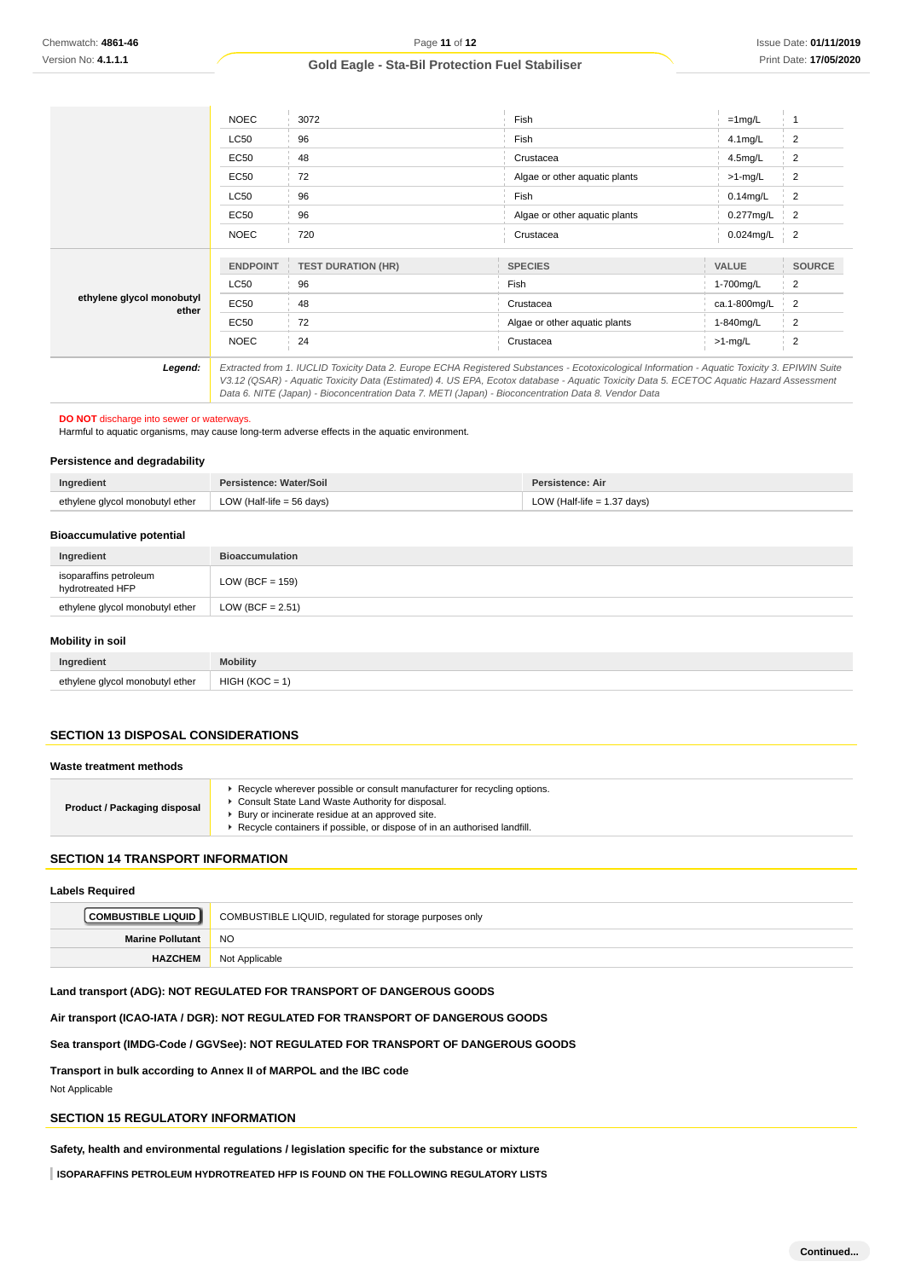| Chemwatch: 4861-46                                                                   |                             | Page 11 of 12                                                                                                                                                                                                                                                                                                                                                                                   |      |                               |              | Issue Date: 01/11/201   |
|--------------------------------------------------------------------------------------|-----------------------------|-------------------------------------------------------------------------------------------------------------------------------------------------------------------------------------------------------------------------------------------------------------------------------------------------------------------------------------------------------------------------------------------------|------|-------------------------------|--------------|-------------------------|
| Version No: 4.1.1.1                                                                  |                             | <b>Gold Eagle - Sta-Bil Protection Fuel Stabiliser</b>                                                                                                                                                                                                                                                                                                                                          |      |                               |              | Print Date: 17/05/202   |
|                                                                                      |                             |                                                                                                                                                                                                                                                                                                                                                                                                 |      |                               |              |                         |
|                                                                                      |                             |                                                                                                                                                                                                                                                                                                                                                                                                 |      |                               |              |                         |
|                                                                                      | <b>NOEC</b>                 | 3072                                                                                                                                                                                                                                                                                                                                                                                            |      | Fish                          | $=1$ mg/L    | $\overline{1}$          |
|                                                                                      | <b>LC50</b>                 | 96                                                                                                                                                                                                                                                                                                                                                                                              |      | Fish                          | 4.1mg/L      | $\overline{2}$          |
|                                                                                      | <b>EC50</b>                 | 48                                                                                                                                                                                                                                                                                                                                                                                              |      | Crustacea                     | 4.5mg/L      | $\overline{2}$          |
|                                                                                      | <b>EC50</b>                 | 72                                                                                                                                                                                                                                                                                                                                                                                              |      | Algae or other aquatic plants | >1-mg/L      | 2                       |
|                                                                                      | <b>LC50</b>                 | 96                                                                                                                                                                                                                                                                                                                                                                                              |      | Fish                          | $0.14$ mg/L  | $\overline{\mathbf{c}}$ |
|                                                                                      | <b>EC50</b>                 | 96                                                                                                                                                                                                                                                                                                                                                                                              |      | Algae or other aquatic plants | 0.277mg/L    | $\overline{2}$          |
|                                                                                      | <b>NOEC</b>                 | 720                                                                                                                                                                                                                                                                                                                                                                                             |      | Crustacea                     | 0.024mg/L    | $\overline{c}$          |
|                                                                                      |                             |                                                                                                                                                                                                                                                                                                                                                                                                 |      |                               |              |                         |
|                                                                                      | <b>ENDPOINT</b>             | <b>TEST DURATION (HR)</b>                                                                                                                                                                                                                                                                                                                                                                       |      | <b>SPECIES</b>                | VALUE        | <b>SOURCE</b>           |
| ethylene glycol monobutyl                                                            | <b>LC50</b>                 | 96                                                                                                                                                                                                                                                                                                                                                                                              | Fish |                               | 1-700mg/L    | $\overline{c}$          |
| ether                                                                                | EC50                        | 48                                                                                                                                                                                                                                                                                                                                                                                              |      | Crustacea                     | ca.1-800mg/L | 2                       |
|                                                                                      | <b>EC50</b>                 | 72                                                                                                                                                                                                                                                                                                                                                                                              |      | Algae or other aquatic plants | 1-840mg/L    | $\overline{2}$          |
|                                                                                      | <b>NOEC</b>                 | 24                                                                                                                                                                                                                                                                                                                                                                                              |      | Crustacea                     | $>1$ -mg/L   | $\overline{2}$          |
| Legend:                                                                              |                             | Extracted from 1. IUCLID Toxicity Data 2. Europe ECHA Registered Substances - Ecotoxicological Information - Aquatic Toxicity 3. EPIWIN Suite<br>V3.12 (QSAR) - Aquatic Toxicity Data (Estimated) 4. US EPA, Ecotox database - Aquatic Toxicity Data 5. ECETOC Aquatic Hazard Assessment<br>Data 6. NITE (Japan) - Bioconcentration Data 7. METI (Japan) - Bioconcentration Data 8. Vendor Data |      |                               |              |                         |
| DO NOT discharge into sewer or waterways.                                            |                             | Harmful to aquatic organisms, may cause long-term adverse effects in the aquatic environment.                                                                                                                                                                                                                                                                                                   |      |                               |              |                         |
| <b>Persistence and degradability</b>                                                 |                             |                                                                                                                                                                                                                                                                                                                                                                                                 |      |                               |              |                         |
| Ingredient                                                                           | Persistence: Water/Soil     |                                                                                                                                                                                                                                                                                                                                                                                                 |      | Persistence: Air              |              |                         |
| ethylene glycol monobutyl ether                                                      | LOW (Half-life $=$ 56 days) |                                                                                                                                                                                                                                                                                                                                                                                                 |      | LOW (Half-life $= 1.37$ days) |              |                         |
|                                                                                      |                             |                                                                                                                                                                                                                                                                                                                                                                                                 |      |                               |              |                         |
| <b>Bioaccumulative potential</b>                                                     |                             |                                                                                                                                                                                                                                                                                                                                                                                                 |      |                               |              |                         |
| Ingredient                                                                           | <b>Bioaccumulation</b>      |                                                                                                                                                                                                                                                                                                                                                                                                 |      |                               |              |                         |
| isoparaffins petroleum<br>hydrotreated HFP                                           | LOW (BCF = $159$ )          |                                                                                                                                                                                                                                                                                                                                                                                                 |      |                               |              |                         |
| ethylene glycol monobutyl ether                                                      | LOW (BCF = $2.51$ )         |                                                                                                                                                                                                                                                                                                                                                                                                 |      |                               |              |                         |
| Mobility in soil                                                                     |                             |                                                                                                                                                                                                                                                                                                                                                                                                 |      |                               |              |                         |
| Ingredient                                                                           | <b>Mobility</b>             |                                                                                                                                                                                                                                                                                                                                                                                                 |      |                               |              |                         |
| ethylene glycol monobutyl ether                                                      | $HIGH (KOC = 1)$            |                                                                                                                                                                                                                                                                                                                                                                                                 |      |                               |              |                         |
|                                                                                      |                             |                                                                                                                                                                                                                                                                                                                                                                                                 |      |                               |              |                         |
| <b>SECTION 13 DISPOSAL CONSIDERATIONS</b>                                            |                             |                                                                                                                                                                                                                                                                                                                                                                                                 |      |                               |              |                         |
| Waste treatment methods                                                              |                             |                                                                                                                                                                                                                                                                                                                                                                                                 |      |                               |              |                         |
|                                                                                      |                             | Recycle wherever possible or consult manufacturer for recycling options.                                                                                                                                                                                                                                                                                                                        |      |                               |              |                         |
| Product / Packaging disposal                                                         |                             | Consult State Land Waste Authority for disposal.<br>▶ Bury or incinerate residue at an approved site.<br>Recycle containers if possible, or dispose of in an authorised landfill.                                                                                                                                                                                                               |      |                               |              |                         |
|                                                                                      |                             |                                                                                                                                                                                                                                                                                                                                                                                                 |      |                               |              |                         |
| <b>SECTION 14 TRANSPORT INFORMATION</b>                                              |                             |                                                                                                                                                                                                                                                                                                                                                                                                 |      |                               |              |                         |
| <b>Labels Required</b>                                                               |                             |                                                                                                                                                                                                                                                                                                                                                                                                 |      |                               |              |                         |
| <b>COMBUSTIBLE LIQUID</b>                                                            |                             | COMBUSTIBLE LIQUID, regulated for storage purposes only                                                                                                                                                                                                                                                                                                                                         |      |                               |              |                         |
| <b>Marine Pollutant</b>                                                              | <b>NO</b>                   |                                                                                                                                                                                                                                                                                                                                                                                                 |      |                               |              |                         |
| <b>HAZCHEM</b>                                                                       | Not Applicable              |                                                                                                                                                                                                                                                                                                                                                                                                 |      |                               |              |                         |
|                                                                                      |                             | Land transport (ADG): NOT REGULATED FOR TRANSPORT OF DANGEROUS GOODS                                                                                                                                                                                                                                                                                                                            |      |                               |              |                         |
|                                                                                      |                             |                                                                                                                                                                                                                                                                                                                                                                                                 |      |                               |              |                         |
|                                                                                      |                             | Air transport (ICAO-IATA / DGR): NOT REGULATED FOR TRANSPORT OF DANGEROUS GOODS                                                                                                                                                                                                                                                                                                                 |      |                               |              |                         |
|                                                                                      |                             | Sea transport (IMDG-Code / GGVSee): NOT REGULATED FOR TRANSPORT OF DANGEROUS GOODS                                                                                                                                                                                                                                                                                                              |      |                               |              |                         |
| Transport in bulk according to Annex II of MARPOL and the IBC code<br>Not Applicable |                             |                                                                                                                                                                                                                                                                                                                                                                                                 |      |                               |              |                         |
| <b>SECTION 15 REGULATORY INFORMATION</b>                                             |                             |                                                                                                                                                                                                                                                                                                                                                                                                 |      |                               |              |                         |
|                                                                                      |                             | Safety, health and environmental regulations / legislation specific for the substance or mixture                                                                                                                                                                                                                                                                                                |      |                               |              |                         |
|                                                                                      |                             | ISOPARAFFINS PETROLEUM HYDROTREATED HFP IS FOUND ON THE FOLLOWING REGULATORY LISTS                                                                                                                                                                                                                                                                                                              |      |                               |              |                         |
|                                                                                      |                             |                                                                                                                                                                                                                                                                                                                                                                                                 |      |                               |              |                         |

# **Persistence and degradability**

| Ingredient                      | Persistence: Water/Soil              | <b>Persistence: Air</b>       |
|---------------------------------|--------------------------------------|-------------------------------|
| ethylene glycol monobutyl ether | LOW (Half-life = $56 \text{ days}$ ) | LOW (Half-life $= 1.37$ days) |

### **Bioaccumulative potential**

| Ingredient                                 | <b>Bioaccumulation</b> |
|--------------------------------------------|------------------------|
| isoparaffins petroleum<br>hydrotreated HFP | LOW (BCF = $159$ )     |
| ethylene glycol monobutyl ether            | LOW (BCF = $2.51$ )    |

### **Mobility in soil**

| Ingredient                      | Mobility         |
|---------------------------------|------------------|
| ethylene glycol monobutyl ether | $HIGH (KOC = 1)$ |

### **SECTION 13 DISPOSAL CONSIDERATIONS**

#### **Waste treatment methods**

| Product / Packaging disposal | Recycle wherever possible or consult manufacturer for recycling options.<br>Consult State Land Waste Authority for disposal.<br>Bury or incinerate residue at an approved site.<br>Recycle containers if possible, or dispose of in an authorised landfill. |
|------------------------------|-------------------------------------------------------------------------------------------------------------------------------------------------------------------------------------------------------------------------------------------------------------|
|------------------------------|-------------------------------------------------------------------------------------------------------------------------------------------------------------------------------------------------------------------------------------------------------------|

### **SECTION 14 TRANSPORT INFORMATION**

#### **Labels Required**

| <b>COMBUSTIBLE LIQUID</b> | COMBUSTIBLE LIQUID, regulated for storage purposes only |
|---------------------------|---------------------------------------------------------|
| <b>Marine Pollutant</b>   | NO.                                                     |
| <b>HAZCHEM</b>            | Not Applicable                                          |

### **Land transport (ADG): NOT REGULATED FOR TRANSPORT OF DANGEROUS GOODS**

## **SECTION 15 REGULATORY INFORMATION**